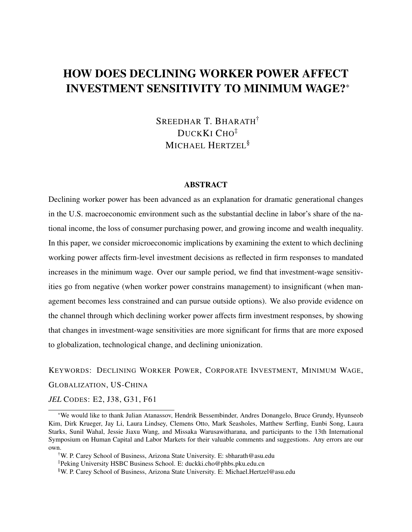# HOW DOES DECLINING WORKER POWER AFFECT INVESTMENT SENSITIVITY TO MINIMUM WAGE?\*

SREEDHAR T. BHARATH† DUCKKI CHO<sup>‡</sup> MICHAEL HERTZEL<sup>§</sup>

# ABSTRACT

Declining worker power has been advanced as an explanation for dramatic generational changes in the U.S. macroeconomic environment such as the substantial decline in labor's share of the national income, the loss of consumer purchasing power, and growing income and wealth inequality. In this paper, we consider microeconomic implications by examining the extent to which declining working power affects firm-level investment decisions as reflected in firm responses to mandated increases in the minimum wage. Over our sample period, we find that investment-wage sensitivities go from negative (when worker power constrains management) to insignificant (when management becomes less constrained and can pursue outside options). We also provide evidence on the channel through which declining worker power affects firm investment responses, by showing that changes in investment-wage sensitivities are more significant for firms that are more exposed to globalization, technological change, and declining unionization.

# KEYWORDS: DECLINING WORKER POWER, CORPORATE INVESTMENT, MINIMUM WAGE, GLOBALIZATION, US-CHINA

*JEL* CODES: E2, J38, G31, F61

<sup>\*</sup>We would like to thank Julian Atanassov, Hendrik Bessembinder, Andres Donangelo, Bruce Grundy, Hyunseob Kim, Dirk Krueger, Jay Li, Laura Lindsey, Clemens Otto, Mark Seasholes, Matthew Serfling, Eunbi Song, Laura Starks, Sunil Wahal, Jessie Jiaxu Wang, and Missaka Warusawitharana, and participants to the 13th International Symposium on Human Capital and Labor Markets for their valuable comments and suggestions. Any errors are our own.

<sup>†</sup>W. P. Carey School of Business, Arizona State University. E: sbharath@asu.edu

<sup>‡</sup>Peking University HSBC Business School. E: duckki.cho@phbs.pku.edu.cn

<sup>§</sup>W. P. Carey School of Business, Arizona State University. E: Michael.Hertzel@asu.edu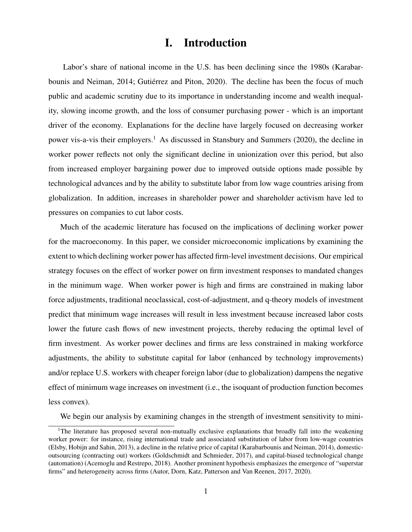# I. Introduction

Labor's share of national income in the U.S. has been declining since the 1980s [\(Karabar](#page-36-0)[bounis and Neiman, 2014;](#page-36-0) Gutiérrez and Piton, 2020). The decline has been the focus of much public and academic scrutiny due to its importance in understanding income and wealth inequality, slowing income growth, and the loss of consumer purchasing power - which is an important driver of the economy. Explanations for the decline have largely focused on decreasing worker power vis-a-vis their employers.<sup>[1](#page-1-0)</sup> As discussed in [Stansbury and Summers](#page-36-2) [\(2020\)](#page-36-2), the decline in worker power reflects not only the significant decline in unionization over this period, but also from increased employer bargaining power due to improved outside options made possible by technological advances and by the ability to substitute labor from low wage countries arising from globalization. In addition, increases in shareholder power and shareholder activism have led to pressures on companies to cut labor costs.

Much of the academic literature has focused on the implications of declining worker power for the macroeconomy. In this paper, we consider microeconomic implications by examining the extent to which declining worker power has affected firm-level investment decisions. Our empirical strategy focuses on the effect of worker power on firm investment responses to mandated changes in the minimum wage. When worker power is high and firms are constrained in making labor force adjustments, traditional neoclassical, cost-of-adjustment, and q-theory models of investment predict that minimum wage increases will result in less investment because increased labor costs lower the future cash flows of new investment projects, thereby reducing the optimal level of firm investment. As worker power declines and firms are less constrained in making workforce adjustments, the ability to substitute capital for labor (enhanced by technology improvements) and/or replace U.S. workers with cheaper foreign labor (due to globalization) dampens the negative effect of minimum wage increases on investment (i.e., the isoquant of production function becomes less convex).

<span id="page-1-0"></span>We begin our analysis by examining changes in the strength of investment sensitivity to mini-

<sup>&</sup>lt;sup>1</sup>The literature has proposed several non-mutually exclusive explanations that broadly fall into the weakening worker power: for instance, rising international trade and associated substitution of labor from low-wage countries [\(Elsby, Hobijn and Sahin, 2013\)](#page-35-0), a decline in the relative price of capital [\(Karabarbounis and Neiman, 2014\)](#page-36-0), domesticoutsourcing (contracting out) workers [\(Goldschmidt and Schmieder, 2017\)](#page-35-1), and capital-biased technological change (automation) [\(Acemoglu and Restrepo, 2018\)](#page-34-0). Another prominent hypothesis emphasizes the emergence of "superstar firms" and heterogeneity across firms [\(Autor, Dorn, Katz, Patterson and Van Reenen, 2017,](#page-34-1) [2020\)](#page-35-2).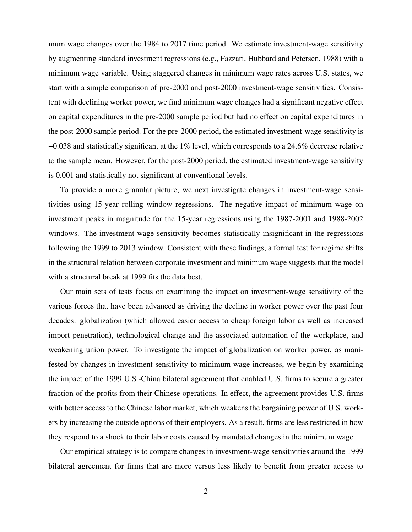mum wage changes over the 1984 to 2017 time period. We estimate investment-wage sensitivity by augmenting standard investment regressions (e.g., [Fazzari, Hubbard and Petersen, 1988\)](#page-35-3) with a minimum wage variable. Using staggered changes in minimum wage rates across U.S. states, we start with a simple comparison of pre-2000 and post-2000 investment-wage sensitivities. Consistent with declining worker power, we find minimum wage changes had a significant negative effect on capital expenditures in the pre-2000 sample period but had no effect on capital expenditures in the post-2000 sample period. For the pre-2000 period, the estimated investment-wage sensitivity is −0.038 and statistically significant at the 1% level, which corresponds to a 24.6% decrease relative to the sample mean. However, for the post-2000 period, the estimated investment-wage sensitivity is 0.001 and statistically not significant at conventional levels.

To provide a more granular picture, we next investigate changes in investment-wage sensitivities using 15-year rolling window regressions. The negative impact of minimum wage on investment peaks in magnitude for the 15-year regressions using the 1987-2001 and 1988-2002 windows. The investment-wage sensitivity becomes statistically insignificant in the regressions following the 1999 to 2013 window. Consistent with these findings, a formal test for regime shifts in the structural relation between corporate investment and minimum wage suggests that the model with a structural break at 1999 fits the data best.

Our main sets of tests focus on examining the impact on investment-wage sensitivity of the various forces that have been advanced as driving the decline in worker power over the past four decades: globalization (which allowed easier access to cheap foreign labor as well as increased import penetration), technological change and the associated automation of the workplace, and weakening union power. To investigate the impact of globalization on worker power, as manifested by changes in investment sensitivity to minimum wage increases, we begin by examining the impact of the 1999 U.S.-China bilateral agreement that enabled U.S. firms to secure a greater fraction of the profits from their Chinese operations. In effect, the agreement provides U.S. firms with better access to the Chinese labor market, which weakens the bargaining power of U.S. workers by increasing the outside options of their employers. As a result, firms are less restricted in how they respond to a shock to their labor costs caused by mandated changes in the minimum wage.

Our empirical strategy is to compare changes in investment-wage sensitivities around the 1999 bilateral agreement for firms that are more versus less likely to benefit from greater access to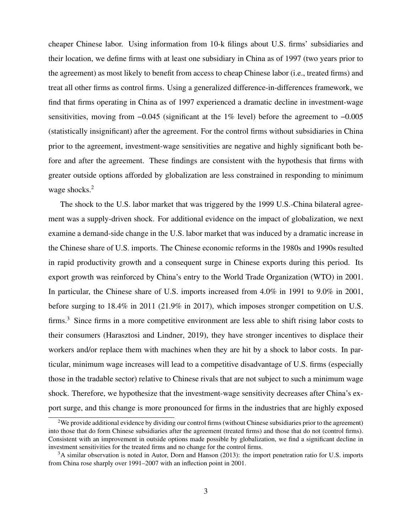cheaper Chinese labor. Using information from 10-k filings about U.S. firms' subsidiaries and their location, we define firms with at least one subsidiary in China as of 1997 (two years prior to the agreement) as most likely to benefit from access to cheap Chinese labor (i.e., treated firms) and treat all other firms as control firms. Using a generalized difference-in-differences framework, we find that firms operating in China as of 1997 experienced a dramatic decline in investment-wage sensitivities, moving from −0.045 (significant at the 1% level) before the agreement to −0.005 (statistically insignificant) after the agreement. For the control firms without subsidiaries in China prior to the agreement, investment-wage sensitivities are negative and highly significant both before and after the agreement. These findings are consistent with the hypothesis that firms with greater outside options afforded by globalization are less constrained in responding to minimum wage shocks.<sup>[2](#page-3-0)</sup>

The shock to the U.S. labor market that was triggered by the 1999 U.S.-China bilateral agreement was a supply-driven shock. For additional evidence on the impact of globalization, we next examine a demand-side change in the U.S. labor market that was induced by a dramatic increase in the Chinese share of U.S. imports. The Chinese economic reforms in the 1980s and 1990s resulted in rapid productivity growth and a consequent surge in Chinese exports during this period. Its export growth was reinforced by China's entry to the World Trade Organization (WTO) in 2001. In particular, the Chinese share of U.S. imports increased from 4.0% in 1991 to 9.0% in 2001, before surging to 18.4% in 2011 (21.9% in 2017), which imposes stronger competition on U.S. firms.<sup>[3](#page-3-1)</sup> Since firms in a more competitive environment are less able to shift rising labor costs to their consumers [\(Harasztosi and Lindner, 2019\)](#page-36-3), they have stronger incentives to displace their workers and/or replace them with machines when they are hit by a shock to labor costs. In particular, minimum wage increases will lead to a competitive disadvantage of U.S. firms (especially those in the tradable sector) relative to Chinese rivals that are not subject to such a minimum wage shock. Therefore, we hypothesize that the investment-wage sensitivity decreases after China's export surge, and this change is more pronounced for firms in the industries that are highly exposed

<span id="page-3-0"></span><sup>&</sup>lt;sup>2</sup>We provide additional evidence by dividing our control firms (without Chinese subsidiaries prior to the agreement) into those that do form Chinese subsidiaries after the agreement (treated firms) and those that do not (control firms). Consistent with an improvement in outside options made possible by globalization, we find a significant decline in investment sensitivities for the treated firms and no change for the control firms.

<span id="page-3-1"></span> $3A$  similar observation is noted in [Autor, Dorn and Hanson](#page-35-4) [\(2013\)](#page-35-4): the import penetration ratio for U.S. imports from China rose sharply over 1991–2007 with an inflection point in 2001.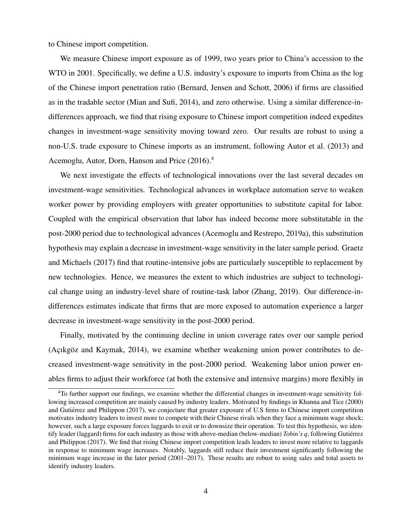to Chinese import competition.

We measure Chinese import exposure as of 1999, two years prior to China's accession to the WTO in 2001. Specifically, we define a U.S. industry's exposure to imports from China as the log of the Chinese import penetration ratio [\(Bernard, Jensen and Schott, 2006\)](#page-35-5) if firms are classified as in the tradable sector [\(Mian and Sufi, 2014\)](#page-36-4), and zero otherwise. Using a similar difference-indifferences approach, we find that rising exposure to Chinese import competition indeed expedites changes in investment-wage sensitivity moving toward zero. Our results are robust to using a non-U.S. trade exposure to Chinese imports as an instrument, following [Autor et al.](#page-35-4) [\(2013\)](#page-35-4) and [Acemoglu, Autor, Dorn, Hanson and Price](#page-34-2) [\(2016\)](#page-34-2).<sup>[4](#page-4-0)</sup>

We next investigate the effects of technological innovations over the last several decades on investment-wage sensitivities. Technological advances in workplace automation serve to weaken worker power by providing employers with greater opportunities to substitute capital for labor. Coupled with the empirical observation that labor has indeed become more substitutable in the post-2000 period due to technological advances [\(Acemoglu and Restrepo, 2019a\)](#page-34-3), this substitution hypothesis may explain a decrease in investment-wage sensitivity in the later sample period. [Graetz](#page-36-5) [and Michaels](#page-36-5) [\(2017\)](#page-36-5) find that routine-intensive jobs are particularly susceptible to replacement by new technologies. Hence, we measures the extent to which industries are subject to technological change using an industry-level share of routine-task labor [\(Zhang, 2019\)](#page-37-0). Our difference-indifferences estimates indicate that firms that are more exposed to automation experience a larger decrease in investment-wage sensitivity in the post-2000 period.

Finally, motivated by the continuing decline in union coverage rates over our sample period  $(Aqikgöz$  and Kaymak, 2014), we examine whether weakening union power contributes to decreased investment-wage sensitivity in the post-2000 period. Weakening labor union power enables firms to adjust their workforce (at both the extensive and intensive margins) more flexibly in

<span id="page-4-0"></span><sup>4</sup>To further support our findings, we examine whether the differential changes in investment-wage sensitivity following increased competition are mainly caused by industry leaders. Motivated by findings in [Khanna and Tice](#page-36-6) [\(2000\)](#page-36-6) and Gutiérrez and Philippon [\(2017\)](#page-36-7), we conjecture that greater exposure of U.S firms to Chinese import competition motivates industry leaders to invest more to compete with their Chinese rivals when they face a minimum wage shock; however, such a large exposure forces laggards to exit or to downsize their operation. To test this hypothesis, we identify leader (laggard) firms for each industry as those with above-median (below-median) *Tobin's q*, following [Gutierrez](#page-36-7) ´ [and Philippon](#page-36-7) [\(2017\)](#page-36-7). We find that rising Chinese import competition leads leaders to invest more relative to laggards in response to minimum wage increases. Notably, laggards still reduce their investment significantly following the minimum wage increase in the later period (2001–2017). These results are robust to using sales and total assets to identify industry leaders.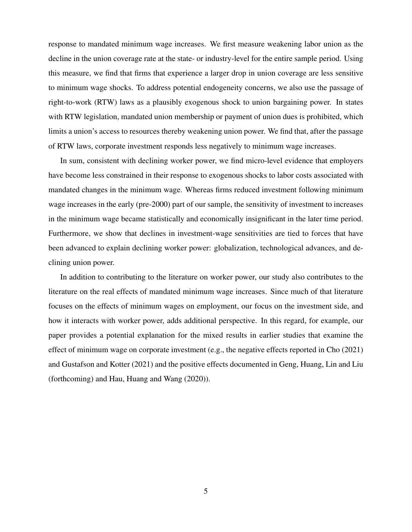response to mandated minimum wage increases. We first measure weakening labor union as the decline in the union coverage rate at the state- or industry-level for the entire sample period. Using this measure, we find that firms that experience a larger drop in union coverage are less sensitive to minimum wage shocks. To address potential endogeneity concerns, we also use the passage of right-to-work (RTW) laws as a plausibly exogenous shock to union bargaining power. In states with RTW legislation, mandated union membership or payment of union dues is prohibited, which limits a union's access to resources thereby weakening union power. We find that, after the passage of RTW laws, corporate investment responds less negatively to minimum wage increases.

In sum, consistent with declining worker power, we find micro-level evidence that employers have become less constrained in their response to exogenous shocks to labor costs associated with mandated changes in the minimum wage. Whereas firms reduced investment following minimum wage increases in the early (pre-2000) part of our sample, the sensitivity of investment to increases in the minimum wage became statistically and economically insignificant in the later time period. Furthermore, we show that declines in investment-wage sensitivities are tied to forces that have been advanced to explain declining worker power: globalization, technological advances, and declining union power.

In addition to contributing to the literature on worker power, our study also contributes to the literature on the real effects of mandated minimum wage increases. Since much of that literature focuses on the effects of minimum wages on employment, our focus on the investment side, and how it interacts with worker power, adds additional perspective. In this regard, for example, our paper provides a potential explanation for the mixed results in earlier studies that examine the effect of minimum wage on corporate investment (e.g., the negative effects reported in [Cho](#page-35-6) [\(2021\)](#page-35-6) and [Gustafson and Kotter](#page-36-8) [\(2021\)](#page-36-8) and the positive effects documented in [Geng, Huang, Lin and Liu](#page-35-7) [\(forthcoming\)](#page-35-7) and [Hau, Huang and Wang](#page-36-9) [\(2020\)](#page-36-9)).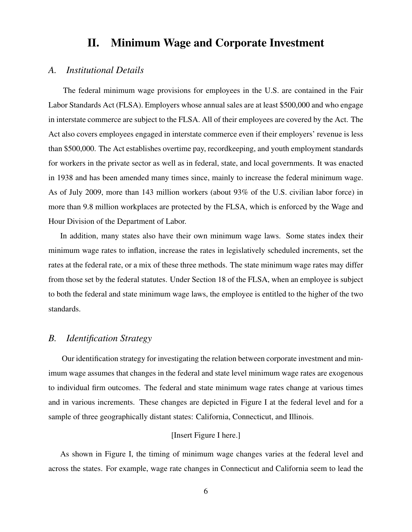# II. Minimum Wage and Corporate Investment

# *A. Institutional Details*

The federal minimum wage provisions for employees in the U.S. are contained in the Fair Labor Standards Act (FLSA). Employers whose annual sales are at least \$500,000 and who engage in interstate commerce are subject to the FLSA. All of their employees are covered by the Act. The Act also covers employees engaged in interstate commerce even if their employers' revenue is less than \$500,000. The Act establishes overtime pay, recordkeeping, and youth employment standards for workers in the private sector as well as in federal, state, and local governments. It was enacted in 1938 and has been amended many times since, mainly to increase the federal minimum wage. As of July 2009, more than 143 million workers (about 93% of the U.S. civilian labor force) in more than 9.8 million workplaces are protected by the FLSA, which is enforced by the Wage and Hour Division of the Department of Labor.

In addition, many states also have their own minimum wage laws. Some states index their minimum wage rates to inflation, increase the rates in legislatively scheduled increments, set the rates at the federal rate, or a mix of these three methods. The state minimum wage rates may differ from those set by the federal statutes. Under Section 18 of the FLSA, when an employee is subject to both the federal and state minimum wage laws, the employee is entitled to the higher of the two standards.

# <span id="page-6-0"></span>*B. Identification Strategy*

Our identification strategy for investigating the relation between corporate investment and minimum wage assumes that changes in the federal and state level minimum wage rates are exogenous to individual firm outcomes. The federal and state minimum wage rates change at various times and in various increments. These changes are depicted in Figure [I](#page-48-0) at the federal level and for a sample of three geographically distant states: California, Connecticut, and Illinois.

# [Insert Figure [I](#page-48-0) here.]

As shown in Figure [I,](#page-48-0) the timing of minimum wage changes varies at the federal level and across the states. For example, wage rate changes in Connecticut and California seem to lead the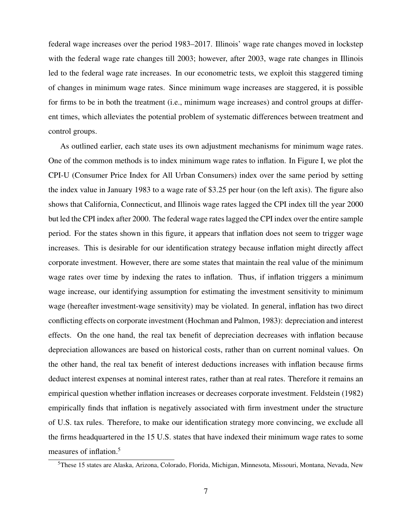federal wage increases over the period 1983–2017. Illinois' wage rate changes moved in lockstep with the federal wage rate changes till 2003; however, after 2003, wage rate changes in Illinois led to the federal wage rate increases. In our econometric tests, we exploit this staggered timing of changes in minimum wage rates. Since minimum wage increases are staggered, it is possible for firms to be in both the treatment (i.e., minimum wage increases) and control groups at different times, which alleviates the potential problem of systematic differences between treatment and control groups.

As outlined earlier, each state uses its own adjustment mechanisms for minimum wage rates. One of the common methods is to index minimum wage rates to inflation. In Figure [I,](#page-48-0) we plot the CPI-U (Consumer Price Index for All Urban Consumers) index over the same period by setting the index value in January 1983 to a wage rate of \$3.25 per hour (on the left axis). The figure also shows that California, Connecticut, and Illinois wage rates lagged the CPI index till the year 2000 but led the CPI index after 2000. The federal wage rates lagged the CPI index over the entire sample period. For the states shown in this figure, it appears that inflation does not seem to trigger wage increases. This is desirable for our identification strategy because inflation might directly affect corporate investment. However, there are some states that maintain the real value of the minimum wage rates over time by indexing the rates to inflation. Thus, if inflation triggers a minimum wage increase, our identifying assumption for estimating the investment sensitivity to minimum wage (hereafter investment-wage sensitivity) may be violated. In general, inflation has two direct conflicting effects on corporate investment [\(Hochman and Palmon, 1983\)](#page-36-10): depreciation and interest effects. On the one hand, the real tax benefit of depreciation decreases with inflation because depreciation allowances are based on historical costs, rather than on current nominal values. On the other hand, the real tax benefit of interest deductions increases with inflation because firms deduct interest expenses at nominal interest rates, rather than at real rates. Therefore it remains an empirical question whether inflation increases or decreases corporate investment. [Feldstein](#page-35-8) [\(1982\)](#page-35-8) empirically finds that inflation is negatively associated with firm investment under the structure of U.S. tax rules. Therefore, to make our identification strategy more convincing, we exclude all the firms headquartered in the 15 U.S. states that have indexed their minimum wage rates to some measures of inflation.<sup>[5](#page-7-0)</sup>

<span id="page-7-0"></span><sup>5</sup>These 15 states are Alaska, Arizona, Colorado, Florida, Michigan, Minnesota, Missouri, Montana, Nevada, New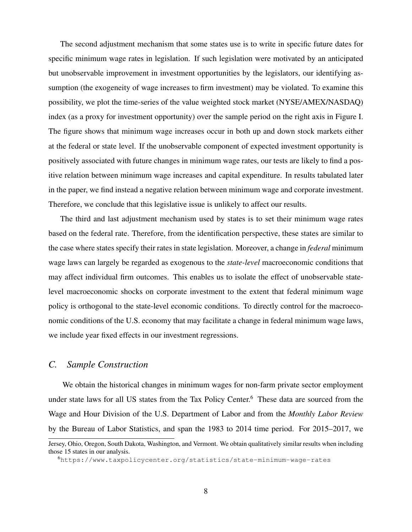The second adjustment mechanism that some states use is to write in specific future dates for specific minimum wage rates in legislation. If such legislation were motivated by an anticipated but unobservable improvement in investment opportunities by the legislators, our identifying assumption (the exogeneity of wage increases to firm investment) may be violated. To examine this possibility, we plot the time-series of the value weighted stock market (NYSE/AMEX/NASDAQ) index (as a proxy for investment opportunity) over the sample period on the right axis in Figure [I.](#page-48-0) The figure shows that minimum wage increases occur in both up and down stock markets either at the federal or state level. If the unobservable component of expected investment opportunity is positively associated with future changes in minimum wage rates, our tests are likely to find a positive relation between minimum wage increases and capital expenditure. In results tabulated later in the paper, we find instead a negative relation between minimum wage and corporate investment. Therefore, we conclude that this legislative issue is unlikely to affect our results.

The third and last adjustment mechanism used by states is to set their minimum wage rates based on the federal rate. Therefore, from the identification perspective, these states are similar to the case where states specify their rates in state legislation. Moreover, a change in *federal* minimum wage laws can largely be regarded as exogenous to the *state-level* macroeconomic conditions that may affect individual firm outcomes. This enables us to isolate the effect of unobservable statelevel macroeconomic shocks on corporate investment to the extent that federal minimum wage policy is orthogonal to the state-level economic conditions. To directly control for the macroeconomic conditions of the U.S. economy that may facilitate a change in federal minimum wage laws, we include year fixed effects in our investment regressions.

# *C. Sample Construction*

We obtain the historical changes in minimum wages for non-farm private sector employment under state laws for all US states from the Tax Policy Center.<sup>[6](#page-8-0)</sup> These data are sourced from the Wage and Hour Division of the U.S. Department of Labor and from the *Monthly Labor Review* by the Bureau of Labor Statistics, and span the 1983 to 2014 time period. For 2015–2017, we

Jersey, Ohio, Oregon, South Dakota, Washington, and Vermont. We obtain qualitatively similar results when including those 15 states in our analysis.

<span id="page-8-0"></span><sup>6</sup><https://www.taxpolicycenter.org/statistics/state-minimum-wage-rates>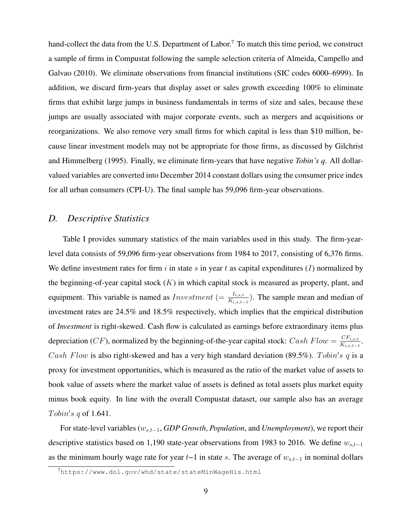hand-collect the data from the U.S. Department of Labor.<sup>[7](#page-9-0)</sup> To match this time period, we construct a sample of firms in Compustat following the sample selection criteria of [Almeida, Campello and](#page-34-4) [Galvao](#page-34-4) [\(2010\)](#page-34-4). We eliminate observations from financial institutions (SIC codes 6000–6999). In addition, we discard firm-years that display asset or sales growth exceeding 100% to eliminate firms that exhibit large jumps in business fundamentals in terms of size and sales, because these jumps are usually associated with major corporate events, such as mergers and acquisitions or reorganizations. We also remove very small firms for which capital is less than \$10 million, because linear investment models may not be appropriate for those firms, as discussed by [Gilchrist](#page-35-9) [and Himmelberg](#page-35-9) [\(1995\)](#page-35-9). Finally, we eliminate firm-years that have negative *Tobin's q*. All dollarvalued variables are converted into December 2014 constant dollars using the consumer price index for all urban consumers (CPI-U). The final sample has 59,096 firm-year observations.

# *D. Descriptive Statistics*

Table [I](#page-38-0) provides summary statistics of the main variables used in this study. The firm-yearlevel data consists of 59,096 firm-year observations from 1984 to 2017, consisting of 6,376 firms. We define investment rates for firm i in state s in year t as capital expenditures  $(I)$  normalized by the beginning-of-year capital stock  $(K)$  in which capital stock is measured as property, plant, and equipment. This variable is named as  $Investment$  (=  $\frac{I_{i,s,t}}{K_{i,s,t-1}}$ ). The sample mean and median of investment rates are 24.5% and 18.5% respectively, which implies that the empirical distribution of *Investment* is right-skewed. Cash flow is calculated as earnings before extraordinary items plus depreciation (CF), normalized by the beginning-of-the-year capital stock:  $Cash Flow = \frac{CF_{i,s,t}}{K}$  $\frac{\sigma_{Fi,s,t}}{K_{i,s,t-1}}$ . Cash Flow is also right-skewed and has a very high standard deviation (89.5%). Tobin's  $q$  is a proxy for investment opportunities, which is measured as the ratio of the market value of assets to book value of assets where the market value of assets is defined as total assets plus market equity minus book equity. In line with the overall Compustat dataset, our sample also has an average Tobin's q of  $1.641$ .

For state-level variables (ws,t−1, *GDP Growth*, *Population*, and *Unemployment*), we report their descriptive statistics based on 1,190 state-year observations from 1983 to 2016. We define  $w_{s,t-1}$ as the minimum hourly wage rate for year  $t-1$  in state s. The average of  $w_{s,t-1}$  in nominal dollars

<span id="page-9-0"></span><sup>7</sup><https://www.dol.gov/whd/state/stateMinWageHis.html>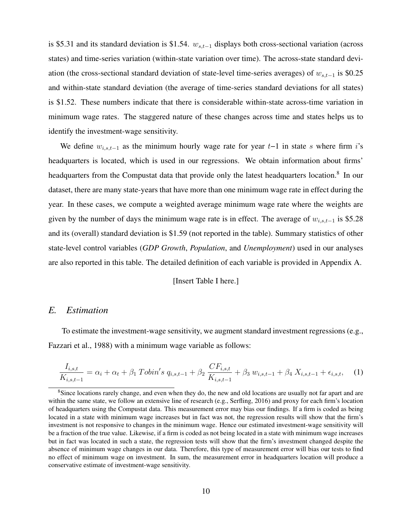is \$5.31 and its standard deviation is \$1.54.  $w_{s,t-1}$  displays both cross-sectional variation (across states) and time-series variation (within-state variation over time). The across-state standard deviation (the cross-sectional standard deviation of state-level time-series averages) of  $w_{s,t-1}$  is \$0.25 and within-state standard deviation (the average of time-series standard deviations for all states) is \$1.52. These numbers indicate that there is considerable within-state across-time variation in minimum wage rates. The staggered nature of these changes across time and states helps us to identify the investment-wage sensitivity.

We define  $w_{i,s,t-1}$  as the minimum hourly wage rate for year  $t-1$  in state s where firm i's headquarters is located, which is used in our regressions. We obtain information about firms' headquarters from the Compustat data that provide only the latest headquarters location.<sup>[8](#page-10-0)</sup> In our dataset, there are many state-years that have more than one minimum wage rate in effect during the year. In these cases, we compute a weighted average minimum wage rate where the weights are given by the number of days the minimum wage rate is in effect. The average of  $w_{i,s,t-1}$  is \$5.28 and its (overall) standard deviation is \$1.59 (not reported in the table). Summary statistics of other state-level control variables (*GDP Growth*, *Population*, and *Unemployment*) used in our analyses are also reported in this table. The detailed definition of each variable is provided in [Appendix A.](#page-52-0)

# <span id="page-10-1"></span>[Insert Table [I](#page-38-0) here.]

# <span id="page-10-2"></span>*E. Estimation*

To estimate the investment-wage sensitivity, we augment standard investment regressions (e.g., [Fazzari et al., 1988\)](#page-35-3) with a minimum wage variable as follows:

$$
\frac{I_{i,s,t}}{K_{i,s,t-1}} = \alpha_i + \alpha_t + \beta_1 \text{ Tobin's } q_{i,s,t-1} + \beta_2 \frac{CF_{i,s,t}}{K_{i,s,t-1}} + \beta_3 w_{i,s,t-1} + \beta_4 X_{i,s,t-1} + \epsilon_{i,s,t}, \quad (1)
$$

<span id="page-10-0"></span><sup>&</sup>lt;sup>8</sup>Since locations rarely change, and even when they do, the new and old locations are usually not far apart and are within the same state, we follow an extensive line of research (e.g., [Serfling, 2016\)](#page-36-11) and proxy for each firm's location of headquarters using the Compustat data. This measurement error may bias our findings. If a firm is coded as being located in a state with minimum wage increases but in fact was not, the regression results will show that the firm's investment is not responsive to changes in the minimum wage. Hence our estimated investment-wage sensitivity will be a fraction of the true value. Likewise, if a firm is coded as not being located in a state with minimum wage increases but in fact was located in such a state, the regression tests will show that the firm's investment changed despite the absence of minimum wage changes in our data. Therefore, this type of measurement error will bias our tests to find no effect of minimum wage on investment. In sum, the measurement error in headquarters location will produce a conservative estimate of investment-wage sensitivity.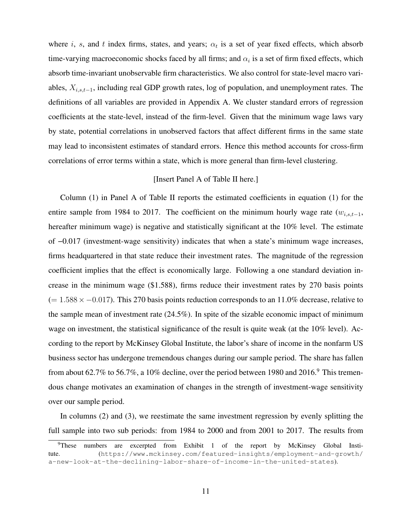where i, s, and t index firms, states, and years;  $\alpha_t$  is a set of year fixed effects, which absorb time-varying macroeconomic shocks faced by all firms; and  $\alpha_i$  is a set of firm fixed effects, which absorb time-invariant unobservable firm characteristics. We also control for state-level macro variables,  $X_{i,s,t-1}$ , including real GDP growth rates, log of population, and unemployment rates. The definitions of all variables are provided in [Appendix A.](#page-52-0) We cluster standard errors of regression coefficients at the state-level, instead of the firm-level. Given that the minimum wage laws vary by state, potential correlations in unobserved factors that affect different firms in the same state may lead to inconsistent estimates of standard errors. Hence this method accounts for cross-firm correlations of error terms within a state, which is more general than firm-level clustering.

# [Insert Panel A of Table [II](#page-39-0) here.]

Column (1) in Panel A of Table [II](#page-39-0) reports the estimated coefficients in equation [\(1\)](#page-10-1) for the entire sample from 1984 to 2017. The coefficient on the minimum hourly wage rate  $(w_{i,s,t-1},$ hereafter minimum wage) is negative and statistically significant at the 10% level. The estimate of −0.017 (investment-wage sensitivity) indicates that when a state's minimum wage increases, firms headquartered in that state reduce their investment rates. The magnitude of the regression coefficient implies that the effect is economically large. Following a one standard deviation increase in the minimum wage (\$1.588), firms reduce their investment rates by 270 basis points  $(= 1.588 \times -0.017)$ . This 270 basis points reduction corresponds to an 11.0% decrease, relative to the sample mean of investment rate (24.5%). In spite of the sizable economic impact of minimum wage on investment, the statistical significance of the result is quite weak (at the 10% level). According to the report by McKinsey Global Institute, the labor's share of income in the nonfarm US business sector has undergone tremendous changes during our sample period. The share has fallen from about 62.7% to 56.7%, a 10% decline, over the period between 1[9](#page-11-0)80 and 2016.<sup>9</sup> This tremendous change motivates an examination of changes in the strength of investment-wage sensitivity over our sample period.

In columns (2) and (3), we reestimate the same investment regression by evenly splitting the full sample into two sub periods: from 1984 to 2000 and from 2001 to 2017. The results from

<span id="page-11-0"></span><sup>&</sup>lt;sup>9</sup>These numbers are excerpted from Exhibit 1 of the report by McKinsey Global Institute. ([https://www.mckinsey.com/featured-insights/employment-and-growth/](https://www.mckinsey.com/featured-insights/employment-and-growth/a-new-look-at-the-declining-labor-share-of-income-in-the-united-states) [a-new-look-at-the-declining-labor-share-of-income-in-the-united-states](https://www.mckinsey.com/featured-insights/employment-and-growth/a-new-look-at-the-declining-labor-share-of-income-in-the-united-states)).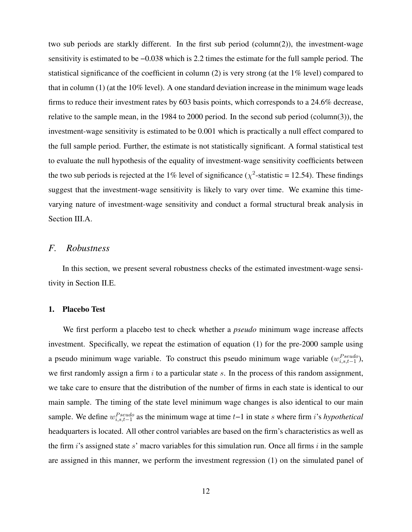two sub periods are starkly different. In the first sub period (column(2)), the investment-wage sensitivity is estimated to be −0.038 which is 2.2 times the estimate for the full sample period. The statistical significance of the coefficient in column (2) is very strong (at the 1% level) compared to that in column  $(1)$  (at the 10% level). A one standard deviation increase in the minimum wage leads firms to reduce their investment rates by 603 basis points, which corresponds to a 24.6% decrease, relative to the sample mean, in the 1984 to 2000 period. In the second sub period (column(3)), the investment-wage sensitivity is estimated to be 0.001 which is practically a null effect compared to the full sample period. Further, the estimate is not statistically significant. A formal statistical test to evaluate the null hypothesis of the equality of investment-wage sensitivity coefficients between the two sub periods is rejected at the 1% level of significance ( $\chi^2$ -statistic = 12.54). These findings suggest that the investment-wage sensitivity is likely to vary over time. We examine this timevarying nature of investment-wage sensitivity and conduct a formal structural break analysis in Section [III.A.](#page-15-0)

# *F. Robustness*

In this section, we present several robustness checks of the estimated investment-wage sensitivity in Section [II.E.](#page-10-2)

# 1. Placebo Test

We first perform a placebo test to check whether a *pseudo* minimum wage increase affects investment. Specifically, we repeat the estimation of equation [\(1\)](#page-10-1) for the pre-2000 sample using a pseudo minimum wage variable. To construct this pseudo minimum wage variable  $(w_{i,s,t-1}^{Pseudo})$ , we first randomly assign a firm  $i$  to a particular state  $s$ . In the process of this random assignment, we take care to ensure that the distribution of the number of firms in each state is identical to our main sample. The timing of the state level minimum wage changes is also identical to our main sample. We define  $w_{i,s,t-1}^{Pseudo}$  as the minimum wage at time  $t-1$  in state s where firm i's *hypothetical* headquarters is located. All other control variables are based on the firm's characteristics as well as the firm i's assigned state s' macro variables for this simulation run. Once all firms i in the sample are assigned in this manner, we perform the investment regression [\(1\)](#page-10-1) on the simulated panel of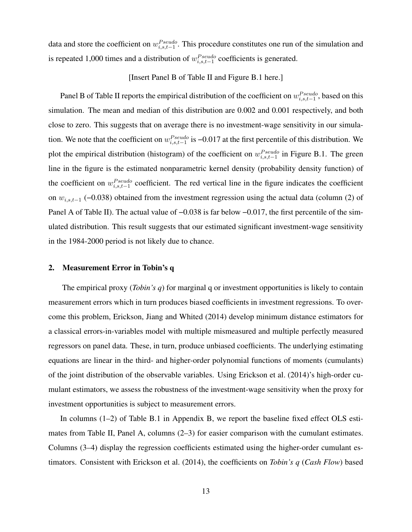data and store the coefficient on  $w_{i,s,t-1}^{Pseudo}$ . This procedure constitutes one run of the simulation and is repeated 1,000 times and a distribution of  $w_{i,s,t-1}^{Pseudo}$  coefficients is generated.

# [Insert Panel B of Table [II](#page-39-0) and Figure [B.1](#page-58-0) here.]

Panel B of Table [II](#page-39-0) reports the empirical distribution of the coefficient on  $w^{Pseudo}_{i,s,t-1}$ , based on this simulation. The mean and median of this distribution are 0.002 and 0.001 respectively, and both close to zero. This suggests that on average there is no investment-wage sensitivity in our simulation. We note that the coefficient on  $w_{i,s,t-1}^{Pseudo}$  is -0.017 at the first percentile of this distribution. We plot the empirical distribution (histogram) of the coefficient on  $w_{i,s,t-1}^{Pseudo}$  in Figure [B.1.](#page-58-0) The green line in the figure is the estimated nonparametric kernel density (probability density function) of the coefficient on  $w_{i,s,t-1}^{Pseudo}$  coefficient. The red vertical line in the figure indicates the coefficient on  $w_{i,s,t-1}$  (−0.038) obtained from the investment regression using the actual data (column (2) of Panel A of Table [II\)](#page-39-0). The actual value of  $-0.038$  is far below  $-0.017$ , the first percentile of the simulated distribution. This result suggests that our estimated significant investment-wage sensitivity in the 1984-2000 period is not likely due to chance.

# 2. Measurement Error in Tobin's q

The empirical proxy (*Tobin's q*) for marginal q or investment opportunities is likely to contain measurement errors which in turn produces biased coefficients in investment regressions. To overcome this problem, [Erickson, Jiang and Whited](#page-35-10) [\(2014\)](#page-35-10) develop minimum distance estimators for a classical errors-in-variables model with multiple mismeasured and multiple perfectly measured regressors on panel data. These, in turn, produce unbiased coefficients. The underlying estimating equations are linear in the third- and higher-order polynomial functions of moments (cumulants) of the joint distribution of the observable variables. Using [Erickson et al.](#page-35-10) [\(2014\)](#page-35-10)'s high-order cumulant estimators, we assess the robustness of the investment-wage sensitivity when the proxy for investment opportunities is subject to measurement errors.

In columns (1–2) of Table [B.1](#page-54-0) in [Appendix B,](#page-54-1) we report the baseline fixed effect OLS estimates from Table [II,](#page-39-0) Panel A, columns (2–3) for easier comparison with the cumulant estimates. Columns (3–4) display the regression coefficients estimated using the higher-order cumulant estimators. Consistent with [Erickson et al.](#page-35-10) [\(2014\)](#page-35-10), the coefficients on *Tobin's q* (*Cash Flow*) based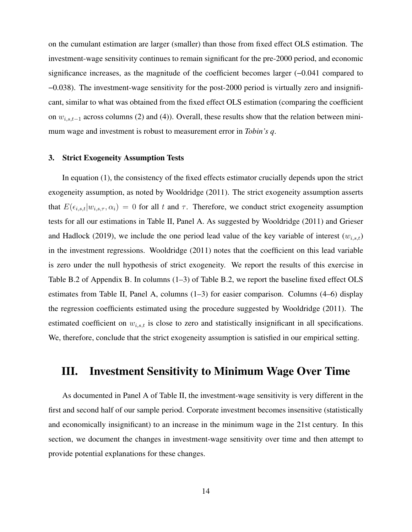on the cumulant estimation are larger (smaller) than those from fixed effect OLS estimation. The investment-wage sensitivity continues to remain significant for the pre-2000 period, and economic significance increases, as the magnitude of the coefficient becomes larger (−0.041 compared to −0.038). The investment-wage sensitivity for the post-2000 period is virtually zero and insignificant, similar to what was obtained from the fixed effect OLS estimation (comparing the coefficient on  $w_{i,s,t-1}$  across columns (2) and (4)). Overall, these results show that the relation between minimum wage and investment is robust to measurement error in *Tobin's q*.

# 3. Strict Exogeneity Assumption Tests

In equation [\(1\)](#page-10-1), the consistency of the fixed effects estimator crucially depends upon the strict exogeneity assumption, as noted by [Wooldridge](#page-37-2) [\(2011\)](#page-37-2). The strict exogeneity assumption asserts that  $E(\epsilon_{i,s,t}|w_{i,s,\tau}, \alpha_i) = 0$  for all t and  $\tau$ . Therefore, we conduct strict exogeneity assumption tests for all our estimations in Table [II,](#page-39-0) Panel A. As suggested by [Wooldridge](#page-37-2) [\(2011\)](#page-37-2) and [Grieser](#page-36-12) [and Hadlock](#page-36-12) [\(2019\)](#page-36-12), we include the one period lead value of the key variable of interest  $(w_{i,s,t})$ in the investment regressions. [Wooldridge](#page-37-2) [\(2011\)](#page-37-2) notes that the coefficient on this lead variable is zero under the null hypothesis of strict exogeneity. We report the results of this exercise in Table [B.2](#page-55-0) of [Appendix B.](#page-54-1) In columns (1–3) of Table [B.2,](#page-55-0) we report the baseline fixed effect OLS estimates from Table [II,](#page-39-0) Panel A, columns (1–3) for easier comparison. Columns (4–6) display the regression coefficients estimated using the procedure suggested by [Wooldridge](#page-37-2) [\(2011\)](#page-37-2). The estimated coefficient on  $w_{i,s,t}$  is close to zero and statistically insignificant in all specifications. We, therefore, conclude that the strict exogeneity assumption is satisfied in our empirical setting.

# III. Investment Sensitivity to Minimum Wage Over Time

As documented in Panel A of Table [II,](#page-39-0) the investment-wage sensitivity is very different in the first and second half of our sample period. Corporate investment becomes insensitive (statistically and economically insignificant) to an increase in the minimum wage in the 21st century. In this section, we document the changes in investment-wage sensitivity over time and then attempt to provide potential explanations for these changes.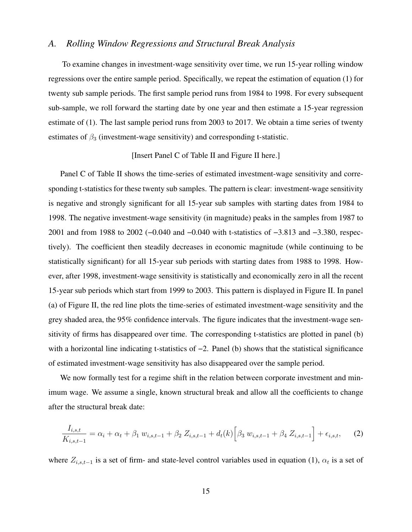# <span id="page-15-0"></span>*A. Rolling Window Regressions and Structural Break Analysis*

To examine changes in investment-wage sensitivity over time, we run 15-year rolling window regressions over the entire sample period. Specifically, we repeat the estimation of equation [\(1\)](#page-10-1) for twenty sub sample periods. The first sample period runs from 1984 to 1998. For every subsequent sub-sample, we roll forward the starting date by one year and then estimate a 15-year regression estimate of [\(1\)](#page-10-1). The last sample period runs from 2003 to 2017. We obtain a time series of twenty estimates of  $\beta_3$  (investment-wage sensitivity) and corresponding t-statistic.

# [Insert Panel C of Table [II](#page-40-0) and Figure [II](#page-49-0) here.]

Panel C of Table [II](#page-39-0) shows the time-series of estimated investment-wage sensitivity and corresponding t-statistics for these twenty sub samples. The pattern is clear: investment-wage sensitivity is negative and strongly significant for all 15-year sub samples with starting dates from 1984 to 1998. The negative investment-wage sensitivity (in magnitude) peaks in the samples from 1987 to 2001 and from 1988 to 2002 (−0.040 and −0.040 with t-statistics of −3.813 and −3.380, respectively). The coefficient then steadily decreases in economic magnitude (while continuing to be statistically significant) for all 15-year sub periods with starting dates from 1988 to 1998. However, after 1998, investment-wage sensitivity is statistically and economically zero in all the recent 15-year sub periods which start from 1999 to 2003. This pattern is displayed in Figure [II.](#page-49-0) In panel (a) of Figure [II,](#page-49-0) the red line plots the time-series of estimated investment-wage sensitivity and the grey shaded area, the 95% confidence intervals. The figure indicates that the investment-wage sensitivity of firms has disappeared over time. The corresponding t-statistics are plotted in panel (b) with a horizontal line indicating t-statistics of −2. Panel (b) shows that the statistical significance of estimated investment-wage sensitivity has also disappeared over the sample period.

We now formally test for a regime shift in the relation between corporate investment and minimum wage. We assume a single, known structural break and allow all the coefficients to change after the structural break date:

$$
\frac{I_{i,s,t}}{K_{i,s,t-1}} = \alpha_i + \alpha_t + \beta_1 w_{i,s,t-1} + \beta_2 Z_{i,s,t-1} + d_t(k) \left[ \beta_3 w_{i,s,t-1} + \beta_4 Z_{i,s,t-1} \right] + \epsilon_{i,s,t}, \quad (2)
$$

where  $Z_{i,s,t-1}$  is a set of firm- and state-level control variables used in equation [\(1\)](#page-10-1),  $\alpha_t$  is a set of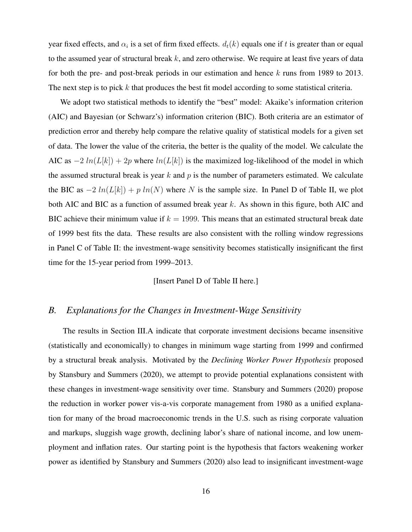year fixed effects, and  $\alpha_i$  is a set of firm fixed effects.  $d_t(k)$  equals one if t is greater than or equal to the assumed year of structural break  $k$ , and zero otherwise. We require at least five years of data for both the pre- and post-break periods in our estimation and hence k runs from 1989 to 2013. The next step is to pick  $k$  that produces the best fit model according to some statistical criteria.

We adopt two statistical methods to identify the "best" model: Akaike's information criterion (AIC) and Bayesian (or Schwarz's) information criterion (BIC). Both criteria are an estimator of prediction error and thereby help compare the relative quality of statistical models for a given set of data. The lower the value of the criteria, the better is the quality of the model. We calculate the AIC as  $-2 ln(L[k]) + 2p$  where  $ln(L[k])$  is the maximized log-likelihood of the model in which the assumed structural break is year  $k$  and  $p$  is the number of parameters estimated. We calculate the BIC as  $-2 ln(L[k]) + p ln(N)$  where N is the sample size. In Panel D of Table [II,](#page-41-0) we plot both AIC and BIC as a function of assumed break year k. As shown in this figure, both AIC and BIC achieve their minimum value if  $k = 1999$ . This means that an estimated structural break date of 1999 best fits the data. These results are also consistent with the rolling window regressions in Panel C of Table [II:](#page-40-0) the investment-wage sensitivity becomes statistically insignificant the first time for the 15-year period from 1999–2013.

[Insert Panel D of Table [II](#page-41-0) here.]

# *B. Explanations for the Changes in Investment-Wage Sensitivity*

The results in Section [III.A](#page-15-0) indicate that corporate investment decisions became insensitive (statistically and economically) to changes in minimum wage starting from 1999 and confirmed by a structural break analysis. Motivated by the *Declining Worker Power Hypothesis* proposed by [Stansbury and Summers](#page-36-2) [\(2020\)](#page-36-2), we attempt to provide potential explanations consistent with these changes in investment-wage sensitivity over time. [Stansbury and Summers](#page-36-2) [\(2020\)](#page-36-2) propose the reduction in worker power vis-a-vis corporate management from 1980 as a unified explanation for many of the broad macroeconomic trends in the U.S. such as rising corporate valuation and markups, sluggish wage growth, declining labor's share of national income, and low unemployment and inflation rates. Our starting point is the hypothesis that factors weakening worker power as identified by [Stansbury and Summers](#page-36-2) [\(2020\)](#page-36-2) also lead to insignificant investment-wage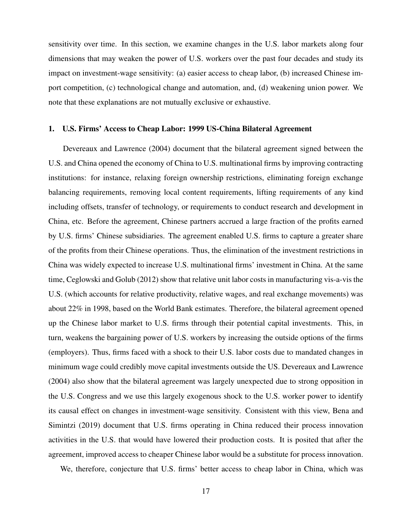sensitivity over time. In this section, we examine changes in the U.S. labor markets along four dimensions that may weaken the power of U.S. workers over the past four decades and study its impact on investment-wage sensitivity: (a) easier access to cheap labor, (b) increased Chinese import competition, (c) technological change and automation, and, (d) weakening union power. We note that these explanations are not mutually exclusive or exhaustive.

# 1. U.S. Firms' Access to Cheap Labor: 1999 US-China Bilateral Agreement

[Devereaux and Lawrence](#page-35-11) [\(2004\)](#page-35-11) document that the bilateral agreement signed between the U.S. and China opened the economy of China to U.S. multinational firms by improving contracting institutions: for instance, relaxing foreign ownership restrictions, eliminating foreign exchange balancing requirements, removing local content requirements, lifting requirements of any kind including offsets, transfer of technology, or requirements to conduct research and development in China, etc. Before the agreement, Chinese partners accrued a large fraction of the profits earned by U.S. firms' Chinese subsidiaries. The agreement enabled U.S. firms to capture a greater share of the profits from their Chinese operations. Thus, the elimination of the investment restrictions in China was widely expected to increase U.S. multinational firms' investment in China. At the same time, [Ceglowski and Golub](#page-35-12) [\(2012\)](#page-35-12) show that relative unit labor costs in manufacturing vis-a-vis the U.S. (which accounts for relative productivity, relative wages, and real exchange movements) was about 22% in 1998, based on the World Bank estimates. Therefore, the bilateral agreement opened up the Chinese labor market to U.S. firms through their potential capital investments. This, in turn, weakens the bargaining power of U.S. workers by increasing the outside options of the firms (employers). Thus, firms faced with a shock to their U.S. labor costs due to mandated changes in minimum wage could credibly move capital investments outside the US. [Devereaux and Lawrence](#page-35-11) [\(2004\)](#page-35-11) also show that the bilateral agreement was largely unexpected due to strong opposition in the U.S. Congress and we use this largely exogenous shock to the U.S. worker power to identify its causal effect on changes in investment-wage sensitivity. Consistent with this view, [Bena and](#page-35-13) [Simintzi](#page-35-13) [\(2019\)](#page-35-13) document that U.S. firms operating in China reduced their process innovation activities in the U.S. that would have lowered their production costs. It is posited that after the agreement, improved access to cheaper Chinese labor would be a substitute for process innovation.

We, therefore, conjecture that U.S. firms' better access to cheap labor in China, which was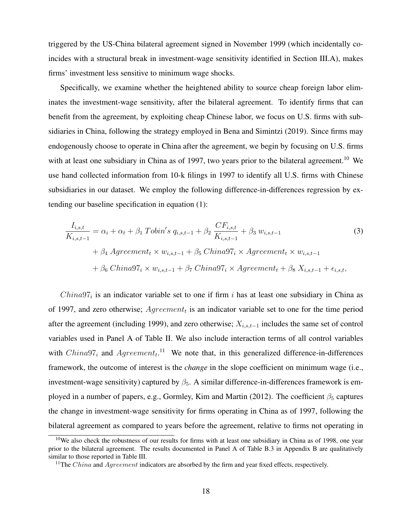triggered by the US-China bilateral agreement signed in November 1999 (which incidentally coincides with a structural break in investment-wage sensitivity identified in Section [III.A\)](#page-15-0), makes firms' investment less sensitive to minimum wage shocks.

Specifically, we examine whether the heightened ability to source cheap foreign labor eliminates the investment-wage sensitivity, after the bilateral agreement. To identify firms that can benefit from the agreement, by exploiting cheap Chinese labor, we focus on U.S. firms with subsidiaries in China, following the strategy employed in [Bena and Simintzi](#page-35-13) [\(2019\)](#page-35-13). Since firms may endogenously choose to operate in China after the agreement, we begin by focusing on U.S. firms with at least one subsidiary in China as of 1997, two years prior to the bilateral agreement.<sup>[10](#page-18-0)</sup> We use hand collected information from 10-k filings in 1997 to identify all U.S. firms with Chinese subsidiaries in our dataset. We employ the following difference-in-differences regression by extending our baseline specification in equation [\(1\)](#page-10-1):

<span id="page-18-2"></span>
$$
\frac{I_{i,s,t}}{K_{i,s,t-1}} = \alpha_i + \alpha_t + \beta_1 \text{ Tobin's } q_{i,s,t-1} + \beta_2 \frac{CF_{i,s,t}}{K_{i,s,t-1}} + \beta_3 w_{i,s,t-1}
$$
\n
$$
+ \beta_4 \text{Agreement}_{t} \times w_{i,s,t-1} + \beta_5 \text{China97}_{i} \times \text{Agreement}_{t} \times w_{i,s,t-1}
$$
\n
$$
+ \beta_6 \text{China97}_{i} \times w_{i,s,t-1} + \beta_7 \text{China97}_{i} \times \text{Agreement}_{t} + \beta_8 X_{i,s,t-1} + \epsilon_{i,s,t},
$$
\n
$$
(3)
$$

 $China97<sub>i</sub>$  is an indicator variable set to one if firm i has at least one subsidiary in China as of 1997, and zero otherwise;  $Agreement_t$  is an indicator variable set to one for the time period after the agreement (including 1999), and zero otherwise;  $X_{i,s,t-1}$  includes the same set of control variables used in Panel A of Table [II.](#page-39-0) We also include interaction terms of all control variables with  $China97_i$  and  $Agreement_t$ .<sup>[11](#page-18-1)</sup> We note that, in this generalized difference-in-differences framework, the outcome of interest is the *change* in the slope coefficient on minimum wage (i.e., investment-wage sensitivity) captured by  $\beta_5$ . A similar difference-in-differences framework is em-ployed in a number of papers, e.g., [Gormley, Kim and Martin](#page-36-13) [\(2012\)](#page-36-13). The coefficient  $\beta_5$  captures the change in investment-wage sensitivity for firms operating in China as of 1997, following the bilateral agreement as compared to years before the agreement, relative to firms not operating in

<span id="page-18-0"></span> $10$ We also check the robustness of our results for firms with at least one subsidiary in China as of 1998, one year prior to the bilateral agreement. The results documented in Panel A of Table [B.3](#page-56-0) in [Appendix B](#page-54-1) are qualitatively similar to those reported in Table [III.](#page-42-0)

<span id="page-18-1"></span><sup>&</sup>lt;sup>11</sup>The *China* and *Agreement* indicators are absorbed by the firm and year fixed effects, respectively.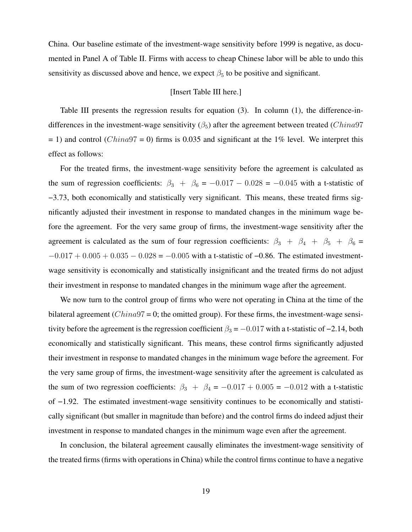China. Our baseline estimate of the investment-wage sensitivity before 1999 is negative, as documented in Panel A of Table [II.](#page-39-0) Firms with access to cheap Chinese labor will be able to undo this sensitivity as discussed above and hence, we expect  $\beta_5$  to be positive and significant.

# [Insert Table [III](#page-42-0) here.]

Table [III](#page-42-0) presents the regression results for equation [\(3\)](#page-18-2). In column (1), the difference-indifferences in the investment-wage sensitivity  $(\beta_5)$  after the agreement between treated (China97)  $= 1$ ) and control (*China97* = 0) firms is 0.035 and significant at the 1% level. We interpret this effect as follows:

For the treated firms, the investment-wage sensitivity before the agreement is calculated as the sum of regression coefficients:  $\beta_3$  +  $\beta_6$  = -0.017 - 0.028 = -0.045 with a t-statistic of −3.73, both economically and statistically very significant. This means, these treated firms significantly adjusted their investment in response to mandated changes in the minimum wage before the agreement. For the very same group of firms, the investment-wage sensitivity after the agreement is calculated as the sum of four regression coefficients:  $\beta_3 + \beta_4 + \beta_5 + \beta_6 =$  $-0.017 + 0.005 + 0.035 - 0.028 = -0.005$  with a t-statistic of -0.86. The estimated investmentwage sensitivity is economically and statistically insignificant and the treated firms do not adjust their investment in response to mandated changes in the minimum wage after the agreement.

We now turn to the control group of firms who were not operating in China at the time of the bilateral agreement ( $China97 = 0$ ; the omitted group). For these firms, the investment-wage sensitivity before the agreement is the regression coefficient  $\beta_3 = -0.017$  with a t-statistic of -2.14, both economically and statistically significant. This means, these control firms significantly adjusted their investment in response to mandated changes in the minimum wage before the agreement. For the very same group of firms, the investment-wage sensitivity after the agreement is calculated as the sum of two regression coefficients:  $\beta_3$  +  $\beta_4$  = -0.017 + 0.005 = -0.012 with a t-statistic of −1.92. The estimated investment-wage sensitivity continues to be economically and statistically significant (but smaller in magnitude than before) and the control firms do indeed adjust their investment in response to mandated changes in the minimum wage even after the agreement.

In conclusion, the bilateral agreement causally eliminates the investment-wage sensitivity of the treated firms (firms with operations in China) while the control firms continue to have a negative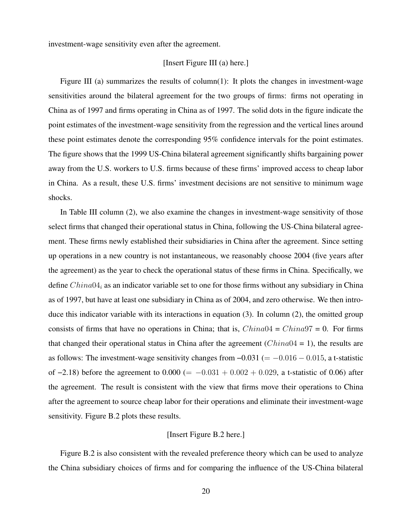investment-wage sensitivity even after the agreement.

# [Insert Figure [III](#page-50-0) (a) here.]

Figure [III](#page-50-0) (a) summarizes the results of column(1): It plots the changes in investment-wage sensitivities around the bilateral agreement for the two groups of firms: firms not operating in China as of 1997 and firms operating in China as of 1997. The solid dots in the figure indicate the point estimates of the investment-wage sensitivity from the regression and the vertical lines around these point estimates denote the corresponding 95% confidence intervals for the point estimates. The figure shows that the 1999 US-China bilateral agreement significantly shifts bargaining power away from the U.S. workers to U.S. firms because of these firms' improved access to cheap labor in China. As a result, these U.S. firms' investment decisions are not sensitive to minimum wage shocks.

In Table [III](#page-42-0) column (2), we also examine the changes in investment-wage sensitivity of those select firms that changed their operational status in China, following the US-China bilateral agreement. These firms newly established their subsidiaries in China after the agreement. Since setting up operations in a new country is not instantaneous, we reasonably choose 2004 (five years after the agreement) as the year to check the operational status of these firms in China. Specifically, we define  $China04<sub>i</sub>$  as an indicator variable set to one for those firms without any subsidiary in China as of 1997, but have at least one subsidiary in China as of 2004, and zero otherwise. We then introduce this indicator variable with its interactions in equation [\(3\)](#page-18-2). In column (2), the omitted group consists of firms that have no operations in China; that is,  $China04 = China97 = 0$ . For firms that changed their operational status in China after the agreement  $(China04 = 1)$ , the results are as follows: The investment-wage sensitivity changes from  $-0.031 (= -0.016 - 0.015, a t-statistic$ of  $-2.18$ ) before the agreement to 0.000 (=  $-0.031 + 0.002 + 0.029$ , a t-statistic of 0.06) after the agreement. The result is consistent with the view that firms move their operations to China after the agreement to source cheap labor for their operations and eliminate their investment-wage sensitivity. Figure [B.2](#page-59-0) plots these results.

# [Insert Figure [B.2](#page-59-0) here.]

Figure [B.2](#page-59-0) is also consistent with the revealed preference theory which can be used to analyze the China subsidiary choices of firms and for comparing the influence of the US-China bilateral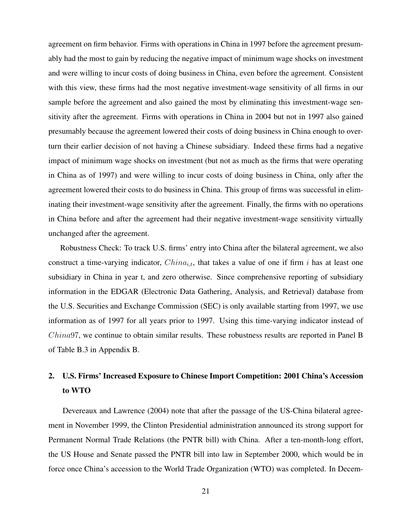agreement on firm behavior. Firms with operations in China in 1997 before the agreement presumably had the most to gain by reducing the negative impact of minimum wage shocks on investment and were willing to incur costs of doing business in China, even before the agreement. Consistent with this view, these firms had the most negative investment-wage sensitivity of all firms in our sample before the agreement and also gained the most by eliminating this investment-wage sensitivity after the agreement. Firms with operations in China in 2004 but not in 1997 also gained presumably because the agreement lowered their costs of doing business in China enough to overturn their earlier decision of not having a Chinese subsidiary. Indeed these firms had a negative impact of minimum wage shocks on investment (but not as much as the firms that were operating in China as of 1997) and were willing to incur costs of doing business in China, only after the agreement lowered their costs to do business in China. This group of firms was successful in eliminating their investment-wage sensitivity after the agreement. Finally, the firms with no operations in China before and after the agreement had their negative investment-wage sensitivity virtually unchanged after the agreement.

Robustness Check: To track U.S. firms' entry into China after the bilateral agreement, we also construct a time-varying indicator,  $China_{i,t}$ , that takes a value of one if firm i has at least one subsidiary in China in year t, and zero otherwise. Since comprehensive reporting of subsidiary information in the EDGAR (Electronic Data Gathering, Analysis, and Retrieval) database from the U.S. Securities and Exchange Commission (SEC) is only available starting from 1997, we use information as of 1997 for all years prior to 1997. Using this time-varying indicator instead of China97, we continue to obtain similar results. These robustness results are reported in Panel B of Table [B.3](#page-57-0) in [Appendix B.](#page-54-1)

# 2. U.S. Firms' Increased Exposure to Chinese Import Competition: 2001 China's Accession to WTO

[Devereaux and Lawrence](#page-35-11) [\(2004\)](#page-35-11) note that after the passage of the US-China bilateral agreement in November 1999, the Clinton Presidential administration announced its strong support for Permanent Normal Trade Relations (the PNTR bill) with China. After a ten-month-long effort, the US House and Senate passed the PNTR bill into law in September 2000, which would be in force once China's accession to the World Trade Organization (WTO) was completed. In Decem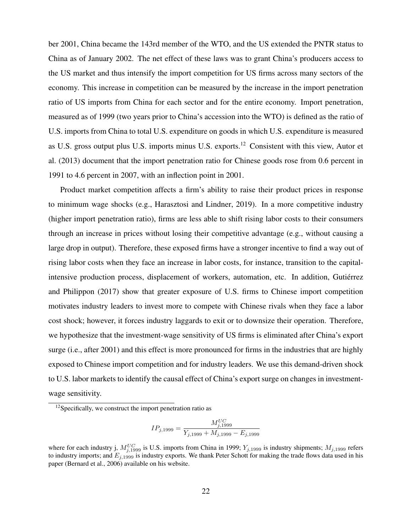ber 2001, China became the 143rd member of the WTO, and the US extended the PNTR status to China as of January 2002. The net effect of these laws was to grant China's producers access to the US market and thus intensify the import competition for US firms across many sectors of the economy. This increase in competition can be measured by the increase in the import penetration ratio of US imports from China for each sector and for the entire economy. Import penetration, measured as of 1999 (two years prior to China's accession into the WTO) is defined as the ratio of U.S. imports from China to total U.S. expenditure on goods in which U.S. expenditure is measured as U.S. gross output plus U.S. imports minus U.S. exports.[12](#page-22-0) Consistent with this view, [Autor et](#page-35-4) [al.](#page-35-4) [\(2013\)](#page-35-4) document that the import penetration ratio for Chinese goods rose from 0.6 percent in 1991 to 4.6 percent in 2007, with an inflection point in 2001.

Product market competition affects a firm's ability to raise their product prices in response to minimum wage shocks (e.g., [Harasztosi and Lindner, 2019\)](#page-36-3). In a more competitive industry (higher import penetration ratio), firms are less able to shift rising labor costs to their consumers through an increase in prices without losing their competitive advantage (e.g., without causing a large drop in output). Therefore, these exposed firms have a stronger incentive to find a way out of rising labor costs when they face an increase in labor costs, for instance, transition to the capitalintensive production process, displacement of workers, automation, etc. In addition, Gutiérrez [and Philippon](#page-36-7) [\(2017\)](#page-36-7) show that greater exposure of U.S. firms to Chinese import competition motivates industry leaders to invest more to compete with Chinese rivals when they face a labor cost shock; however, it forces industry laggards to exit or to downsize their operation. Therefore, we hypothesize that the investment-wage sensitivity of US firms is eliminated after China's export surge (i.e., after 2001) and this effect is more pronounced for firms in the industries that are highly exposed to Chinese import competition and for industry leaders. We use this demand-driven shock to U.S. labor markets to identify the causal effect of China's export surge on changes in investmentwage sensitivity.

$$
IP_{j,1999} = \frac{M_{j,1999}^{UC}}{Y_{j,1999} + M_{j,1999} - E_{j,1999}}
$$

<span id="page-22-0"></span><sup>&</sup>lt;sup>12</sup>Specifically, we construct the import penetration ratio as

where for each industry j,  $M_{j,1999}^{UC}$  is U.S. imports from China in 1999;  $Y_{j,1999}$  is industry shipments;  $M_{j,1999}$  refers to industry imports; and  $E_{j,1999}$  is industry exports. We thank Peter Schott for making the trade flows data used in his paper [\(Bernard et al., 2006\)](#page-35-5) available on his website.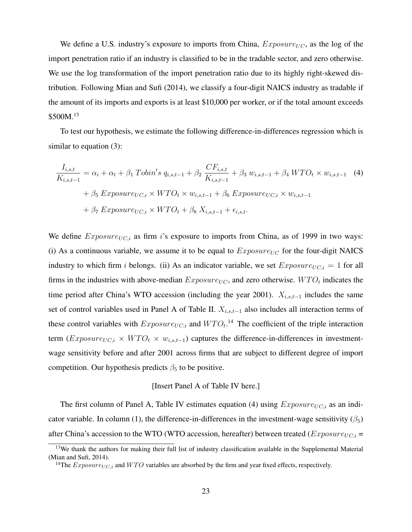We define a U.S. industry's exposure to imports from China,  $Exposure_{UC}$ , as the log of the import penetration ratio if an industry is classified to be in the tradable sector, and zero otherwise. We use the log transformation of the import penetration ratio due to its highly right-skewed distribution. Following [Mian and Sufi](#page-36-4) [\(2014\)](#page-36-4), we classify a four-digit NAICS industry as tradable if the amount of its imports and exports is at least \$10,000 per worker, or if the total amount exceeds \$500M.<sup>[13](#page-23-0)</sup>

To test our hypothesis, we estimate the following difference-in-differences regression which is similar to equation [\(3\)](#page-18-2):

<span id="page-23-2"></span>
$$
\frac{I_{i,s,t}}{K_{i,s,t-1}} = \alpha_i + \alpha_t + \beta_1 \text{ Tobin's } q_{i,s,t-1} + \beta_2 \frac{CF_{i,s,t}}{K_{i,s,t-1}} + \beta_3 w_{i,s,t-1} + \beta_4 WTO_t \times w_{i,s,t-1}
$$
\n
$$
+ \beta_5 \text{Exposure}_{UC,i} \times WTO_t \times w_{i,s,t-1} + \beta_6 \text{Exposure}_{UC,i} \times w_{i,s,t-1}
$$
\n
$$
+ \beta_7 \text{Exposure}_{UC,i} \times WTO_t + \beta_8 X_{i,s,t-1} + \epsilon_{i,s,t}.
$$
\n(4)

We define  $Exposure_{UC,i}$  as firm i's exposure to imports from China, as of 1999 in two ways: (i) As a continuous variable, we assume it to be equal to  $Exposure_{UC}$  for the four-digit NAICS industry to which firm i belongs. (ii) As an indicator variable, we set  $Exposure_{UC,i} = 1$  for all firms in the industries with above-median  $Exposure_{UC}$ , and zero otherwise.  $WTO_t$  indicates the time period after China's WTO accession (including the year 2001).  $X_{i,s,t-1}$  includes the same set of control variables used in Panel A of Table [II.](#page-39-0)  $X_{i,s,t-1}$  also includes all interaction terms of these control variables with  $Exposure_{UC,i}$  and  $WTO_{t}.^{14}$  $WTO_{t}.^{14}$  $WTO_{t}.^{14}$  The coefficient of the triple interaction term  $(Exposure_{UC,i} \times WTO_t \times w_{i,s,t-1})$  captures the difference-in-differences in investmentwage sensitivity before and after 2001 across firms that are subject to different degree of import competition. Our hypothesis predicts  $\beta_5$  to be positive.

# [Insert Panel A of Table [IV](#page-43-0) here.]

The first column of Panel A, Table [IV](#page-43-0) estimates equation [\(4\)](#page-23-2) using  $Exposure_{UC,i}$  as an indicator variable. In column (1), the difference-in-differences in the investment-wage sensitivity ( $\beta_5$ ) after China's accession to the WTO (WTO accession, hereafter) between treated ( $Exposure_{UC,i}$  =

<span id="page-23-0"></span><sup>&</sup>lt;sup>13</sup>We thank the authors for making their full list of industry classification available in the Supplemental Material [\(Mian and Sufi, 2014\)](#page-36-4).

<span id="page-23-1"></span><sup>&</sup>lt;sup>14</sup>The  $Exposure_{UC,i}$  and  $WTO$  variables are absorbed by the firm and year fixed effects, respectively.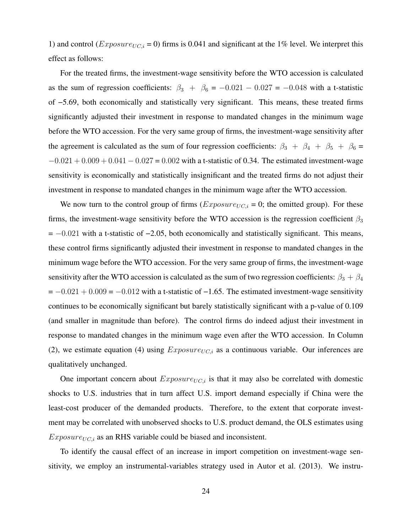1) and control ( $Exposure_{UC,i} = 0$ ) firms is 0.041 and significant at the 1% level. We interpret this effect as follows:

For the treated firms, the investment-wage sensitivity before the WTO accession is calculated as the sum of regression coefficients:  $\beta_3$  +  $\beta_6$  = -0.021 - 0.027 = -0.048 with a t-statistic of −5.69, both economically and statistically very significant. This means, these treated firms significantly adjusted their investment in response to mandated changes in the minimum wage before the WTO accession. For the very same group of firms, the investment-wage sensitivity after the agreement is calculated as the sum of four regression coefficients:  $\beta_3 + \beta_4 + \beta_5 + \beta_6 =$  $-0.021 + 0.009 + 0.041 - 0.027 = 0.002$  with a t-statistic of 0.34. The estimated investment-wage sensitivity is economically and statistically insignificant and the treated firms do not adjust their investment in response to mandated changes in the minimum wage after the WTO accession.

We now turn to the control group of firms  $(Exposure_{UC,i} = 0)$ ; the omitted group). For these firms, the investment-wage sensitivity before the WTO accession is the regression coefficient  $\beta_3$ = −0.021 with a t-statistic of −2.05, both economically and statistically significant. This means, these control firms significantly adjusted their investment in response to mandated changes in the minimum wage before the WTO accession. For the very same group of firms, the investment-wage sensitivity after the WTO accession is calculated as the sum of two regression coefficients:  $\beta_3 + \beta_4$  $= -0.021 + 0.009 = -0.012$  with a t-statistic of  $-1.65$ . The estimated investment-wage sensitivity continues to be economically significant but barely statistically significant with a p-value of 0.109 (and smaller in magnitude than before). The control firms do indeed adjust their investment in response to mandated changes in the minimum wage even after the WTO accession. In Column (2), we estimate equation [\(4\)](#page-23-2) using  $Exposure_{UC,i}$  as a continuous variable. Our inferences are qualitatively unchanged.

One important concern about  $Exposure_{UC,i}$  is that it may also be correlated with domestic shocks to U.S. industries that in turn affect U.S. import demand especially if China were the least-cost producer of the demanded products. Therefore, to the extent that corporate investment may be correlated with unobserved shocks to U.S. product demand, the OLS estimates using  $Exposure_{UC,i}$  as an RHS variable could be biased and inconsistent.

To identify the causal effect of an increase in import competition on investment-wage sensitivity, we employ an instrumental-variables strategy used in [Autor et al.](#page-35-4) [\(2013\)](#page-35-4). We instru-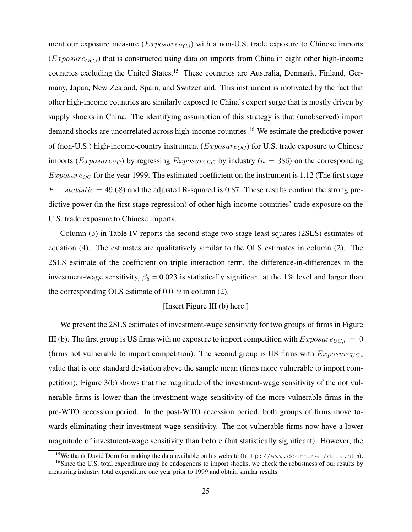ment our exposure measure  $(Exposure_{UC,i})$  with a non-U.S. trade exposure to Chinese imports  $(Exposure_{OC,i})$  that is constructed using data on imports from China in eight other high-income countries excluding the United States.<sup>[15](#page-25-0)</sup> These countries are Australia, Denmark, Finland, Germany, Japan, New Zealand, Spain, and Switzerland. This instrument is motivated by the fact that other high-income countries are similarly exposed to China's export surge that is mostly driven by supply shocks in China. The identifying assumption of this strategy is that (unobserved) import demand shocks are uncorrelated across high-income countries.[16](#page-25-1) We estimate the predictive power of (non-U.S.) high-income-country instrument ( $Exposure_{OC}$ ) for U.S. trade exposure to Chinese imports (*Exposure<sub>UC</sub>*) by regressing *Exposure<sub>UC</sub>* by industry ( $n = 386$ ) on the corresponding  $Exposure_{OC}$  for the year 1999. The estimated coefficient on the instrument is 1.12 (The first stage  $F - statistic = 49.68$ ) and the adjusted R-squared is 0.87. These results confirm the strong predictive power (in the first-stage regression) of other high-income countries' trade exposure on the U.S. trade exposure to Chinese imports.

Column (3) in Table [IV](#page-43-0) reports the second stage two-stage least squares (2SLS) estimates of equation [\(4\)](#page-23-2). The estimates are qualitatively similar to the OLS estimates in column (2). The 2SLS estimate of the coefficient on triple interaction term, the difference-in-differences in the investment-wage sensitivity,  $\beta_5 = 0.023$  is statistically significant at the 1% level and larger than the corresponding OLS estimate of 0.019 in column (2).

# [Insert Figure [III](#page-50-0) (b) here.]

We present the 2SLS estimates of investment-wage sensitivity for two groups of firms in Figure [III](#page-50-0) (b). The first group is US firms with no exposure to import competition with  $Exposure_{UC,i} = 0$ (firms not vulnerable to import competition). The second group is US firms with  $Exposure_{UC,i}$ value that is one standard deviation above the sample mean (firms more vulnerable to import competition). Figure 3(b) shows that the magnitude of the investment-wage sensitivity of the not vulnerable firms is lower than the investment-wage sensitivity of the more vulnerable firms in the pre-WTO accession period. In the post-WTO accession period, both groups of firms move towards eliminating their investment-wage sensitivity. The not vulnerable firms now have a lower magnitude of investment-wage sensitivity than before (but statistically significant). However, the

<span id="page-25-1"></span><span id="page-25-0"></span><sup>15</sup>We thank David Dorn for making the data available on his website (<http://www.ddorn.net/data.htm>).

<sup>&</sup>lt;sup>16</sup>Since the U.S. total expenditure may be endogenous to import shocks, we check the robustness of our results by measuring industry total expenditure one year prior to 1999 and obtain similar results.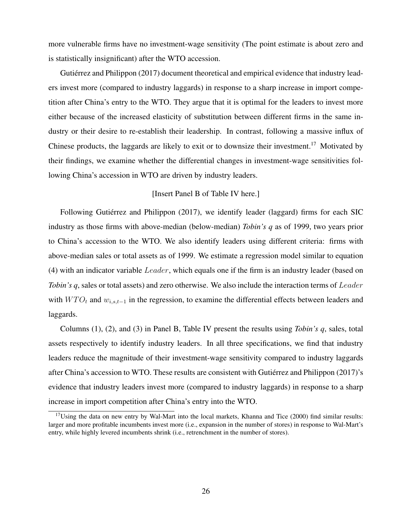more vulnerable firms have no investment-wage sensitivity (The point estimate is about zero and is statistically insignificant) after the WTO accession.

Gutiérrez and Philippon [\(2017\)](#page-36-7) document theoretical and empirical evidence that industry leaders invest more (compared to industry laggards) in response to a sharp increase in import competition after China's entry to the WTO. They argue that it is optimal for the leaders to invest more either because of the increased elasticity of substitution between different firms in the same industry or their desire to re-establish their leadership. In contrast, following a massive influx of Chinese products, the laggards are likely to exit or to downsize their investment.[17](#page-26-0) Motivated by their findings, we examine whether the differential changes in investment-wage sensitivities following China's accession in WTO are driven by industry leaders.

# [Insert Panel B of Table [IV](#page-44-0) here.]

Following Gutiérrez and Philippon [\(2017\)](#page-36-7), we identify leader (laggard) firms for each SIC industry as those firms with above-median (below-median) *Tobin's q* as of 1999, two years prior to China's accession to the WTO. We also identify leaders using different criteria: firms with above-median sales or total assets as of 1999. We estimate a regression model similar to equation [\(4\)](#page-23-2) with an indicator variable  $Leader$ , which equals one if the firm is an industry leader (based on *Tobin's q*, sales or total assets) and zero otherwise. We also include the interaction terms of Leader with  $WTO<sub>t</sub>$  and  $w<sub>i,s,t-1</sub>$  in the regression, to examine the differential effects between leaders and laggards.

Columns (1), (2), and (3) in Panel B, Table [IV](#page-44-0) present the results using *Tobin's q*, sales, total assets respectively to identify industry leaders. In all three specifications, we find that industry leaders reduce the magnitude of their investment-wage sensitivity compared to industry laggards after China's accession to WTO. These results are consistent with Gutiérrez and Philippon [\(2017\)](#page-36-7)'s evidence that industry leaders invest more (compared to industry laggards) in response to a sharp increase in import competition after China's entry into the WTO.

<span id="page-26-0"></span> $17$ Using the data on new entry by Wal-Mart into the local markets, [Khanna and Tice](#page-36-6) [\(2000\)](#page-36-6) find similar results: larger and more profitable incumbents invest more (i.e., expansion in the number of stores) in response to Wal-Mart's entry, while highly levered incumbents shrink (i.e., retrenchment in the number of stores).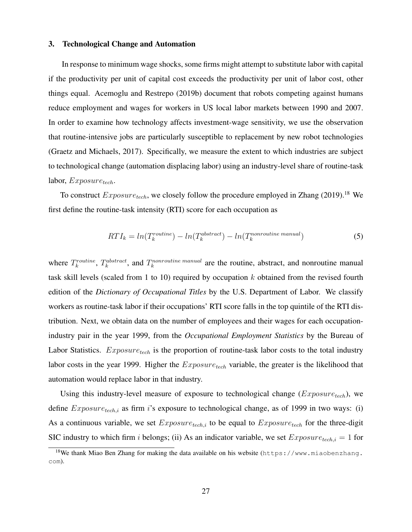# 3. Technological Change and Automation

In response to minimum wage shocks, some firms might attempt to substitute labor with capital if the productivity per unit of capital cost exceeds the productivity per unit of labor cost, other things equal. [Acemoglu and Restrepo](#page-34-5) [\(2019b\)](#page-34-5) document that robots competing against humans reduce employment and wages for workers in US local labor markets between 1990 and 2007. In order to examine how technology affects investment-wage sensitivity, we use the observation that routine-intensive jobs are particularly susceptible to replacement by new robot technologies [\(Graetz and Michaels, 2017\)](#page-36-5). Specifically, we measure the extent to which industries are subject to technological change (automation displacing labor) using an industry-level share of routine-task labor,  $Exposure_{tech}$ .

To construct  $Exposure_{tech}$ , we closely follow the procedure employed in [Zhang](#page-37-0) [\(2019\)](#page-37-0).<sup>[18](#page-27-0)</sup> We first define the routine-task intensity (RTI) score for each occupation as

$$
RTI_k = ln(T_k^{routine}) - ln(T_k^{abstract}) - ln(T_k^{nonroutine\; manual})
$$
\n(5)

where  $T_k^{routine}$ ,  $T_k^{abstract}$ , and  $T_k^{nonroutine~manuel}$  are the routine, abstract, and nonroutine manual task skill levels (scaled from 1 to 10) required by occupation  $k$  obtained from the revised fourth edition of the *Dictionary of Occupational Titles* by the U.S. Department of Labor. We classify workers as routine-task labor if their occupations' RTI score falls in the top quintile of the RTI distribution. Next, we obtain data on the number of employees and their wages for each occupationindustry pair in the year 1999, from the *Occupational Employment Statistics* by the Bureau of Labor Statistics.  $Exposure_{tech}$  is the proportion of routine-task labor costs to the total industry labor costs in the year 1999. Higher the  $Exposure_{tech}$  variable, the greater is the likelihood that automation would replace labor in that industry.

Using this industry-level measure of exposure to technological change  $(Exposure_{tech})$ , we define  $Exposure_{tech,i}$  as firm i's exposure to technological change, as of 1999 in two ways: (i) As a continuous variable, we set  $Exposure_{tech,i}$  to be equal to  $Exposure_{tech}$  for the three-digit SIC industry to which firm *i* belongs; (ii) As an indicator variable, we set  $Exposure_{tech,i} = 1$  for

<span id="page-27-0"></span><sup>18</sup>We thank Miao Ben Zhang for making the data available on his website ([https://www.miaobenzhang.](https://www.miaobenzhang.com) [com](https://www.miaobenzhang.com)).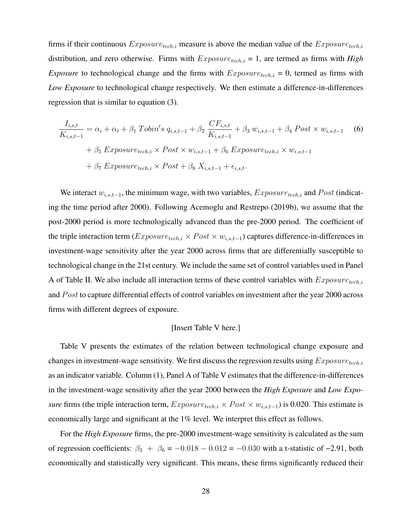firms if their continuous  $Exposure_{tech,i}$  measure is above the median value of the  $Exposure_{tech,i}$ distribution, and zero otherwise. Firms with  $Exposure_{tech,i} = 1$ , are termed as firms with *High Exposure* to technological change and the firms with  $Exposome_{tech,i} = 0$ , termed as firms with *Low Exposure* to technological change respectively. We then estimate a difference-in-differences regression that is similar to equation [\(3\)](#page-18-2).

$$
\frac{I_{i,s,t}}{K_{i,s,t-1}} = \alpha_i + \alpha_t + \beta_1 \text{ Tobin's } q_{i,s,t-1} + \beta_2 \frac{CF_{i,s,t}}{K_{i,s,t-1}} + \beta_3 w_{i,s,t-1} + \beta_4 \text{Post} \times w_{i,s,t-1}
$$
\n
$$
+ \beta_5 \text{Exposure}_{tech,i} \times \text{Post} \times w_{i,s,t-1} + \beta_6 \text{Exposure}_{tech,i} \times w_{i,s,t-1}
$$
\n
$$
+ \beta_7 \text{Exposure}_{tech,i} \times \text{Post} + \beta_8 X_{i,s,t-1} + \epsilon_{i,s,t}.
$$
\n(6)

We interact  $w_{i,s,t-1}$ , the minimum wage, with two variables,  $Exposure_{tech,i}$  and  $Post$  (indicating the time period after 2000). Following [Acemoglu and Restrepo](#page-34-5) [\(2019b\)](#page-34-5), we assume that the post-2000 period is more technologically advanced than the pre-2000 period. The coefficient of the triple interaction term  $(Exposure_{tech,i} \times Post \times w_{i,s,t-1})$  captures difference-in-differences in investment-wage sensitivity after the year 2000 across firms that are differentially susceptible to technological change in the 21st century. We include the same set of control variables used in Panel A of Table [II.](#page-39-0) We also include all interaction terms of these control variables with  $Exposure_{tech,i}$ and *Post* to capture differential effects of control variables on investment after the year 2000 across firms with different degrees of exposure.

# <span id="page-28-0"></span>[Insert Table [V](#page-45-0) here.]

Table [V](#page-45-0) presents the estimates of the relation between technological change exposure and changes in investment-wage sensitivity. We first discuss the regression results using  $Exposure_{tech,i}$ as an indicator variable. Column (1), Panel A of Table [V](#page-45-0) estimates that the difference-in-differences in the investment-wage sensitivity after the year 2000 between the *High Exposure* and *Low Exposure* firms (the triple interaction term,  $Exposure_{tech,i} \times Post \times w_{i,s,t-1}$ ) is 0.020. This estimate is economically large and significant at the 1% level. We interpret this effect as follows.

For the *High Exposure* firms, the pre-2000 investment-wage sensitivity is calculated as the sum of regression coefficients:  $\beta_3 + \beta_6 = -0.018 - 0.012 = -0.030$  with a t-statistic of -2.91, both economically and statistically very significant. This means, these firms significantly reduced their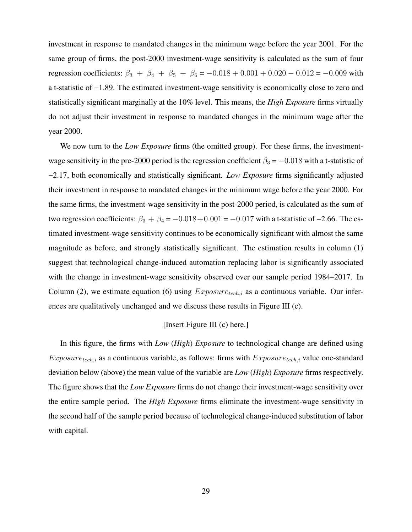investment in response to mandated changes in the minimum wage before the year 2001. For the same group of firms, the post-2000 investment-wage sensitivity is calculated as the sum of four regression coefficients:  $\beta_3 + \beta_4 + \beta_5 + \beta_6 = -0.018 + 0.001 + 0.020 - 0.012 = -0.009$  with a t-statistic of −1.89. The estimated investment-wage sensitivity is economically close to zero and statistically significant marginally at the 10% level. This means, the *High Exposure* firms virtually do not adjust their investment in response to mandated changes in the minimum wage after the year 2000.

We now turn to the *Low Exposure* firms (the omitted group). For these firms, the investmentwage sensitivity in the pre-2000 period is the regression coefficient  $\beta_3 = -0.018$  with a t-statistic of −2.17, both economically and statistically significant. *Low Exposure* firms significantly adjusted their investment in response to mandated changes in the minimum wage before the year 2000. For the same firms, the investment-wage sensitivity in the post-2000 period, is calculated as the sum of two regression coefficients:  $\beta_3 + \beta_4 = -0.018 + 0.001 = -0.017$  with a t-statistic of -2.66. The estimated investment-wage sensitivity continues to be economically significant with almost the same magnitude as before, and strongly statistically significant. The estimation results in column (1) suggest that technological change-induced automation replacing labor is significantly associated with the change in investment-wage sensitivity observed over our sample period 1984–2017. In Column (2), we estimate equation [\(6\)](#page-28-0) using  $Exposure_{tech,i}$  as a continuous variable. Our inferences are qualitatively unchanged and we discuss these results in Figure [III](#page-50-0) (c).

# [Insert Figure [III](#page-50-0) (c) here.]

In this figure, the firms with *Low* (*High*) *Exposure* to technological change are defined using  $Exposure_{tech,i}$  as a continuous variable, as follows: firms with  $Exposure_{tech,i}$  value one-standard deviation below (above) the mean value of the variable are *Low* (*High*) *Exposure* firms respectively. The figure shows that the *Low Exposure* firms do not change their investment-wage sensitivity over the entire sample period. The *High Exposure* firms eliminate the investment-wage sensitivity in the second half of the sample period because of technological change-induced substitution of labor with capital.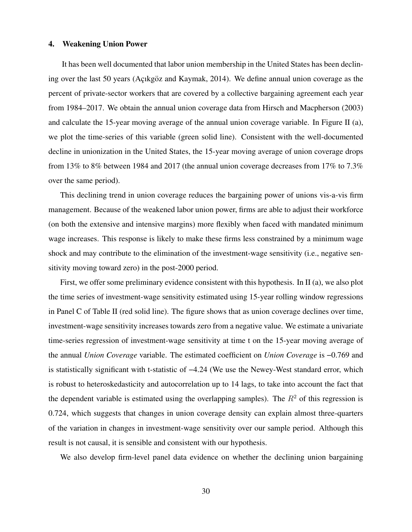# 4. Weakening Union Power

It has been well documented that labor union membership in the United States has been declining over the last 50 years (Açıkgöz and Kaymak, 2014). We define annual union coverage as the percent of private-sector workers that are covered by a collective bargaining agreement each year from 1984–2017. We obtain the annual union coverage data from [Hirsch and Macpherson](#page-36-14) [\(2003\)](#page-36-14) and calculate the 15-year moving average of the annual union coverage variable. In Figure [II](#page-49-0) (a), we plot the time-series of this variable (green solid line). Consistent with the well-documented decline in unionization in the United States, the 15-year moving average of union coverage drops from 13% to 8% between 1984 and 2017 (the annual union coverage decreases from 17% to 7.3% over the same period).

This declining trend in union coverage reduces the bargaining power of unions vis-a-vis firm management. Because of the weakened labor union power, firms are able to adjust their workforce (on both the extensive and intensive margins) more flexibly when faced with mandated minimum wage increases. This response is likely to make these firms less constrained by a minimum wage shock and may contribute to the elimination of the investment-wage sensitivity (i.e., negative sensitivity moving toward zero) in the post-2000 period.

First, we offer some preliminary evidence consistent with this hypothesis. In [II](#page-49-0) (a), we also plot the time series of investment-wage sensitivity estimated using 15-year rolling window regressions in Panel C of Table [II](#page-40-0) (red solid line). The figure shows that as union coverage declines over time, investment-wage sensitivity increases towards zero from a negative value. We estimate a univariate time-series regression of investment-wage sensitivity at time t on the 15-year moving average of the annual *Union Coverage* variable. The estimated coefficient on *Union Coverage* is −0.769 and is statistically significant with t-statistic of −4.24 (We use the Newey-West standard error, which is robust to heteroskedasticity and autocorrelation up to 14 lags, to take into account the fact that the dependent variable is estimated using the overlapping samples). The  $R<sup>2</sup>$  of this regression is 0.724, which suggests that changes in union coverage density can explain almost three-quarters of the variation in changes in investment-wage sensitivity over our sample period. Although this result is not causal, it is sensible and consistent with our hypothesis.

We also develop firm-level panel data evidence on whether the declining union bargaining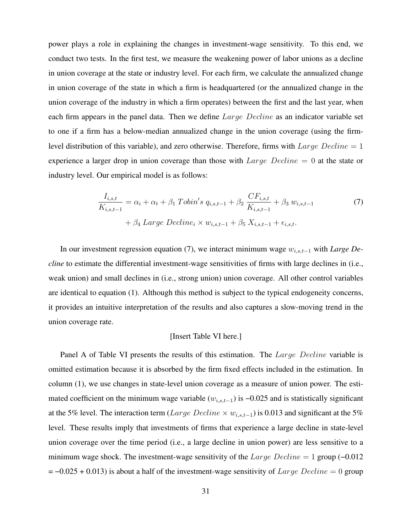power plays a role in explaining the changes in investment-wage sensitivity. To this end, we conduct two tests. In the first test, we measure the weakening power of labor unions as a decline in union coverage at the state or industry level. For each firm, we calculate the annualized change in union coverage of the state in which a firm is headquartered (or the annualized change in the union coverage of the industry in which a firm operates) between the first and the last year, when each firm appears in the panel data. Then we define Large Decline as an indicator variable set to one if a firm has a below-median annualized change in the union coverage (using the firmlevel distribution of this variable), and zero otherwise. Therefore, firms with  $Large\ Decline=1$ experience a larger drop in union coverage than those with  $Large$   $Decline = 0$  at the state or industry level. Our empirical model is as follows:

$$
\frac{I_{i,s,t}}{K_{i,s,t-1}} = \alpha_i + \alpha_t + \beta_1 \text{ Tobin's } q_{i,s,t-1} + \beta_2 \frac{CF_{i,s,t}}{K_{i,s,t-1}} + \beta_3 w_{i,s,t-1} + \beta_4 \text{ Large Decline}_i \times w_{i,s,t-1} + \beta_5 X_{i,s,t-1} + \epsilon_{i,s,t}.
$$
\n(7)

In our investment regression equation [\(7\)](#page-31-0), we interact minimum wage wi,s,t−<sup>1</sup> with *Large Decline* to estimate the differential investment-wage sensitivities of firms with large declines in (i.e., weak union) and small declines in (i.e., strong union) union coverage. All other control variables are identical to equation [\(1\)](#page-10-1). Although this method is subject to the typical endogeneity concerns, it provides an intuitive interpretation of the results and also captures a slow-moving trend in the union coverage rate.

# <span id="page-31-0"></span>[Insert Table [VI](#page-46-0) here.]

Panel A of Table [VI](#page-46-0) presents the results of this estimation. The Large Decline variable is omitted estimation because it is absorbed by the firm fixed effects included in the estimation. In column (1), we use changes in state-level union coverage as a measure of union power. The estimated coefficient on the minimum wage variable  $(w_{i,s,t-1})$  is -0.025 and is statistically significant at the 5% level. The interaction term (Large Decline  $\times w_{i,s,t-1}$ ) is 0.013 and significant at the 5% level. These results imply that investments of firms that experience a large decline in state-level union coverage over the time period (i.e., a large decline in union power) are less sensitive to a minimum wage shock. The investment-wage sensitivity of the Large Decline = 1 group (-0.012  $= -0.025 + 0.013$ ) is about a half of the investment-wage sensitivity of Large Decline = 0 group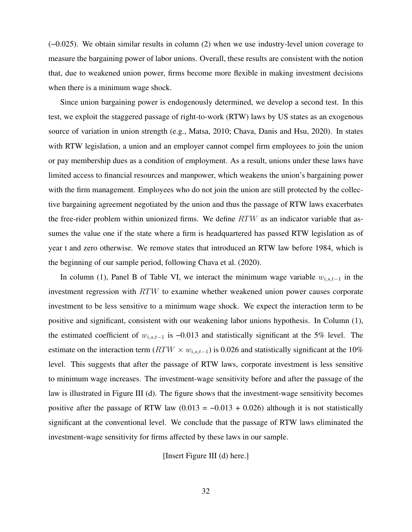(−0.025). We obtain similar results in column (2) when we use industry-level union coverage to measure the bargaining power of labor unions. Overall, these results are consistent with the notion that, due to weakened union power, firms become more flexible in making investment decisions when there is a minimum wage shock.

Since union bargaining power is endogenously determined, we develop a second test. In this test, we exploit the staggered passage of right-to-work (RTW) laws by US states as an exogenous source of variation in union strength (e.g., [Matsa, 2010;](#page-36-15) [Chava, Danis and Hsu, 2020\)](#page-35-14). In states with RTW legislation, a union and an employer cannot compel firm employees to join the union or pay membership dues as a condition of employment. As a result, unions under these laws have limited access to financial resources and manpower, which weakens the union's bargaining power with the firm management. Employees who do not join the union are still protected by the collective bargaining agreement negotiated by the union and thus the passage of RTW laws exacerbates the free-rider problem within unionized firms. We define  $RTW$  as an indicator variable that assumes the value one if the state where a firm is headquartered has passed RTW legislation as of year t and zero otherwise. We remove states that introduced an RTW law before 1984, which is the beginning of our sample period, following [Chava et al.](#page-35-14) [\(2020\)](#page-35-14).

In column (1), Panel B of Table [VI,](#page-47-0) we interact the minimum wage variable  $w_{i,s,t-1}$  in the investment regression with RTW to examine whether weakened union power causes corporate investment to be less sensitive to a minimum wage shock. We expect the interaction term to be positive and significant, consistent with our weakening labor unions hypothesis. In Column (1), the estimated coefficient of  $w_{i,s,t-1}$  is -0.013 and statistically significant at the 5% level. The estimate on the interaction term ( $RTW \times w_{i,s,t-1}$ ) is 0.026 and statistically significant at the 10% level. This suggests that after the passage of RTW laws, corporate investment is less sensitive to minimum wage increases. The investment-wage sensitivity before and after the passage of the law is illustrated in Figure [III](#page-50-0) (d). The figure shows that the investment-wage sensitivity becomes positive after the passage of RTW law  $(0.013 = -0.013 + 0.026)$  although it is not statistically significant at the conventional level. We conclude that the passage of RTW laws eliminated the investment-wage sensitivity for firms affected by these laws in our sample.

# [Insert Figure [III](#page-50-0) (d) here.]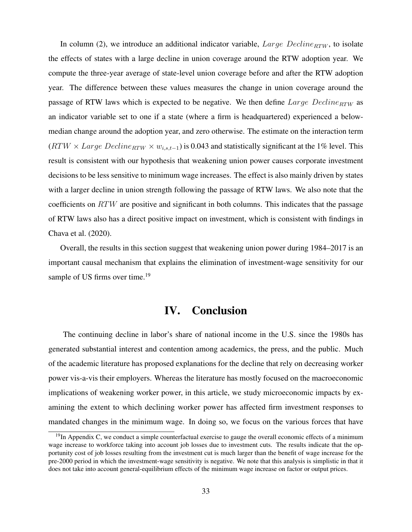In column (2), we introduce an additional indicator variable,  $Large\ Decline_{RTW}$ , to isolate the effects of states with a large decline in union coverage around the RTW adoption year. We compute the three-year average of state-level union coverage before and after the RTW adoption year. The difference between these values measures the change in union coverage around the passage of RTW laws which is expected to be negative. We then define  $Large$   $Decline_{RTW}$  as an indicator variable set to one if a state (where a firm is headquartered) experienced a belowmedian change around the adoption year, and zero otherwise. The estimate on the interaction term  $(RTW \times Large \ Decline_{RTW} \times w_{i,s,t-1})$  is 0.043 and statistically significant at the 1% level. This result is consistent with our hypothesis that weakening union power causes corporate investment decisions to be less sensitive to minimum wage increases. The effect is also mainly driven by states with a larger decline in union strength following the passage of RTW laws. We also note that the coefficients on  $RTW$  are positive and significant in both columns. This indicates that the passage of RTW laws also has a direct positive impact on investment, which is consistent with findings in [Chava et al.](#page-35-14) [\(2020\)](#page-35-14).

Overall, the results in this section suggest that weakening union power during 1984–2017 is an important causal mechanism that explains the elimination of investment-wage sensitivity for our sample of US firms over time.<sup>[19](#page-33-0)</sup>

# IV. Conclusion

The continuing decline in labor's share of national income in the U.S. since the 1980s has generated substantial interest and contention among academics, the press, and the public. Much of the academic literature has proposed explanations for the decline that rely on decreasing worker power vis-a-vis their employers. Whereas the literature has mostly focused on the macroeconomic implications of weakening worker power, in this article, we study microeconomic impacts by examining the extent to which declining worker power has affected firm investment responses to mandated changes in the minimum wage. In doing so, we focus on the various forces that have

<span id="page-33-0"></span> $19$ In [Appendix C,](#page-60-0) we conduct a simple counterfactual exercise to gauge the overall economic effects of a minimum wage increase to workforce taking into account job losses due to investment cuts. The results indicate that the opportunity cost of job losses resulting from the investment cut is much larger than the benefit of wage increase for the pre-2000 period in which the investment-wage sensitivity is negative. We note that this analysis is simplistic in that it does not take into account general-equilibrium effects of the minimum wage increase on factor or output prices.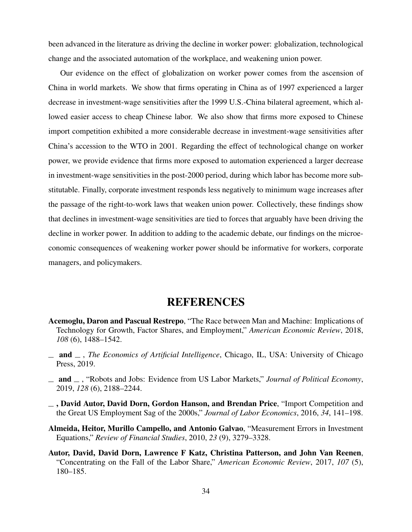been advanced in the literature as driving the decline in worker power: globalization, technological change and the associated automation of the workplace, and weakening union power.

Our evidence on the effect of globalization on worker power comes from the ascension of China in world markets. We show that firms operating in China as of 1997 experienced a larger decrease in investment-wage sensitivities after the 1999 U.S.-China bilateral agreement, which allowed easier access to cheap Chinese labor. We also show that firms more exposed to Chinese import competition exhibited a more considerable decrease in investment-wage sensitivities after China's accession to the WTO in 2001. Regarding the effect of technological change on worker power, we provide evidence that firms more exposed to automation experienced a larger decrease in investment-wage sensitivities in the post-2000 period, during which labor has become more substitutable. Finally, corporate investment responds less negatively to minimum wage increases after the passage of the right-to-work laws that weaken union power. Collectively, these findings show that declines in investment-wage sensitivities are tied to forces that arguably have been driving the decline in worker power. In addition to adding to the academic debate, our findings on the microeconomic consequences of weakening worker power should be informative for workers, corporate managers, and policymakers.

# **REFERENCES**

- <span id="page-34-0"></span>Acemoglu, Daron and Pascual Restrepo, "The Race between Man and Machine: Implications of Technology for Growth, Factor Shares, and Employment," *American Economic Review*, 2018, *108* (6), 1488–1542.
- <span id="page-34-3"></span>and , *The Economics of Artificial Intelligence*, Chicago, IL, USA: University of Chicago Press, 2019.
- <span id="page-34-5"></span>and , "Robots and Jobs: Evidence from US Labor Markets," *Journal of Political Economy*, 2019, *128* (6), 2188–2244.
- <span id="page-34-2"></span> $\Box$ , David Autor, David Dorn, Gordon Hanson, and Brendan Price, "Import Competition and the Great US Employment Sag of the 2000s," *Journal of Labor Economics*, 2016, *34*, 141–198.
- <span id="page-34-4"></span>Almeida, Heitor, Murillo Campello, and Antonio Galvao, "Measurement Errors in Investment Equations," *Review of Financial Studies*, 2010, *23* (9), 3279–3328.
- <span id="page-34-1"></span>Autor, David, David Dorn, Lawrence F Katz, Christina Patterson, and John Van Reenen, "Concentrating on the Fall of the Labor Share," *American Economic Review*, 2017, *107* (5), 180–185.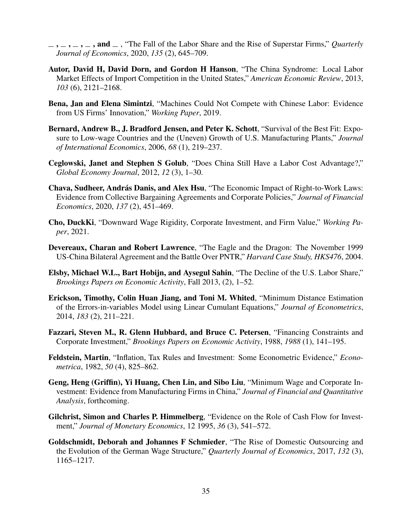- <span id="page-35-2"></span> $, \ldots, \ldots, \ldots$ , and  $\ldots$ , "The Fall of the Labor Share and the Rise of Superstar Firms," *Quarterly Journal of Economics*, 2020, *135* (2), 645–709.
- <span id="page-35-4"></span>Autor, David H, David Dorn, and Gordon H Hanson, "The China Syndrome: Local Labor Market Effects of Import Competition in the United States," *American Economic Review*, 2013, *103* (6), 2121–2168.
- <span id="page-35-13"></span>Bena, Jan and Elena Simintzi, "Machines Could Not Compete with Chinese Labor: Evidence from US Firms' Innovation," *Working Paper*, 2019.
- <span id="page-35-5"></span>Bernard, Andrew B., J. Bradford Jensen, and Peter K. Schott, "Survival of the Best Fit: Exposure to Low-wage Countries and the (Uneven) Growth of U.S. Manufacturing Plants," *Journal of International Economics*, 2006, *68* (1), 219–237.
- <span id="page-35-12"></span>Ceglowski, Janet and Stephen S Golub, "Does China Still Have a Labor Cost Advantage?," *Global Economy Journal*, 2012, *12* (3), 1–30.
- <span id="page-35-14"></span>Chava, Sudheer, András Danis, and Alex Hsu, "The Economic Impact of Right-to-Work Laws: Evidence from Collective Bargaining Agreements and Corporate Policies," *Journal of Financial Economics*, 2020, *137* (2), 451–469.
- <span id="page-35-6"></span>Cho, DuckKi, "Downward Wage Rigidity, Corporate Investment, and Firm Value," *Working Paper*, 2021.
- <span id="page-35-11"></span>Devereaux, Charan and Robert Lawrence, "The Eagle and the Dragon: The November 1999 US-China Bilateral Agreement and the Battle Over PNTR," *Harvard Case Study, HKS476*, 2004.
- <span id="page-35-0"></span>Elsby, Michael W.L., Bart Hobijn, and Aysegul Sahin, "The Decline of the U.S. Labor Share," *Brookings Papers on Economic Activity*, Fall 2013, (2), 1–52.
- <span id="page-35-10"></span>Erickson, Timothy, Colin Huan Jiang, and Toni M. Whited, "Minimum Distance Estimation of the Errors-in-variables Model using Linear Cumulant Equations," *Journal of Econometrics*, 2014, *183* (2), 211–221.
- <span id="page-35-3"></span>Fazzari, Steven M., R. Glenn Hubbard, and Bruce C. Petersen, "Financing Constraints and Corporate Investment," *Brookings Papers on Economic Activity*, 1988, *1988* (1), 141–195.
- <span id="page-35-8"></span>Feldstein, Martin, "Inflation, Tax Rules and Investment: Some Econometric Evidence," *Econometrica*, 1982, *50* (4), 825–862.
- <span id="page-35-7"></span>Geng, Heng (Griffin), Yi Huang, Chen Lin, and Sibo Liu, "Minimum Wage and Corporate Investment: Evidence from Manufacturing Firms in China," *Journal of Financial and Quantitative Analysis*, forthcoming.
- <span id="page-35-9"></span>Gilchrist, Simon and Charles P. Himmelberg, "Evidence on the Role of Cash Flow for Investment," *Journal of Monetary Economics*, 12 1995, *36* (3), 541–572.
- <span id="page-35-1"></span>Goldschmidt, Deborah and Johannes F Schmieder, "The Rise of Domestic Outsourcing and the Evolution of the German Wage Structure," *Quarterly Journal of Economics*, 2017, *132* (3), 1165–1217.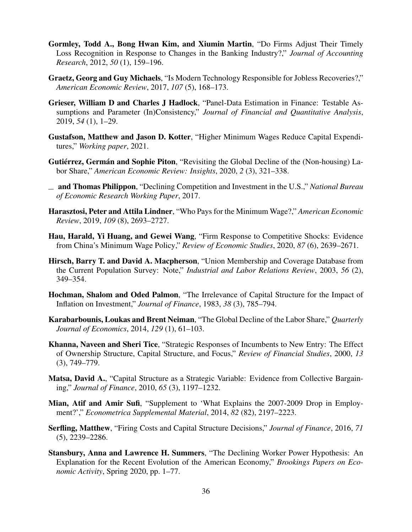- <span id="page-36-13"></span>Gormley, Todd A., Bong Hwan Kim, and Xiumin Martin, "Do Firms Adjust Their Timely Loss Recognition in Response to Changes in the Banking Industry?," *Journal of Accounting Research*, 2012, *50* (1), 159–196.
- <span id="page-36-5"></span>Graetz, Georg and Guy Michaels, "Is Modern Technology Responsible for Jobless Recoveries?," *American Economic Review*, 2017, *107* (5), 168–173.
- <span id="page-36-12"></span>Grieser, William D and Charles J Hadlock, "Panel-Data Estimation in Finance: Testable Assumptions and Parameter (In)Consistency," *Journal of Financial and Quantitative Analysis*, 2019, *54* (1), 1–29.
- <span id="page-36-8"></span>Gustafson, Matthew and Jason D. Kotter, "Higher Minimum Wages Reduce Capital Expenditures," *Working paper*, 2021.
- <span id="page-36-1"></span>Gutiérrez, Germán and Sophie Piton, "Revisiting the Global Decline of the (Non-housing) Labor Share," *American Economic Review: Insights*, 2020, *2* (3), 321–338.
- <span id="page-36-7"></span>and Thomas Philippon, "Declining Competition and Investment in the U.S.," *National Bureau of Economic Research Working Paper*, 2017.
- <span id="page-36-3"></span>Harasztosi, Peter and Attila Lindner, "Who Pays for the Minimum Wage?," *American Economic Review*, 2019, *109* (8), 2693–2727.
- <span id="page-36-9"></span>Hau, Harald, Yi Huang, and Gewei Wang, "Firm Response to Competitive Shocks: Evidence from China's Minimum Wage Policy," *Review of Economic Studies*, 2020, *87* (6), 2639–2671.
- <span id="page-36-14"></span>Hirsch, Barry T. and David A. Macpherson, "Union Membership and Coverage Database from the Current Population Survey: Note," *Industrial and Labor Relations Review*, 2003, *56* (2), 349–354.
- <span id="page-36-10"></span>Hochman, Shalom and Oded Palmon, "The Irrelevance of Capital Structure for the Impact of Inflation on Investment," *Journal of Finance*, 1983, *38* (3), 785–794.
- <span id="page-36-0"></span>Karabarbounis, Loukas and Brent Neiman, "The Global Decline of the Labor Share," *Quarterly Journal of Economics*, 2014, *129* (1), 61–103.
- <span id="page-36-6"></span>Khanna, Naveen and Sheri Tice, "Strategic Responses of Incumbents to New Entry: The Effect of Ownership Structure, Capital Structure, and Focus," *Review of Financial Studies*, 2000, *13* (3), 749–779.
- <span id="page-36-15"></span>Matsa, David A., "Capital Structure as a Strategic Variable: Evidence from Collective Bargaining," *Journal of Finance*, 2010, *65* (3), 1197–1232.
- <span id="page-36-4"></span>Mian, Atif and Amir Sufi, "Supplement to 'What Explains the 2007-2009 Drop in Employment?'," *Econometrica Supplemental Material*, 2014, *82* (82), 2197–2223.
- <span id="page-36-11"></span>Serfling, Matthew, "Firing Costs and Capital Structure Decisions," *Journal of Finance*, 2016, *71* (5), 2239–2286.
- <span id="page-36-2"></span>Stansbury, Anna and Lawrence H. Summers, "The Declining Worker Power Hypothesis: An Explanation for the Recent Evolution of the American Economy," *Brookings Papers on Economic Activity*, Spring 2020, pp. 1–77.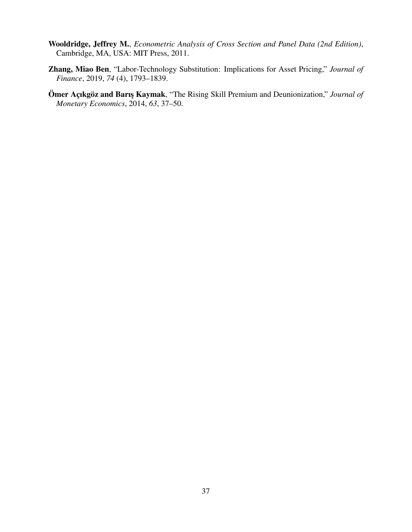- <span id="page-37-2"></span>Wooldridge, Jeffrey M., *Econometric Analysis of Cross Section and Panel Data (2nd Edition)*, Cambridge, MA, USA: MIT Press, 2011.
- <span id="page-37-0"></span>Zhang, Miao Ben, "Labor-Technology Substitution: Implications for Asset Pricing," *Journal of Finance*, 2019, *74* (4), 1793–1839.
- <span id="page-37-1"></span>Ömer Açıkgöz and Barış Kaymak, "The Rising Skill Premium and Deunionization," *Journal of Monetary Economics*, 2014, *63*, 37–50.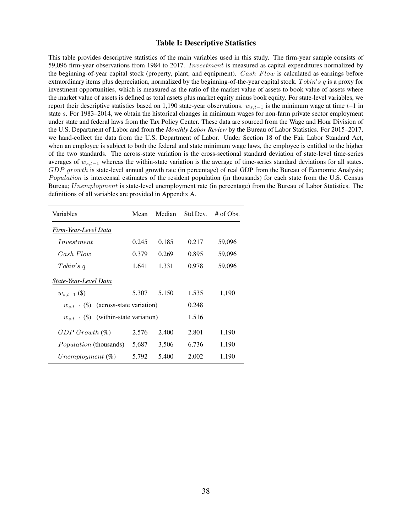# Table I: Descriptive Statistics

<span id="page-38-0"></span>This table provides descriptive statistics of the main variables used in this study. The firm-year sample consists of 59,096 firm-year observations from 1984 to 2017. Investment is measured as capital expenditures normalized by the beginning-of-year capital stock (property, plant, and equipment).  $Cash Flow$  is calculated as earnings before extraordinary items plus depreciation, normalized by the beginning-of-the-year capital stock.  $Tobin's q$  is a proxy for investment opportunities, which is measured as the ratio of the market value of assets to book value of assets where the market value of assets is defined as total assets plus market equity minus book equity. For state-level variables, we report their descriptive statistics based on 1,190 state-year observations.  $w_{s,t-1}$  is the minimum wage at time t−1 in state s. For 1983–2014, we obtain the historical changes in minimum wages for non-farm private sector employment under state and federal laws from the Tax Policy Center. These data are sourced from the Wage and Hour Division of the U.S. Department of Labor and from the *Monthly Labor Review* by the Bureau of Labor Statistics. For 2015–2017, we hand-collect the data from the U.S. Department of Labor. Under Section 18 of the Fair Labor Standard Act, when an employee is subject to both the federal and state minimum wage laws, the employee is entitled to the higher of the two standards. The across-state variation is the cross-sectional standard deviation of state-level time-series averages of  $w_{s,t-1}$  whereas the within-state variation is the average of time-series standard deviations for all states. GDP growth is state-level annual growth rate (in percentage) of real GDP from the Bureau of Economic Analysis; Population is intercensal estimates of the resident population (in thousands) for each state from the U.S. Census Bureau; Unemployment is state-level unemployment rate (in percentage) from the Bureau of Labor Statistics. The definitions of all variables are provided in [Appendix A.](#page-52-0)

| Variables                                    | Mean  | Median | Std.Dev. | $#$ of Obs. |
|----------------------------------------------|-------|--------|----------|-------------|
| Firm-Year-Level Data                         |       |        |          |             |
| Investment                                   | 0.245 | 0.185  | 0.217    | 59,096      |
| Cash Flow                                    | 0.379 | 0.269  | 0.895    | 59,096      |
| Tobin's q                                    | 1.641 | 1.331  | 0.978    | 59,096      |
| State-Year-Level Data                        |       |        |          |             |
| $w_{s,t-1}(\$)$                              | 5.307 | 5.150  | 1.535    | 1,190       |
| (across-state variation)<br>$w_{s,t-1}$ (\$) |       |        | 0.248    |             |
| (within-state variation)<br>$w_{s,t-1}$ (\$) |       |        | 1.516    |             |
| $GDP$ Growth $(\%)$                          | 2.576 | 2.400  | 2.801    | 1,190       |
| <i>Population</i> (thousands)                | 5,687 | 3,506  | 6,736    | 1,190       |
| $Unemboyment \ (\%)$                         | 5.792 | 5.400  | 2.002    | 1,190       |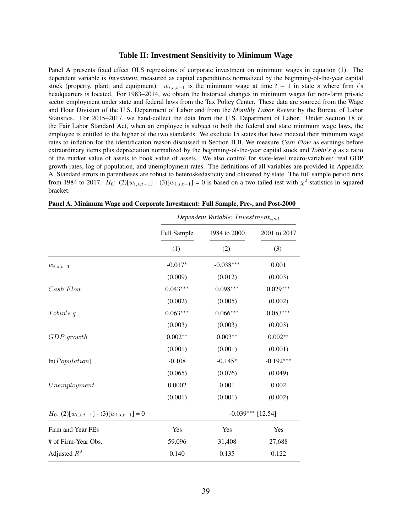### Table II: Investment Sensitivity to Minimum Wage

<span id="page-39-0"></span>Panel A presents fixed effect OLS regressions of corporate investment on minimum wages in equation [\(1\)](#page-10-1). The dependent variable is *Investment*, measured as capital expenditures normalized by the beginning-of-the-year capital stock (property, plant, and equipment).  $w_{i,s,t-1}$  is the minimum wage at time  $t-1$  in state s where firm i's headquarters is located. For 1983–2014, we obtain the historical changes in minimum wages for non-farm private sector employment under state and federal laws from the Tax Policy Center. These data are sourced from the Wage and Hour Division of the U.S. Department of Labor and from the *Monthly Labor Review* by the Bureau of Labor Statistics. For 2015–2017, we hand-collect the data from the U.S. Department of Labor. Under Section 18 of the Fair Labor Standard Act, when an employee is subject to both the federal and state minimum wage laws, the employee is entitled to the higher of the two standards. We exclude 15 states that have indexed their minimum wage rates to inflation for the identification reason discussed in Section [II.B.](#page-6-0) We measure *Cash Flow* as earnings before extraordinary items plus depreciation normalized by the beginning-of-the-year capital stock and *Tobin's q* as a ratio of the market value of assets to book value of assets. We also control for state-level macro-variables: real GDP growth rates, log of population, and unemployment rates. The definitions of all variables are provided in [Appendix](#page-52-0) [A.](#page-52-0) Standard errors in parentheses are robust to heteroskedasticity and clustered by state. The full sample period runs from 1984 to 2017.  $H_0$ : (2)[ $w_{i,s,t-1}$ ] - (3)[ $w_{i,s,t-1}$ ] = 0 is based on a two-tailed test with  $\chi^2$ -statistics in squared bracket.

|                                                         | Dependent Variable: $Investment_{i.s.t}$ |              |                     |  |
|---------------------------------------------------------|------------------------------------------|--------------|---------------------|--|
|                                                         | Full Sample                              | 1984 to 2000 | 2001 to 2017        |  |
|                                                         | (1)                                      | (2)          | (3)                 |  |
| $w_{i,s,t-1}$                                           | $-0.017*$                                | $-0.038***$  | 0.001               |  |
|                                                         | (0.009)                                  | (0.012)      | (0.003)             |  |
| Cash Flow                                               | $0.043***$                               | $0.098***$   | $0.029***$          |  |
|                                                         | (0.002)                                  | (0.005)      | (0.002)             |  |
| Tobin's q                                               | $0.063***$                               | $0.066***$   | $0.053***$          |  |
|                                                         | (0.003)                                  | (0.003)      | (0.003)             |  |
| $GDP$ growth                                            | $0.002**$                                | $0.003**$    | $0.002**$           |  |
|                                                         | (0.001)                                  | (0.001)      | (0.001)             |  |
| ln(Population)                                          | $-0.108$                                 | $-0.145*$    | $-0.192***$         |  |
|                                                         | (0.065)                                  | (0.076)      | (0.049)             |  |
| Unemployment                                            | 0.0002                                   | 0.001        | 0.002               |  |
|                                                         | (0.001)                                  | (0.001)      | (0.002)             |  |
| $H_0$ : (2)[ $w_{i,s,t-1}$ ] - (3)[ $w_{i,s,t-1}$ ] = 0 |                                          |              | $-0.039***$ [12.54] |  |
| Firm and Year FEs                                       | Yes                                      | Yes          | Yes                 |  |
| # of Firm-Year Obs.                                     | 59,096                                   | 31,408       | 27,688              |  |
| Adjusted $R^2$                                          | 0.140                                    | 0.135        | 0.122               |  |

Panel A. Minimum Wage and Corporate Investment: Full Sample, Pre-, and Post-2000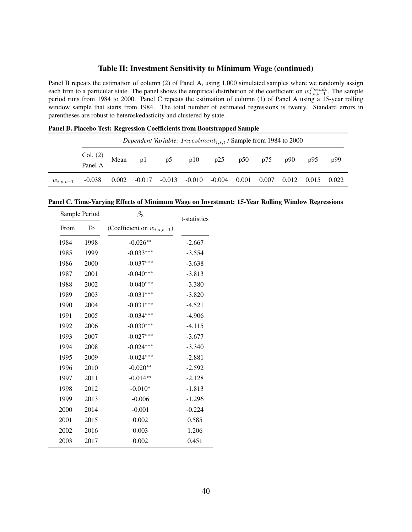# Table II: Investment Sensitivity to Minimum Wage (continued)

<span id="page-40-0"></span>Panel B repeats the estimation of column (2) of Panel A, using 1,000 simulated samples where we randomly assign each firm to a particular state. The panel shows the empirical distribution of the coefficient on  $w^{Pseudo}_{i,s,t-1}$ . The sample period runs from 1984 to 2000. Panel C repeats the estimation of column (1) of Panel A using a 15-year rolling window sample that starts from 1984. The total number of estimated regressions is twenty. Standard errors in parentheses are robust to heteroskedasticity and clustered by state.

| тансі в. і насело тем. тедтеміні сленісіснім плін влам арреа маніріс |  |    |    |                                                                            |     |  |  |             |       |     |
|----------------------------------------------------------------------|--|----|----|----------------------------------------------------------------------------|-----|--|--|-------------|-------|-----|
|                                                                      |  |    |    | Dependent Variable: Investment <sub>i.s.t</sub> / Sample from 1984 to 2000 |     |  |  |             |       |     |
| Col. (2) Mean<br>Panel A                                             |  | p1 | p5 | p10                                                                        | p25 |  |  | p50 p75 p90 | . p95 | p99 |

Panel B. Placebo Test: Regression Coefficients from Bootstrapped Sample

 $w_{i,s,t-1}$  -0.038 0.002 -0.017 -0.013 -0.010 -0.004 0.001 0.007 0.012 0.015 0.022

| Sample Period |      | $\beta_3$                       | t-statistics |
|---------------|------|---------------------------------|--------------|
| From          | To   | (Coefficient on $w_{i,s,t-1}$ ) |              |
| 1984          | 1998 | $-0.026**$                      | $-2.667$     |
| 1985          | 1999 | $-0.033***$                     | $-3.554$     |
| 1986          | 2000 | $-0.037***$                     | $-3.638$     |
| 1987          | 2001 | $-0.040***$                     | $-3.813$     |
| 1988          | 2002 | $-0.040***$                     | $-3.380$     |
| 1989          | 2003 | $-0.031***$                     | $-3.820$     |
| 1990          | 2004 | $-0.031***$                     | $-4.521$     |
| 1991          | 2005 | $-0.034***$                     | $-4.906$     |
| 1992          | 2006 | $-0.030***$                     | $-4.115$     |
| 1993          | 2007 | $-0.027***$                     | $-3.677$     |
| 1994          | 2008 | $-0.024***$                     | $-3.340$     |
| 1995          | 2009 | $-0.024***$                     | $-2.881$     |
| 1996          | 2010 | $-0.020**$                      | $-2.592$     |
| 1997          | 2011 | $-0.014**$                      | $-2.128$     |
| 1998          | 2012 | $-0.010*$                       | $-1.813$     |
| 1999          | 2013 | $-0.006$                        | $-1.296$     |
| 2000          | 2014 | $-0.001$                        | $-0.224$     |
| 2001          | 2015 | 0.002                           | 0.585        |
| 2002          | 2016 | 0.003                           | 1.206        |
| 2003          | 2017 | 0.002                           | 0.451        |

Panel C. Time-Varying Effects of Minimum Wage on Investment: 15-Year Rolling Window Regressions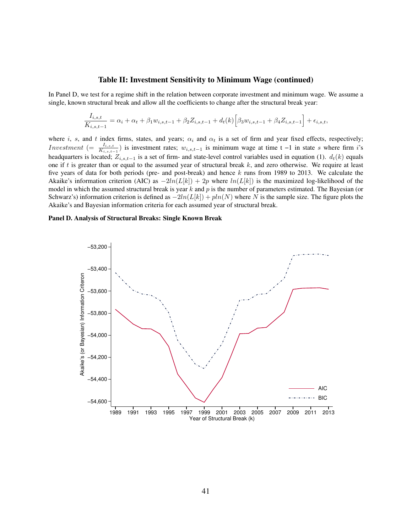### Table II: Investment Sensitivity to Minimum Wage (continued)

<span id="page-41-0"></span>In Panel D, we test for a regime shift in the relation between corporate investment and minimum wage. We assume a single, known structural break and allow all the coefficients to change after the structural break year:

$$
\frac{I_{i,s,t}}{K_{i,s,t-1}} = \alpha_i + \alpha_t + \beta_1 w_{i,s,t-1} + \beta_2 Z_{i,s,t-1} + d_t(k) \Big[ \beta_3 w_{i,s,t-1} + \beta_4 Z_{i,s,t-1} \Big] + \epsilon_{i,s,t},
$$

where i, s, and t index firms, states, and years;  $\alpha_i$  and  $\alpha_t$  is a set of firm and year fixed effects, respectively; *Investment* (=  $\frac{I_{i,s,t}}{K_{i,s,t-1}}$ ) is investment rates;  $w_{i,s,t-1}$  is minimum wage at time t -1 in state s where firm i's headquarters is located;  $Z_{i,s,t-1}$  is a set of firm- and state-level control variables used in equation [\(1\)](#page-10-1).  $d_t(k)$  equals one if t is greater than or equal to the assumed year of structural break  $k$ , and zero otherwise. We require at least five years of data for both periods (pre- and post-break) and hence  $k$  runs from 1989 to 2013. We calculate the Akaike's information criterion (AIC) as  $-2ln(L[k]) + 2p$  where  $ln(L[k])$  is the maximized log-likelihood of the model in which the assumed structural break is year  $k$  and  $p$  is the number of parameters estimated. The Bayesian (or Schwarz's) information criterion is defined as  $-2ln(L[k]) + pln(N)$  where N is the sample size. The figure plots the Akaike's and Bayesian information criteria for each assumed year of structural break.

### Panel D. Analysis of Structural Breaks: Single Known Break

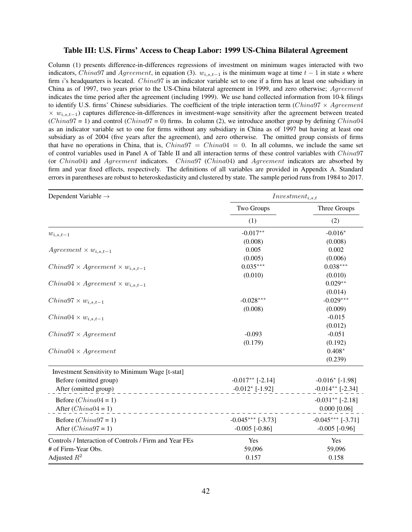# <span id="page-42-0"></span>Table III: U.S. Firms' Access to Cheap Labor: 1999 US-China Bilateral Agreement

Column (1) presents difference-in-differences regressions of investment on minimum wages interacted with two indicators, China97 and Agreement, in equation [\(3\)](#page-18-2).  $w_{i,s,t-1}$  is the minimum wage at time  $t-1$  in state s where firm is headquarters is located. China97 is an indicator variable set to one if a firm has at least one subsidiary in China as of 1997, two years prior to the US-China bilateral agreement in 1999, and zero otherwise; Agreement indicates the time period after the agreement (including 1999). We use hand collected information from 10-k filings to identify U.S. firms' Chinese subsidiaries. The coefficient of the triple interaction term (China97  $\times$  Agreement  $\times w_{i,s,t-1}$ ) captures difference-in-differences in investment-wage sensitivity after the agreement between treated  $(China97 = 1)$  and control  $(China97 = 0)$  firms. In column (2), we introduce another group by defining *China04* as an indicator variable set to one for firms without any subsidiary in China as of 1997 but having at least one subsidiary as of 2004 (five years after the agreement), and zero otherwise. The omitted group consists of firms that have no operations in China, that is,  $China97 = China94 = 0$ . In all columns, we include the same set of control variables used in Panel A of Table [II](#page-39-0) and all interaction terms of these control variables with China97 (or China04) and Agreement indicators. China97 (China04) and Agreement indicators are absorbed by firm and year fixed effects, respectively. The definitions of all variables are provided in [Appendix A.](#page-52-0) Standard errors in parentheses are robust to heteroskedasticity and clustered by state. The sample period runs from 1984 to 2017.

| Dependent Variable $\rightarrow$                       | $Investment_{i,s,t}$              |                        |  |
|--------------------------------------------------------|-----------------------------------|------------------------|--|
|                                                        | Two Groups                        | Three Groups           |  |
|                                                        | (1)                               | (2)                    |  |
| $w_{i,s,t-1}$                                          | $-0.017**$                        | $-0.016*$              |  |
|                                                        | (0.008)                           | (0.008)                |  |
| $Agreement \times w_{i,s,t-1}$                         | 0.005                             | 0.002                  |  |
|                                                        | (0.005)                           | (0.006)                |  |
| $China97 \times Agreement \times w_{i,s,t-1}$          | $0.035***$                        | $0.038***$             |  |
|                                                        | (0.010)                           | (0.010)                |  |
| $China04 \times Agreement \times w_{i,s,t-1}$          |                                   | $0.029**$              |  |
|                                                        |                                   | (0.014)                |  |
| $China97 \times w_{i,s,t-1}$                           | $-0.028***$                       | $-0.029***$            |  |
|                                                        | (0.008)                           | (0.009)                |  |
| $China04 \times w_{i,s,t-1}$                           |                                   | $-0.015$               |  |
|                                                        |                                   | (0.012)                |  |
| $China97 \times Agreement$                             | $-0.093$                          | $-0.051$               |  |
|                                                        | (0.179)                           | (0.192)                |  |
| $China04 \times Agreement$                             |                                   | $0.408*$               |  |
|                                                        |                                   | (0.239)                |  |
| Investment Sensitivity to Minimum Wage [t-stat]        |                                   |                        |  |
| Before (omitted group)                                 | $-0.017**$ [-2.14]                | $-0.016$ * [ $-1.98$ ] |  |
| After (omitted group)                                  | $-0.012$ <sup>*</sup> [ $-1.92$ ] | $-0.014**$ [-2.34]     |  |
| Before $(China04 = 1)$                                 |                                   | $-0.031**$ [-2.18]     |  |
| After $(China04 = 1)$                                  |                                   | $0.000$ [0.06]         |  |
|                                                        |                                   |                        |  |
| Before $(China97 = 1)$                                 | $-0.045***$ [-3.73]               | $-0.045***$ [-3.71]    |  |
| After $(China97 = 1)$                                  | $-0.005$ [ $-0.86$ ]              | $-0.005$ [ $-0.96$ ]   |  |
| Controls / Interaction of Controls / Firm and Year FEs | Yes                               | Yes                    |  |
| # of Firm-Year Obs.                                    | 59,096                            | 59,096                 |  |
| Adjusted $R^2$                                         | 0.157                             | 0.158                  |  |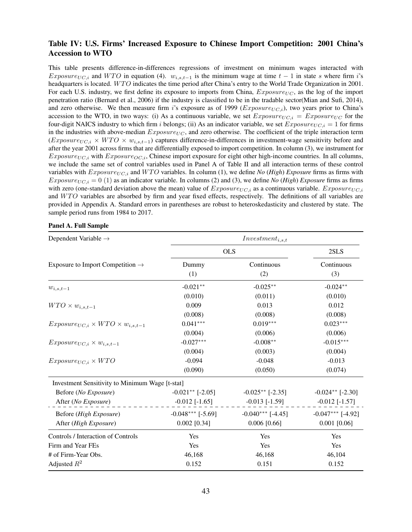# <span id="page-43-0"></span>Table IV: U.S. Firms' Increased Exposure to Chinese Import Competition: 2001 China's Accession to WTO

This table presents difference-in-differences regressions of investment on minimum wages interacted with Exposure<sub>UC,i</sub> and WTO in equation [\(4\)](#page-23-2).  $w_{i,s,t-1}$  is the minimum wage at time  $t-1$  in state s where firm i's headquarters is located. WTO indicates the time period after China's entry to the World Trade Organization in 2001. For each U.S. industry, we first define its exposure to imports from China,  $Exposure_{UC}$ , as the log of the import penetration ratio [\(Bernard et al., 2006\)](#page-35-5) if the industry is classified to be in the tradable sector[\(Mian and Sufi, 2014\)](#page-36-4), and zero otherwise. We then measure firm i's exposure as of 1999 ( $Exposure_{UC,i}$ ), two years prior to China's accession to the WTO, in two ways: (i) As a continuous variable, we set  $Exposure_{UC,i} = Exposure_{UC}$  for the four-digit NAICS industry to which firm i belongs; (ii) As an indicator variable, we set  $Exposure_{UC,i} = 1$  for firms in the industries with above-median  $Exposure_{UC}$ , and zero otherwise. The coefficient of the triple interaction term  $(Exposure_{UC,i} \times WTO \times w_{i,s,t-1})$  captures difference-in-differences in investment-wage sensitivity before and after the year 2001 across firms that are differentially exposed to import competition. In column (3), we instrument for  $Exposure_{UC,i}$  with  $Exposure_{OC,i}$ , Chinese import exposure for eight other high-income countries. In all columns, we include the same set of control variables used in Panel A of Table [II](#page-39-0) and all interaction terms of these control variables with  $Exposure_{UC,i}$  and  $WTO$  variables. In column (1), we define *No* (*High*) *Exposure* firms as firms with  $Exposure_{UC,i} = 0$  (1) as an indicator variable. In columns (2) and (3), we define *No* (*High*) *Exposure* firms as firms with zero (one-standard deviation above the mean) value of  $Exposure_{UC,i}$  as a continuous variable.  $Exposure_{UC,i}$ and  $WTO$  variables are absorbed by firm and year fixed effects, respectively. The definitions of all variables are provided in [Appendix A.](#page-52-0) Standard errors in parentheses are robust to heteroskedasticity and clustered by state. The sample period runs from 1984 to 2017.

### Panel A. Full Sample

| Dependent Variable $\rightarrow$                | $Investment_{i,s,t}$ |                      |                      |  |  |
|-------------------------------------------------|----------------------|----------------------|----------------------|--|--|
|                                                 |                      | <b>OLS</b>           |                      |  |  |
| Exposure to Import Competition $\rightarrow$    | Dummy<br>(1)         | Continuous<br>(2)    | Continuous<br>(3)    |  |  |
| $w_{i,s,t-1}$                                   | $-0.021**$           | $-0.025**$           | $-0.024**$           |  |  |
|                                                 | (0.010)              | (0.011)              | (0.010)              |  |  |
| $WTO \times w_{i,s,t-1}$                        | 0.009                | 0.013                | 0.012                |  |  |
|                                                 | (0.008)              | (0.008)              | (0.008)              |  |  |
| $Exposure_{UC,i} \times WTO \times w_{i,s,t-1}$ | $0.041***$           | $0.019***$           | $0.023***$           |  |  |
|                                                 | (0.004)              | (0.006)              | (0.006)              |  |  |
| $Exposure_{UC,i} \times w_{i,s,t-1}$            | $-0.027***$          | $-0.008**$           | $-0.015***$          |  |  |
|                                                 | (0.004)              | (0.003)              | (0.004)              |  |  |
| $Exposure_{UC,i} \times WTO$                    | $-0.094$             | $-0.048$             | $-0.013$             |  |  |
|                                                 | (0.090)              | (0.050)              | (0.074)              |  |  |
| Investment Sensitivity to Minimum Wage [t-stat] |                      |                      |                      |  |  |
| Before (No Exposure)                            | $-0.021**$ [-2.05]   | $-0.025**$ [-2.35]   | $-0.024**$ [-2.30]   |  |  |
| After (No Exposure)                             | $-0.012$ [ $-1.65$ ] | $-0.013$ [ $-1.59$ ] | $-0.012$ [ $-1.57$ ] |  |  |
| Before (High Exposure)                          | $-0.048***$ [-5.69]  | $-0.040***$ [-4.45]  | $-0.047***$ [-4.92]  |  |  |
| After (High Exposure)                           | $0.002$ [0.34]       | $0.006$ [0.66]       | $0.001$ [0.06]       |  |  |
| Controls / Interaction of Controls              | Yes                  | Yes                  | Yes                  |  |  |
| Firm and Year FEs                               | Yes                  | Yes                  | Yes                  |  |  |
| # of Firm-Year Obs.                             | 46,168               | 46,168               | 46,104               |  |  |
| Adjusted $R^2$                                  | 0.152                | 0.151                | 0.152                |  |  |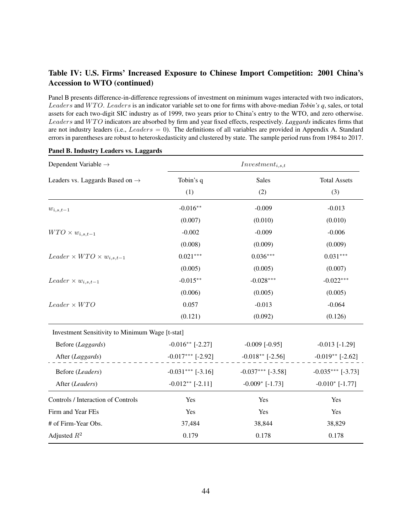# <span id="page-44-0"></span>Table IV: U.S. Firms' Increased Exposure to Chinese Import Competition: 2001 China's Accession to WTO (continued)

Panel B presents difference-in-difference regressions of investment on minimum wages interacted with two indicators, Leaders and WTO. Leaders is an indicator variable set to one for firms with above-median *Tobin's q*, sales, or total assets for each two-digit SIC industry as of 1999, two years prior to China's entry to the WTO, and zero otherwise. Leaders and WTO indicators are absorbed by firm and year fixed effects, respectively. Laggards indicates firms that are not industry leaders (i.e.,  $Leaders = 0$ ). The definitions of all variables are provided in [Appendix A.](#page-52-0) Standard errors in parentheses are robust to heteroskedasticity and clustered by state. The sample period runs from 1984 to 2017.

| Dependent Variable $\rightarrow$                |                     | $Investment_{i,s,t}$              |                                   |  |  |
|-------------------------------------------------|---------------------|-----------------------------------|-----------------------------------|--|--|
| Leaders vs. Laggards Based on $\rightarrow$     | Tobin's q           | <b>Sales</b>                      | <b>Total Assets</b>               |  |  |
|                                                 | (1)                 | (2)                               | (3)                               |  |  |
| $w_{i,s,t-1}$                                   | $-0.016**$          | $-0.009$                          | $-0.013$                          |  |  |
|                                                 | (0.007)             | (0.010)                           | (0.010)                           |  |  |
| $WTO \times w_{i,s,t-1}$                        | $-0.002$            | $-0.009$                          | $-0.006$                          |  |  |
|                                                 | (0.008)             | (0.009)                           | (0.009)                           |  |  |
| Leader $\times WTO \times w_{i,s,t-1}$          | $0.021***$          | $0.036***$                        | $0.031***$                        |  |  |
|                                                 | (0.005)             | (0.005)                           | (0.007)                           |  |  |
| Leader $\times w_{i,s,t-1}$                     | $-0.015**$          | $-0.028***$                       | $-0.022***$                       |  |  |
|                                                 | (0.006)             | (0.005)                           | (0.005)                           |  |  |
| $Leader \times WTO$                             | 0.057               | $-0.013$                          | $-0.064$                          |  |  |
|                                                 | (0.121)             | (0.092)                           | (0.126)                           |  |  |
| Investment Sensitivity to Minimum Wage [t-stat] |                     |                                   |                                   |  |  |
| Before (Laggards)                               | $-0.016**$ [-2.27]  | $-0.009$ [ $-0.95$ ]              | $-0.013$ $[-1.29]$                |  |  |
| After (Laggards)                                | $-0.017***$ [-2.92] | $-0.018**$ [-2.56]                | $-0.019**$ [-2.62]                |  |  |
| Before (Leaders)                                | $-0.031***$ [-3.16] | $-0.037***$ [-3.58]               | $-0.035***$ [-3.73]               |  |  |
| After (Leaders)                                 | $-0.012**$ [-2.11]  | $-0.009$ <sup>*</sup> [ $-1.73$ ] | $-0.010$ <sup>*</sup> [ $-1.77$ ] |  |  |
| Controls / Interaction of Controls              | Yes                 | Yes                               | Yes                               |  |  |
| Firm and Year FEs                               | Yes                 | Yes                               | Yes                               |  |  |
| # of Firm-Year Obs.                             | 37,484              | 38,844                            | 38,829                            |  |  |
| Adjusted $R^2$                                  | 0.179               | 0.178                             | 0.178                             |  |  |

# Panel B. Industry Leaders vs. Laggards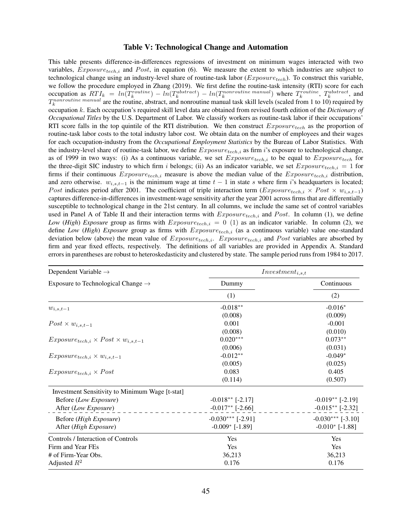### Table V: Technological Change and Automation

<span id="page-45-0"></span>This table presents difference-in-differences regressions of investment on minimum wages interacted with two variables,  $Exposure_{tech,i}$  and Post, in equation [\(6\)](#page-28-0). We measure the extent to which industries are subject to technological change using an industry-level share of routine-task labor ( $Exposure_{tech}$ ). To construct this variable, we follow the procedure employed in [Zhang](#page-37-0) [\(2019\)](#page-37-0). We first define the routine-task intensity (RTI) score for each occupation as  $RTI_k = ln(T_k^{routine}) - ln(T_k^{abstract}) - ln(T_k^{nonroutine~manuel})$  where  $T_k^{routine}$ ,  $T_k^{abstract}$ , and  $T_k^{nonroutine~manual}$  are the routine, abstract, and nonroutine manual task skill levels (scaled from 1 to 10) required by occupation k. Each occupation's required skill level data are obtained from revised fourth edition of the *Dictionary of Occupational Titles* by the U.S. Department of Labor. We classify workers as routine-task labor if their occupations' RTI score falls in the top quintile of the RTI distribution. We then construct  $Exposure_{tech}$  as the proportion of routine-task labor costs to the total industry labor cost. We obtain data on the number of employees and their wages for each occupation-industry from the *Occupational Employment Statistics* by the Bureau of Labor Statistics. With the industry-level share of routine-task labor, we define  $Exposure_{tech,i}$  as firm i's exposure to technological change, as of 1999 in two ways: (i) As a continuous variable, we set  $Exposure_{tech,i}$  to be equal to  $Exposure_{tech}$  for the three-digit SIC industry to which firm i belongs; (ii) As an indicator variable, we set  $Exposure_{tech,i} = 1$  for firms if their continuous  $Exposure_{tech,i}$  measure is above the median value of the  $Exposure_{tech,i}$  distribution, and zero otherwise.  $w_{i,s,t-1}$  is the minimum wage at time  $t-1$  in state s where firm i's headquarters is located; Post indicates period after 2001. The coefficient of triple interaction term ( $Exposure_{tech,i} \times Post \times w_{i,s,t-1}$ ) captures difference-in-differences in investment-wage sensitivity after the year 2001 across firms that are differentially susceptible to technological change in the 21st century. In all columns, we include the same set of control variables used in Panel A of Table [II](#page-39-0) and their interaction terms with  $Exposure_{tech,i}$  and Post. In column (1), we define *Low* (*High*) *Exposure* group as firms with  $Exposure_{tech,i} = 0$  (1) as an indicator variable. In column (2), we define *Low* (*High*) *Exposure* group as firms with  $Exposure_{tech,i}$  (as a continuous variable) value one-standard deviation below (above) the mean value of  $Exposure_{tech,i}$ .  $Exposure_{tech,i}$  and  $Post$  variables are absorbed by firm and year fixed effects, respectively. The definitions of all variables are provided in [Appendix A.](#page-52-0) Standard errors in parentheses are robust to heteroskedasticity and clustered by state. The sample period runs from 1984 to 2017.

| Dependent Variable $\rightarrow$                   |                               | $Investment_{i,s,t}$ |
|----------------------------------------------------|-------------------------------|----------------------|
| Exposure to Technological Change $\rightarrow$     | Dummy                         | Continuous           |
|                                                    | (1)                           | (2)                  |
| $w_{i,s,t-1}$                                      | $-0.018**$                    | $-0.016*$            |
|                                                    | (0.008)                       | (0.009)              |
| $Post \times w_{i,s,t-1}$                          | 0.001                         | $-0.001$             |
|                                                    | (0.008)                       | (0.010)              |
| $Exposure_{tech,i} \times Post \times w_{i,s,t-1}$ | $0.020***$                    | $0.073**$            |
|                                                    | (0.006)                       | (0.031)              |
| $Exposure_{tech,i} \times w_{i,s,t-1}$             | $-0.012**$                    | $-0.049*$            |
|                                                    | (0.005)                       | (0.025)              |
| $Exposure_{tech,i} \times Post$                    | 0.083                         | 0.405                |
|                                                    | (0.114)                       | (0.507)              |
| Investment Sensitivity to Minimum Wage [t-stat]    |                               |                      |
| Before (Low Exposure)                              | $-0.018**$ [-2.17]            | $-0.019**$ [-2.19]   |
| After (Low Exposure)                               | $-0.017**$ [-2.66]            | $-0.015**$ [-2.32]   |
| Before (High Exposure)                             | $-0.030***$ [-2.91]           | $-0.030***$ [-3.10]  |
| After (High Exposure)                              | $-0.009$ <sup>*</sup> [-1.89] | $-0.010^*$ [-1.88]   |
| Controls / Interaction of Controls                 | Yes                           | Yes                  |
| Firm and Year FEs                                  | Yes                           | Yes                  |
| # of Firm-Year Obs.                                | 36,213                        | 36,213               |
| Adjusted $R^2$                                     | 0.176                         | 0.176                |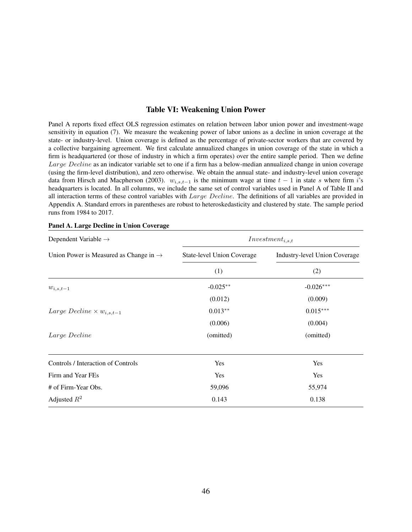### Table VI: Weakening Union Power

<span id="page-46-0"></span>Panel A reports fixed effect OLS regression estimates on relation between labor union power and investment-wage sensitivity in equation [\(7\)](#page-31-0). We measure the weakening power of labor unions as a decline in union coverage at the state- or industry-level. Union coverage is defined as the percentage of private-sector workers that are covered by a collective bargaining agreement. We first calculate annualized changes in union coverage of the state in which a firm is headquartered (or those of industry in which a firm operates) over the entire sample period. Then we define Large Decline as an indicator variable set to one if a firm has a below-median annualized change in union coverage (using the firm-level distribution), and zero otherwise. We obtain the annual state- and industry-level union coverage data from [Hirsch and Macpherson](#page-36-14) [\(2003\)](#page-36-14).  $w_{i,s,t-1}$  is the minimum wage at time  $t-1$  in state s where firm i's headquarters is located. In all columns, we include the same set of control variables used in Panel A of Table [II](#page-39-0) and all interaction terms of these control variables with Large Decline. The definitions of all variables are provided in [Appendix A.](#page-52-0) Standard errors in parentheses are robust to heteroskedasticity and clustered by state. The sample period runs from 1984 to 2017.

| Dependent Variable $\rightarrow$                   | $Investment_{i,s,t}$       |                                      |  |  |
|----------------------------------------------------|----------------------------|--------------------------------------|--|--|
| Union Power is Measured as Change in $\rightarrow$ | State-level Union Coverage | <b>Industry-level Union Coverage</b> |  |  |
|                                                    | (1)                        | (2)                                  |  |  |
| $w_{i,s,t-1}$                                      | $-0.025**$                 | $-0.026***$                          |  |  |
|                                                    | (0.012)                    | (0.009)                              |  |  |
| Large Decline $\times w_{i,s,t-1}$                 | $0.013**$                  | $0.015***$                           |  |  |
|                                                    | (0.006)                    | (0.004)                              |  |  |
| Large Decline                                      | (omitted)                  | (omitted)                            |  |  |
| Controls / Interaction of Controls                 | Yes                        | Yes                                  |  |  |
| Firm and Year FEs                                  | Yes                        | Yes                                  |  |  |
| # of Firm-Year Obs.                                | 59,096                     | 55,974                               |  |  |
| Adjusted $R^2$                                     | 0.143                      | 0.138                                |  |  |

### Panel A. Large Decline in Union Coverage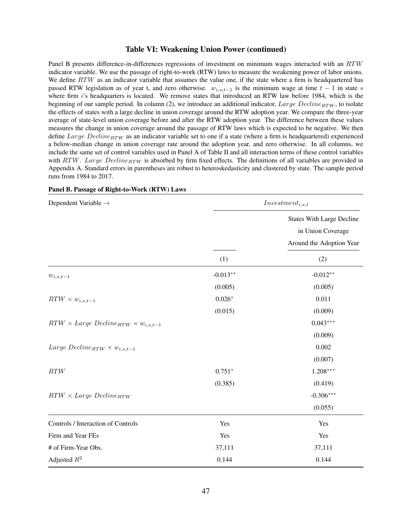### Table VI: Weakening Union Power (continued)

<span id="page-47-0"></span>Panel B presents difference-in-differences regressions of investment on minimum wages interacted with an RTW indicator variable. We use the passage of right-to-work (RTW) laws to measure the weakening power of labor unions. We define RTW as an indicator variable that assumes the value one, if the state where a firm is headquartered has passed RTW legislation as of year t, and zero otherwise.  $w_{i,s,t-1}$  is the minimum wage at time  $t - 1$  in state s where firm  $i$ 's headquarters is located. We remove states that introduced an RTW law before 1984, which is the beginning of our sample period. In column (2), we introduce an additional indicator, Large Decline<sub>RTW</sub>, to isolate the effects of states with a large decline in union coverage around the RTW adoption year. We compare the three-year average of state-level union coverage before and after the RTW adoption year. The difference between these values measures the change in union coverage around the passage of RTW laws which is expected to be negative. We then define Large Decline<sub>RTW</sub> as an indicator variable set to one if a state (where a firm is headquartered) experienced a below-median change in union coverage rate around the adoption year, and zero otherwise. In all columns, we include the same set of control variables used in Panel A of Table [II](#page-39-0) and all interaction terms of these control variables with  $RTW$ . Large  $Decline_{RTW}$  is absorbed by firm fixed effects. The definitions of all variables are provided in [Appendix A.](#page-52-0) Standard errors in parentheses are robust to heteroskedasticity and clustered by state. The sample period runs from 1984 to 2017.

| Dependent Variable $\rightarrow$                     | $Investment_{i,s,t}$ |                                                                                   |  |  |
|------------------------------------------------------|----------------------|-----------------------------------------------------------------------------------|--|--|
|                                                      |                      | <b>States With Large Decline</b><br>in Union Coverage<br>Around the Adoption Year |  |  |
|                                                      | (1)                  | (2)                                                                               |  |  |
| $w_{i,s,t-1}$                                        | $-0.013**$           | $-0.012**$                                                                        |  |  |
|                                                      | (0.005)              | (0.005)                                                                           |  |  |
| $RTW \times w_{i,s,t-1}$                             | $0.026*$             | 0.011                                                                             |  |  |
|                                                      | (0.015)              | (0.009)                                                                           |  |  |
| $RTW \times Large\ Decline_{RTW} \times w_{i,s,t-1}$ |                      | $0.043***$                                                                        |  |  |
|                                                      |                      | (0.009)                                                                           |  |  |
| Large Decline <sub>RTW</sub> $\times w_{i,s,t-1}$    |                      | 0.002                                                                             |  |  |
|                                                      |                      | (0.007)                                                                           |  |  |
| $RTW$                                                | $0.751*$             | $1.208***$                                                                        |  |  |
|                                                      | (0.385)              | (0.419)                                                                           |  |  |
| $RTW \times Large\ Decline_{RTW}$                    |                      | $-0.306***$                                                                       |  |  |
|                                                      |                      | (0.055)                                                                           |  |  |
| Controls / Interaction of Controls                   | Yes                  | Yes                                                                               |  |  |
| Firm and Year FEs                                    | Yes                  | Yes                                                                               |  |  |
| # of Firm-Year Obs.                                  | 37,111               | 37,111                                                                            |  |  |
| Adjusted $R^2$                                       | 0.144                | 0.144                                                                             |  |  |

### Panel B. Passage of Right-to-Work (RTW) Laws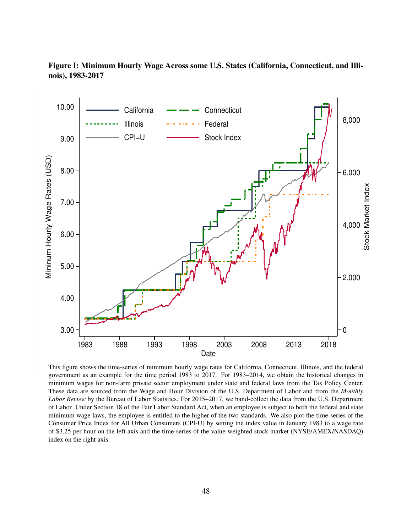<span id="page-48-0"></span>



This figure shows the time-series of minimum hourly wage rates for California, Connecticut, Illinois, and the federal government as an example for the time period 1983 to 2017. For 1983–2014, we obtain the historical changes in minimum wages for non-farm private sector employment under state and federal laws from the Tax Policy Center. These data are sourced from the Wage and Hour Division of the U.S. Department of Labor and from the *Monthly Labor Review* by the Bureau of Labor Statistics. For 2015–2017, we hand-collect the data from the U.S. Department of Labor. Under Section 18 of the Fair Labor Standard Act, when an employee is subject to both the federal and state minimum wage laws, the employee is entitled to the higher of the two standards. We also plot the time-series of the Consumer Price Index for All Urban Consumers (CPI-U) by setting the index value in January 1983 to a wage rate of \$3.25 per hour on the left axis and the time-series of the value-weighted stock market (NYSE/AMEX/NASDAQ) index on the right axis.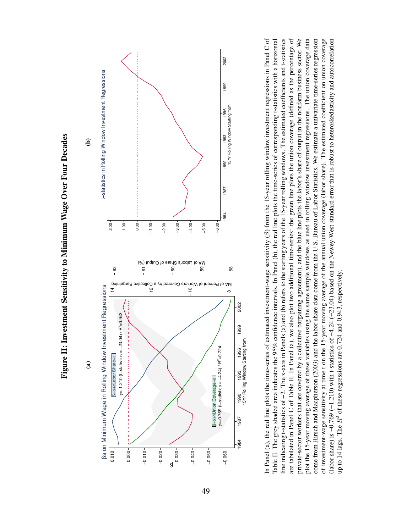

in Panel (a), the red line plots the time-series of estimated investment-wage sensitivity  $(\beta)$  from the 15-year rolling window investment regressions in Panel C of plot the 15-year moving average of these variables using the same sample windows as used in rolling window investment regressions. The union coverage data come from Hirsch and Macpherson (2003) and the labor share data come from the U.S. Bureau of Labor Statistics. We estimate a univariate time-series regression (labor share) is -0.769 (-1.210) with t-statistics of -4.24 (-23.04) based on the Newey-West standard error that is robust to heteroskedasticity and autocorrelation Table II. The grey shaded area indicates the 95% confidence intervals. In Panel (b), the red line plots the time-series of corresponding t-statistics with a horizontal ine indicating t-statistics of -2. The x-axis in Panels (a) and (b) refers to the starting years of the 15-year rolling windows. The estimated coefficients and t-statistics are tabulated in Panel C of Table II. In Panel (a), we also plot two additional time-series: the green line plots the union coverage (defined as the percentage of private-sector workers that are covered by a collective bargaining agreement), and the blue line plots the labor's share of output in the nonfarm business sector. We of investment-wage sensitivity at time t on the 15-year moving average of the annual union coverage (labor share). The estimated coefficient on union coverage  $\beta$ ) from the 15-year rolling window investment regressions in Panel C of Table [II.](#page-40-0) The grey shaded area indicates the 95% confidence intervals. In Panel (b), the red line plots the time-series of corresponding t-statistics with a horizontal line indicating t-statistics of −2. The x-axis in Panels (a) and (b) refers to the starting years of the 15-year rolling windows. The estimated coefficients and t-statistics are tabulated in Panel C of Table [II.](#page-40-0) In Panel (a), we also plot two additional time-series: the green line plots the union coverage (defined as the percentage of private-sector workers that are covered by a collective bargaining agreement), and the blue line plots the labor's share of output in the nonfarm business sector. We plot the 15-year moving average of these variables using the same sample windows as used in rolling window investment regressions. The union coverage data come from Hirsch and [Macpherson](#page-36-14) [\(2003\)](#page-36-14) and the labor share data come from the U.S. Bureau of Labor Statistics. We estimate a univariate time-series regression of investment-wage sensitivity at time t on the 15-year moving average of the annual union coverage (labor share). The estimated coefficient on union coverage (labor share) is −0.769 (−1.210) with t-statistics of −4.24 (−23.04) based on the Newey-West standard error that is robust to heteroskedasticity and autocorrelation In Panel (a), the red line plots the time-series of estimated investment-wage sensitivity  $(f_0)$ up to 14 lags. The  $R^2$  of these regressions are 0.724 and 0.943, respectively.

up to 14 lags. The

 $R^2$  of these regressions are 0.724 and 0.943, respectively.



<span id="page-49-0"></span>49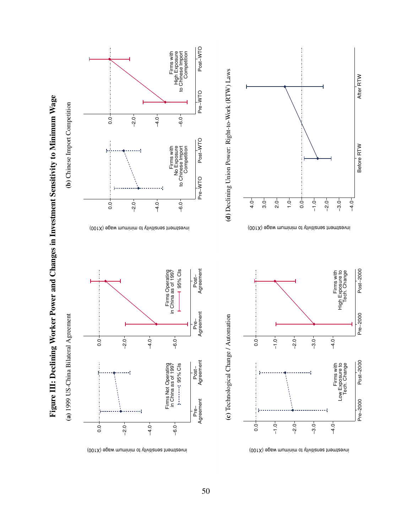<span id="page-50-0"></span>

investment sensitivity to minimum wage (X100)

investment sensitivity to minimum wage (X100)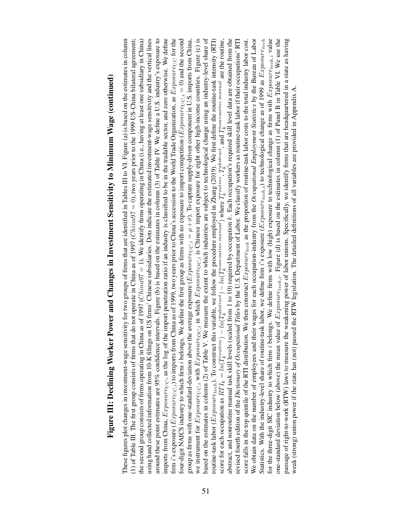# Figure III: Declining Worker Power and Changes in Investment Sensitivity to Minimum Wage (continued) Figure III: Declining Worker Power and Changes in Investment Sensitivity to Minimum Wage (continued)

These figures plot changes in investment-wage sensitivity for two groups of firms that are identified in Tables III to VI. Figure (a) is based on the estimates in column the second group consists of firms operating in China as of 1997 (China97 = 1). We identify firms operating in China (i.e., having at least one subsidiary in China) using hand collected information from 10-K filings on US firms' Chinese subsidiaries. Dots indicate the estimated investment-wage sensitivity and the vertical lines around these point estimates are 95% confidence intervals. Figure (b) is based on the estimates in column (3) of Table IV. We define a U.S. industry's exposure to imports from China,  $Exposure_{UC}$ , as the log of the import penetration ratio if an industry is classified to be in the tradable sector, and zero otherwise. We define four-digit NAICS industry to which firm *i* belongs. We define the first group as firms with no exposure to import competition ( $Exposure_{UC,i} = 0$ ) and the second based on the estimates in column (2) of Table V. We measure the extent to which industries are subject to technological change using an industry-level share of routine-task labor (Exposure<sub>tech</sub>). To construct this variable, we follow the procedure employed in Zhang (2019). We first define the routine-task intensity (RTI) passage of right-to-work (RTW) laws to measure the weakening power of labor unions. Specifically, we identify firms that are headquartered in a state as having (1) of Table III. The first group consists of firms that do not operate in China as of 1997 (China97 = 0), two years prior to the 1999 US-China bilateral agreement; firm i's exposure ( $Exposure_{UC,i}$ ) to imports from China as of 1999, two years prior to China's accession to the World Trade Organization, as  $Exposure_{UC}$  for the we instrument for  $Exposure_{UC,i}$  with  $Exposure_{OC,i}$  in which  $Exposure_{OC,i}$  is Chinese import exposure for eight other high-income countries. Figure (c) is revised fourth edition of the Dictionary of Occupational Titles by the U.S. Department of Labor. We classify workers as routine-task labor if their occupations' RTI score falls in the top quintile of the RTI distribution. We then construct  $Exposure_{tech}$  as the proportion of routine-task labor costs to the total industry labor cost. We obtain data on the number of employees and their wages for each occupation-industry from the Occupational Employment Statistics by the Bureau of Labor Statistics. With the industry-level share of routine-task labor, we define firm i's exposure (Exposuretech,i) to technological change as of 1999 as Exposuretech for the three-digit SIC industry to which firm *i* belongs. We define firms with low (high) exposure to technological change as firms with Exposureteen, value one-standard deviation below (above) the mean value of  $Exposure_{tech,i}$ . Figure (d) is based on the estimates in column (1) of Panel B in Table VI. We use the These figures plot changes in investment-wage sensitivity for two groups of firms that are identified in Tables [III](#page-42-0) to [VI.](#page-47-0) Figure (a) is based on the estimates in column the second group consists of firms operating in China as of 1997 (*China97* = 1). We identify firms operating in China (i.e., having at least one subsidiary in China) using hand collected information from 10-K filings on US firms' Chinese subsidiaries. Dots indicate the estimated investment-wage sensitivity and the vertical lines around these point estimates are 95% confidence intervals. Figure (b) is based on the estimates in column (3) of Table [IV.](#page-43-0) We define a U.S. industry's exposure to imports from China, *Exposurevc*, as the log of the import penetration ratio if an industry is classified to be in the tradable sector, and zero otherwise. We define firm i's exposure (*Exposure*<sub>UC,i</sub>) to imports from China as of 1999, two years prior to China's accession to the World Trade Organization, as *Exposure uc* for the interval for the China's accession to the World Trade O four-digit NAICS industry to which firm *i* belongs. We define the first group as firms with no exposure to import competition (*Exposure vc*,  $i = 0$ ) and the second based on the estimates in column (2) of Table [V.](#page-45-0) We measure the extent to which industries are subject to technological change using an industry-level share of routine-task labor (*Exposure<sub>tech</sub>*). To construct this variable, we follow the procedure employed in [Zhang](#page-37-0) [\(2019\)](#page-37-0). We first define the routine-task intensity (RTI) k. Each occupation's required skill level data are obtained from the revised fourth edition of the *Dictionary of Occupational Titles* by the U.S. Department of Labor. We classify workers as routine-task labor if their occupations' RTI We obtain data on the number of employees and their wages for each occupation-industry from the *Occupational Employment Statistics* by the Bureau of Labor for the three-digit SIC industry to which firm i belongs. We define firms with low (high) exposure to technological change as firms with  $Exposure_{test,i}$  value one-standard deviation below (above) the mean value of *Exposuretech*, i. Figure (d) is based on the estimates in column (1) of Panel B in Table [VI.](#page-47-0) We use the passage of right-to-work (RTW) laws to measure the weakening power of labor unions. Specifically, we identify firms that are headquartered in a state as having (1) of Table [III.](#page-42-0) The first group consists of firms that do not operate in China as of 1997 (China97 = 0), two years prior to the 1999 US-China bilateral agreement; σ). To capture supply-driven component in U.S. imports from China,  $\alpha$ ,  $\alpha$ ,  $\alpha$ ,  $\alpha$ ,  $\alpha$ ,  $\alpha$ ,  $\alpha$ ,  $\alpha$ ,  $\alpha$ ,  $\alpha$ ,  $\alpha$ ,  $\alpha$ ,  $\alpha$ ,  $\alpha$ ,  $\alpha$ ,  $\alpha$ ,  $\alpha$ ,  $\alpha$ ,  $\alpha$ ,  $\alpha$ ,  $\alpha$ ,  $\alpha$ ,  $\alpha$ ,  $\alpha$ ,  $\alpha$ ,  $\alpha$ ,  $\alpha$ ,  $\alpha$ ,  $\alpha$ ,  $\alpha$ ,  $\alpha$ ,  $\alpha$ ,  $\alpha$ ,  $\alpha$ ,  $\alpha$ ,  $\alpha$ ,  $\alpha$ , score falls in the top quintile of the RTI distribution. We then construct *Exposuretech* as the proportion of routine-task labor costs to the total industry labor cost. Statistics. With the industry-level share of routine-task labor, we define firm i's exposure (Exposuretech,i) to technological change as of 1999 as Exposuretech  $T_k^{nonroutine~mannal}$ weak (strong) union power if the state has (not) passed the RTW legislation. The detailed definitions of all variables are provided in Appendix A. weak (strong) union power if the state has (not) passed the RTW legislation. The detailed definitions of all variables are provided in [Appendix](#page-52-0) A. E\*  $\stackrel{the}{\kappa}$  and<br> $\stackrel{\text{the}}{\cdot}$ ,  $T_{k}^{abstract}$  $T_{k}^{routine}$ ) where  $\frac{1}{4}$ abstract, and nonroutine manual task skill levels (scaled from 1 to 10) required by occupation − ln(T nonroutine manual Ş =group as firms with one-standard-deviation above the average exposure (*Exposure*<sub>UC,i</sub>) يمک ) $)=ln(T_k^{abstract}$ يمک score for each occupation as  $RTI_k = ln(T_k^{nontrain},$ يمک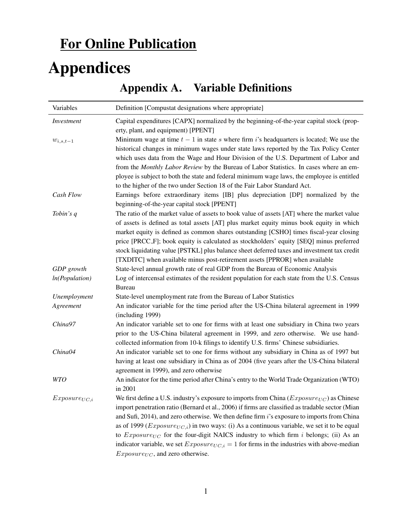# For Online Publication Appendices

# <span id="page-52-0"></span>Variables Definition [Compustat designations where appropriate] *Investment* Capital expenditures [CAPX] normalized by the beginning-of-the-year capital stock (property, plant, and equipment) [PPENT]  $w_{i,s,t-1}$  Minimum wage at time  $t-1$  in state s where firm i's headquarters is located; We use the historical changes in minimum wages under state laws reported by the Tax Policy Center which uses data from the Wage and Hour Division of the U.S. Department of Labor and from the *Monthly Labor Review* by the Bureau of Labor Statistics. In cases where an employee is subject to both the state and federal minimum wage laws, the employee is entitled to the higher of the two under Section 18 of the Fair Labor Standard Act. *Cash Flow* Earnings before extraordinary items [IB] plus depreciation [DP] normalized by the beginning-of-the-year capital stock [PPENT] *Tobin's q* The ratio of the market value of assets to book value of assets [AT] where the market value of assets is defined as total assets [AT] plus market equity minus book equity in which market equity is defined as common shares outstanding [CSHO] times fiscal-year closing price [PRCC F]; book equity is calculated as stockholders' equity [SEQ] minus preferred stock liquidating value [PSTKL] plus balance sheet deferred taxes and investment tax credit [TXDITC] when available minus post-retirement assets [PPROR] when available *GDP growth* State-level annual growth rate of real GDP from the Bureau of Economic Analysis *ln(Population)* Log of intercensal estimates of the resident population for each state from the U.S. Census Bureau *Unemployment* State-level unemployment rate from the Bureau of Labor Statistics *Agreement* An indicator variable for the time period after the US-China bilateral agreement in 1999 (including 1999) *China97* An indicator variable set to one for firms with at least one subsidiary in China two years prior to the US-China bilateral agreement in 1999, and zero otherwise. We use handcollected information from 10-k filings to identify U.S. firms' Chinese subsidiaries. *China04* An indicator variable set to one for firms without any subsidiary in China as of 1997 but having at least one subsidiary in China as of 2004 (five years after the US-China bilateral agreement in 1999), and zero otherwise *WTO* An indicator for the time period after China's entry to the World Trade Organization (WTO) in 2001  $Exposure_{UC,i}$  We first define a U.S. industry's exposure to imports from China ( $Exposure_{UC}$ ) as Chinese import penetration ratio [\(Bernard et al., 2006\)](#page-35-5) if firms are classified as tradable sector [\(Mian](#page-36-4) [and Sufi, 2014\)](#page-36-4), and zero otherwise. We then define firm i's exposure to imports from China as of 1999 ( $Exposure_{UC,i}$ ) in two ways: (i) As a continuous variable, we set it to be equal to  $Exposure_{UC}$  for the four-digit NAICS industry to which firm i belongs; (ii) As an indicator variable, we set  $Exposure_{UC,i} = 1$  for firms in the industries with above-median  $Exposure_{UC}$ , and zero otherwise.

# Appendix A. Variable Definitions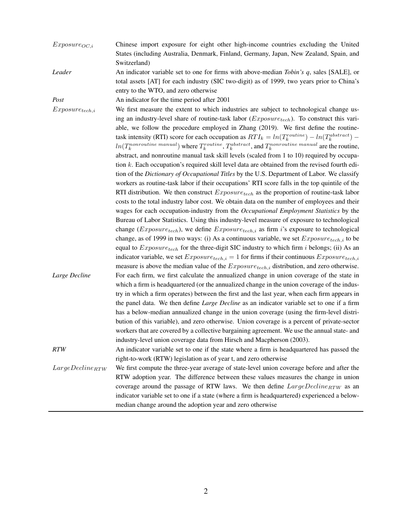| $Exposure_{OC,i}$     | Chinese import exposure for eight other high-income countries excluding the United<br>States (including Australia, Denmark, Finland, Germany, Japan, New Zealand, Spain, and<br>Switzerland)                                                                                                                                                                                              |
|-----------------------|-------------------------------------------------------------------------------------------------------------------------------------------------------------------------------------------------------------------------------------------------------------------------------------------------------------------------------------------------------------------------------------------|
| Leader                | An indicator variable set to one for firms with above-median <i>Tobin's q</i> , sales [SALE], or<br>total assets [AT] for each industry (SIC two-digit) as of 1999, two years prior to China's<br>entry to the WTO, and zero otherwise                                                                                                                                                    |
| Post                  | An indicator for the time period after 2001                                                                                                                                                                                                                                                                                                                                               |
| $Exposure_{tech,i}$   | We first measure the extent to which industries are subject to technological change us-<br>ing an industry-level share of routine-task labor ( $Exposure_{tech}$ ). To construct this vari-<br>able, we follow the procedure employed in Zhang (2019). We first define the routine-<br>task intensity (RTI) score for each occupation as $RTI_k = ln(T_k^{routine}) - ln(T_k^{abstract})$ |
|                       | $ln(T_k^{nonroutine~manual})$ where $T_k^{routine}$ , $T_k^{abstract}$ , and $T_k^{nonroutine~manual}$ are the routine,                                                                                                                                                                                                                                                                   |
|                       | abstract, and nonroutine manual task skill levels (scaled from 1 to 10) required by occupa-                                                                                                                                                                                                                                                                                               |
|                       | tion $k$ . Each occupation's required skill level data are obtained from the revised fourth edi-                                                                                                                                                                                                                                                                                          |
|                       | tion of the Dictionary of Occupational Titles by the U.S. Department of Labor. We classify                                                                                                                                                                                                                                                                                                |
|                       | workers as routine-task labor if their occupations' RTI score falls in the top quintile of the                                                                                                                                                                                                                                                                                            |
|                       | RTI distribution. We then construct $Exposure_{tech}$ as the proportion of routine-task labor                                                                                                                                                                                                                                                                                             |
|                       | costs to the total industry labor cost. We obtain data on the number of employees and their                                                                                                                                                                                                                                                                                               |
|                       | wages for each occupation-industry from the Occupational Employment Statistics by the                                                                                                                                                                                                                                                                                                     |
|                       | Bureau of Labor Statistics. Using this industry-level measure of exposure to technological                                                                                                                                                                                                                                                                                                |
|                       | change ( $Exposure_{tech}$ ), we define $Exposure_{tech,i}$ as firm <i>i</i> 's exposure to technological<br>change, as of 1999 in two ways: (i) As a continuous variable, we set $Exposure_{tech,i}$ to be                                                                                                                                                                               |
|                       | equal to $Exposure_{tech}$ for the three-digit SIC industry to which firm i belongs; (ii) As an<br>indicator variable, we set $Exposure_{tech,i} = 1$ for firms if their continuous $Exposure_{tech,i}$                                                                                                                                                                                   |
|                       | measure is above the median value of the $Exposure_{tech,i}$ distribution, and zero otherwise.                                                                                                                                                                                                                                                                                            |
| Large Decline         | For each firm, we first calculate the annualized change in union coverage of the state in                                                                                                                                                                                                                                                                                                 |
|                       | which a firm is headquartered (or the annualized change in the union coverage of the indus-                                                                                                                                                                                                                                                                                               |
|                       | try in which a firm operates) between the first and the last year, when each firm appears in                                                                                                                                                                                                                                                                                              |
|                       | the panel data. We then define <i>Large Decline</i> as an indicator variable set to one if a firm                                                                                                                                                                                                                                                                                         |
|                       | has a below-median annualized change in the union coverage (using the firm-level distri-                                                                                                                                                                                                                                                                                                  |
|                       | bution of this variable), and zero otherwise. Union coverage is a percent of private-sector                                                                                                                                                                                                                                                                                               |
|                       | workers that are covered by a collective bargaining agreement. We use the annual state- and                                                                                                                                                                                                                                                                                               |
|                       | industry-level union coverage data from Hirsch and Macpherson (2003).                                                                                                                                                                                                                                                                                                                     |
| RTW                   | An indicator variable set to one if the state where a firm is headquartered has passed the<br>right-to-work (RTW) legislation as of year t, and zero otherwise                                                                                                                                                                                                                            |
| $Large Decline_{RTW}$ | We first compute the three-year average of state-level union coverage before and after the                                                                                                                                                                                                                                                                                                |
|                       | RTW adoption year. The difference between these values measures the change in union                                                                                                                                                                                                                                                                                                       |
|                       | coverage around the passage of RTW laws. We then define $LargeDecline_{RTW}$ as an                                                                                                                                                                                                                                                                                                        |
|                       | indicator variable set to one if a state (where a firm is headquartered) experienced a below-                                                                                                                                                                                                                                                                                             |
|                       | median change around the adoption year and zero otherwise                                                                                                                                                                                                                                                                                                                                 |
|                       |                                                                                                                                                                                                                                                                                                                                                                                           |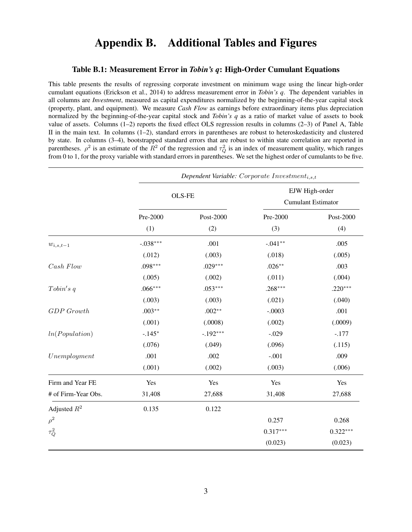# Appendix B. Additional Tables and Figures

# <span id="page-54-1"></span>Table B.1: Measurement Error in *Tobin's q*: High-Order Cumulant Equations

<span id="page-54-0"></span>This table presents the results of regressing corporate investment on minimum wage using the linear high-order cumulant equations [\(Erickson et al., 2014\)](#page-35-10) to address measurement error in *Tobin's q*. The dependent variables in all columns are *Investment*, measured as capital expenditures normalized by the beginning-of-the-year capital stock (property, plant, and equipment). We measure *Cash Flow* as earnings before extraordinary items plus depreciation normalized by the beginning-of-the-year capital stock and *Tobin's q* as a ratio of market value of assets to book value of assets. Columns (1–2) reports the fixed effect OLS regression results in columns (2–3) of Panel A, Table [II](#page-39-0) in the main text. In columns (1–2), standard errors in parentheses are robust to heteroskedasticity and clustered by state. In columns (3–4), bootstrapped standard errors that are robust to within state correlation are reported in parentheses.  $\rho^2$  is an estimate of the  $R^2$  of the regression and  $\tau_Q^2$  is an index of measurement quality, which ranges from 0 to 1, for the proxy variable with standard errors in parentheses. We set the highest order of cumulants to be five.

|                     | Dependent Variable: Corporate $Investment_{i,s,t}$ |            |            |                                             |  |
|---------------------|----------------------------------------------------|------------|------------|---------------------------------------------|--|
|                     |                                                    | OLS-FE     |            | EJW High-order<br><b>Cumulant Estimator</b> |  |
|                     | Pre-2000                                           | Post-2000  | Pre-2000   | Post-2000                                   |  |
|                     | (1)                                                | (2)        | (3)        | (4)                                         |  |
| $w_{i,s,t-1}$       | $-.038***$                                         | .001       | $-.041**$  | .005                                        |  |
|                     | (.012)                                             | (.003)     | (.018)     | (.005)                                      |  |
| Cash Flow           | $.098***$                                          | $.029***$  | $.026**$   | .003                                        |  |
|                     | (.005)                                             | (.002)     | (.011)     | (.004)                                      |  |
| Tobin's q           | $.066***$                                          | $.053***$  | $.268***$  | $.220***$                                   |  |
|                     | (.003)                                             | (.003)     | (.021)     | (.040)                                      |  |
| <b>GDP</b> Growth   | $.003**$                                           | $.002**$   | $-.0003$   | .001                                        |  |
|                     | (.001)                                             | (.0008)    | (.002)     | (.0009)                                     |  |
| ln(Population)      | $-.145*$                                           | $-.192***$ | $-.029$    | $-.177$                                     |  |
|                     | (.076)                                             | (.049)     | (.096)     | (.115)                                      |  |
| Unemployment        | .001                                               | .002       | $-.001$    | .009                                        |  |
|                     | (.001)                                             | (.002)     | (.003)     | (.006)                                      |  |
| Firm and Year FE    | Yes                                                | Yes        | Yes        | Yes                                         |  |
| # of Firm-Year Obs. | 31,408                                             | 27,688     | 31,408     | 27,688                                      |  |
| Adjusted $R^2$      | 0.135                                              | 0.122      |            |                                             |  |
| $\rho^2$            |                                                    |            | 0.257      | 0.268                                       |  |
| $\tau_Q^2$          |                                                    |            | $0.317***$ | $0.322***$                                  |  |
|                     |                                                    |            | (0.023)    | (0.023)                                     |  |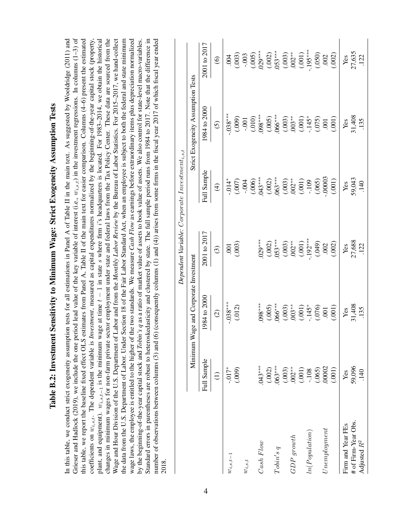<span id="page-55-0"></span>

| Table B.2: Investment Sensitivity to Minimum Wage: Strict Exogeneity Assumption Tests                                                                                                                                                                                                                                                                                                                                                                                                                                                                                                                                                                                                                           |
|-----------------------------------------------------------------------------------------------------------------------------------------------------------------------------------------------------------------------------------------------------------------------------------------------------------------------------------------------------------------------------------------------------------------------------------------------------------------------------------------------------------------------------------------------------------------------------------------------------------------------------------------------------------------------------------------------------------------|
| In this table, we conduct strict exogeneity assumption tests for all estimations in Panel A of Table II in the main text. As suggested by Wooldridge (2011) and<br>Grieser and Hadlock (2019), we include the one period lead value of the key variable of interest (i.e., $w_{i,s,t}$ ) in the investment regressions. In columns (1-3) of<br>this table, we report the baseline fixed effect OLS estimates from Panel A, Table II of the main text for easier comparison. Columns $(4-6)$ present the estimated<br><i>Investment</i> , measured as capital expenditures normalized by the beginning-of-the-year capital stock (property,<br>coefficients on $w_{i,s,t}$ . The dependent variable is $\lambda$ |
| sector employment under state and federal laws from the Tax Policy Center. These data are sourced from the<br>plant, and equipment). $w_{i,s,t-1}$ is the minimum wage at time $t-1$ in state s where firm i's headquarters is located. For 1983-2014, we obtain the historical<br>changes in minimum wages for non-farm private s                                                                                                                                                                                                                                                                                                                                                                              |
| Wage and Hour Division of the U.S. Department of Labor and from the Monthly Labor Review by the Bureau of Labor Statistics. For 2015-2017, we hand-collect<br>the data from the U.S. Department of Labor. Under Section 18 of the Fair Labor Standard Act, when an employee is subject to both the federal and state minimum                                                                                                                                                                                                                                                                                                                                                                                    |
| wage laws, the employee is entitled to the higher of the two standards. We measure Cash Flow as earnings before extraordinary items plus depreciation normalized<br>by the beginning-of-the-year capital stock and Tobin's q as a ratio of market value of assets to book value of assets. We also control for state-level macro-variables.                                                                                                                                                                                                                                                                                                                                                                     |
| Standard errors in parentheses are robust to heteroskedasticity and clustered by state. The full sample period runs from 1984 to 2017. Note that the difference in<br>number of observations between columns (3) and (6) (consequently columns (1) and (4)) arises from some firms in the fiscal year 2017 of which fiscal year ended                                                                                                                                                                                                                                                                                                                                                                           |
| 2018.                                                                                                                                                                                                                                                                                                                                                                                                                                                                                                                                                                                                                                                                                                           |

|                     |                                                                            |                                  | Dependent Variable: Corporate Investmenti, s,t                    |                                                                                                            |                                                                                                                                                                                                                                                                                                              |                                                                                                                                                                                                                                                                                                                                                               |
|---------------------|----------------------------------------------------------------------------|----------------------------------|-------------------------------------------------------------------|------------------------------------------------------------------------------------------------------------|--------------------------------------------------------------------------------------------------------------------------------------------------------------------------------------------------------------------------------------------------------------------------------------------------------------|---------------------------------------------------------------------------------------------------------------------------------------------------------------------------------------------------------------------------------------------------------------------------------------------------------------------------------------------------------------|
|                     | Minimum                                                                    | Wage and Corporate Investment    |                                                                   |                                                                                                            | Strict Exogeneity Assumption Tests                                                                                                                                                                                                                                                                           |                                                                                                                                                                                                                                                                                                                                                               |
|                     | Full Sample                                                                | 1984 to 2000                     | 2001 to 2017                                                      | Full Sample                                                                                                | 1984 to 2000                                                                                                                                                                                                                                                                                                 | 2001 to 2017                                                                                                                                                                                                                                                                                                                                                  |
|                     | $\bigoplus$                                                                | $\widehat{\mathcal{O}}$          | $\odot$                                                           | $\widehat{\mathcal{F}}$                                                                                    | $\widetilde{c}$                                                                                                                                                                                                                                                                                              | $\circledcirc$                                                                                                                                                                                                                                                                                                                                                |
| $w_{i,s,t-1}$       | $-0.017*$                                                                  | $-0.038***$                      | $\overline{0}0$                                                   | $-0.014$                                                                                                   | $-0.038***$                                                                                                                                                                                                                                                                                                  |                                                                                                                                                                                                                                                                                                                                                               |
|                     | (.009)                                                                     | (.012)                           | (.003)                                                            | $(.007)$<br>$-004$<br>$-006$<br>$(0.002)$<br>$(0.003)$<br>$(0.003)$<br>$(0.003)$<br>$(0.003)$<br>$(0.003)$ |                                                                                                                                                                                                                                                                                                              | $\begin{array}{c} 004 \\[-4pt] -003 \\[-4pt] -003 \\[-4pt] -003 \\[-4pt] -003 \\[-4pt] -003 \\[-4pt] -003 \\[-4pt] -003 \\[-4pt] -003 \\[-4pt] -003 \\[-4pt] -003 \\[-4pt] -003 \\[-4pt] -003 \\[-4pt] -003 \\[-4pt] -003 \\[-4pt] -003 \\[-4pt] -003 \\[-4pt] -003 \\[-4pt] -003 \\[-4pt] -003 \\[-4pt] -003 \\[-4pt] -003 \\[-4pt] -003 \\[-4pt] -003 \\[-$ |
| $w_{i,s,t}$         |                                                                            |                                  |                                                                   |                                                                                                            |                                                                                                                                                                                                                                                                                                              |                                                                                                                                                                                                                                                                                                                                                               |
|                     |                                                                            |                                  |                                                                   |                                                                                                            |                                                                                                                                                                                                                                                                                                              |                                                                                                                                                                                                                                                                                                                                                               |
| CashFlow            | 043****                                                                    | $098***$                         | $029***$                                                          |                                                                                                            |                                                                                                                                                                                                                                                                                                              |                                                                                                                                                                                                                                                                                                                                                               |
|                     | (.002)                                                                     |                                  |                                                                   |                                                                                                            |                                                                                                                                                                                                                                                                                                              |                                                                                                                                                                                                                                                                                                                                                               |
| Tobin's q           | $063***$                                                                   | $(0.005)$<br>066***              |                                                                   |                                                                                                            |                                                                                                                                                                                                                                                                                                              |                                                                                                                                                                                                                                                                                                                                                               |
|                     |                                                                            |                                  |                                                                   |                                                                                                            |                                                                                                                                                                                                                                                                                                              |                                                                                                                                                                                                                                                                                                                                                               |
| $GDP$ growth        |                                                                            |                                  |                                                                   |                                                                                                            |                                                                                                                                                                                                                                                                                                              |                                                                                                                                                                                                                                                                                                                                                               |
|                     | $\begin{array}{c} (003) \\ 002^{**} \\ (001) \\ -108 \\ (065) \end{array}$ | $(.003)\n(.001)\n(.145)\n(.076)$ | $(022)$<br>$(053***$<br>$(003)$<br>$(002**$<br>$(001)$<br>$(049)$ |                                                                                                            | $\begin{array}{l} (0.009)\\ -0.001\\ -0.010\\ (0.010)\\ (0.005^{***}\\ (0.005)\\ (0.003^{***}\\ (0.001)\\ (0.003^{***}\\ (0.001)\\ (0.001)\\ (0.01)\\ (0.01)\\ (0.01)\\ (0.01)\\ (0.01)\\ (0.01)\\ (0.01)\\ (0.01)\\ (0.01)\\ (0.01)\\ (0.01)\\ (0.01)\\ (0.01)\\ (0.01)\\ (0.01)\\ (0.01)\\ (0.01)\\ (0.01$ |                                                                                                                                                                                                                                                                                                                                                               |
| ln(Population)      |                                                                            |                                  |                                                                   |                                                                                                            |                                                                                                                                                                                                                                                                                                              |                                                                                                                                                                                                                                                                                                                                                               |
|                     |                                                                            |                                  |                                                                   |                                                                                                            |                                                                                                                                                                                                                                                                                                              |                                                                                                                                                                                                                                                                                                                                                               |
| Unemplogment        | 00002                                                                      |                                  |                                                                   |                                                                                                            |                                                                                                                                                                                                                                                                                                              |                                                                                                                                                                                                                                                                                                                                                               |
|                     | (.001)                                                                     | (.001)                           | (.002)                                                            | (.001)                                                                                                     | (001)                                                                                                                                                                                                                                                                                                        | (.002)                                                                                                                                                                                                                                                                                                                                                        |
| Firm and Year FEs   | Yes                                                                        | Yes                              | Yes                                                               | Yes                                                                                                        | Yes                                                                                                                                                                                                                                                                                                          | Yes                                                                                                                                                                                                                                                                                                                                                           |
| # of Firm-Year Obs. | 59,096                                                                     | 31,408                           | 27,688                                                            | 59,043                                                                                                     | 31,408                                                                                                                                                                                                                                                                                                       | 27,635                                                                                                                                                                                                                                                                                                                                                        |
| Adjusted $R^2$      | 140                                                                        | .135                             | .122                                                              | .140                                                                                                       | .135                                                                                                                                                                                                                                                                                                         | .122                                                                                                                                                                                                                                                                                                                                                          |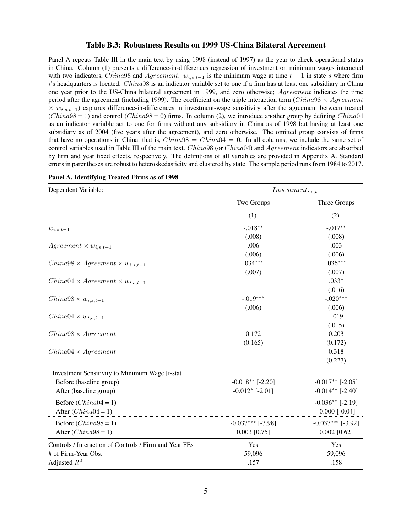# Table B.3: Robustness Results on 1999 US-China Bilateral Agreement

<span id="page-56-0"></span>Panel A repeats Table [III](#page-42-0) in the main text by using 1998 (instead of 1997) as the year to check operational status in China. Column (1) presents a difference-in-differences regression of investment on minimum wages interacted with two indicators, China98 and Agreement.  $w_{i,s,t-1}$  is the minimum wage at time  $t-1$  in state s where firm  $i$ 's headquarters is located. China98 is an indicator variable set to one if a firm has at least one subsidiary in China one year prior to the US-China bilateral agreement in 1999, and zero otherwise; Agreement indicates the time period after the agreement (including 1999). The coefficient on the triple interaction term (China98  $\times$  Agreement  $\times w_{i,s,t-1}$ ) captures difference-in-differences in investment-wage sensitivity after the agreement between treated  $(China98 = 1)$  and control  $(China98 = 0)$  firms. In column (2), we introduce another group by defining *China04* as an indicator variable set to one for firms without any subsidiary in China as of 1998 but having at least one subsidiary as of 2004 (five years after the agreement), and zero otherwise. The omitted group consists of firms that have no operations in China, that is,  $China98 = China04 = 0$ . In all columns, we include the same set of control variables used in Table [III](#page-42-0) of the main text. *China98* (or *China04*) and *Agreement* indicators are absorbed by firm and year fixed effects, respectively. The definitions of all variables are provided in [Appendix A.](#page-52-0) Standard errors in parentheses are robust to heteroskedasticity and clustered by state. The sample period runs from 1984 to 2017.

| Dependent Variable:                                    |                        | $Investment_{i,s,t}$ |
|--------------------------------------------------------|------------------------|----------------------|
|                                                        | Two Groups             | Three Groups         |
|                                                        | (1)                    | (2)                  |
| $w_{i,s,t-1}$                                          | $-.018**$              | $-.017**$            |
|                                                        | (.008)                 | (.008)               |
| $Agreement \times w_{i,s,t-1}$                         | .006                   | .003                 |
|                                                        | (.006)                 | (.006)               |
| $China98 \times Agreement \times w_{i,s,t-1}$          | $.034***$              | $.036***$            |
|                                                        | (.007)                 | (.007)               |
| $China04 \times Agreement \times w_{i,s,t-1}$          |                        | $.033*$              |
|                                                        |                        | (.016)               |
| $China98 \times w_{i,s,t-1}$                           | $-.019***$             | $-.020***$           |
|                                                        | (.006)                 | (.006)               |
| $China04 \times w_{i,s,t-1}$                           |                        | $-.019$              |
|                                                        |                        | (.015)               |
| $China98 \times Agreement$                             | 0.172                  | 0.203                |
|                                                        | (0.165)                | (0.172)              |
| $China04 \times Agreement$                             |                        | 0.318                |
|                                                        |                        | (0.227)              |
| Investment Sensitivity to Minimum Wage [t-stat]        |                        |                      |
| Before (baseline group)                                | $-0.018**$ [-2.20]     | $-0.017**$ [-2.05]   |
| After (baseline group)                                 | $-0.012$ * [ $-2.01$ ] | $-0.014**$ [-2.40]   |
| Before $(China04 = 1)$                                 |                        | $-0.036**$ [-2.19]   |
| After $(China04 = 1)$                                  |                        | $-0.000$ $[-0.04]$   |
|                                                        |                        |                      |
| Before $(China98 = 1)$                                 | $-0.037***$ [-3.98]    | $-0.037***$ [-3.92]  |
| After $(China98 = 1)$                                  | $0.003$ [0.75]         | $0.002$ [0.62]       |
| Controls / Interaction of Controls / Firm and Year FEs | Yes                    | Yes                  |
| # of Firm-Year Obs.                                    | 59,096                 | 59,096               |
| Adjusted $R^2$                                         | .157                   | .158                 |

### Panel A. Identifying Treated Firms as of 1998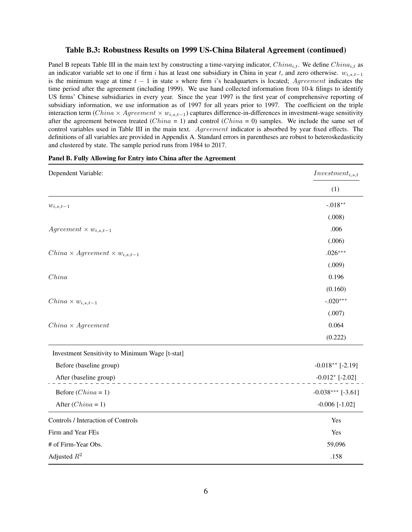# <span id="page-57-0"></span>Table B.3: Robustness Results on 1999 US-China Bilateral Agreement (continued)

Panel B repeats Table [III](#page-42-0) in the main text by constructing a time-varying indicator,  $China_{i,t}$ . We define  $China_{i,t}$  as an indicator variable set to one if firm i has at least one subsidiary in China in year t, and zero otherwise.  $w_{i,s,t-1}$ is the minimum wage at time  $t - 1$  in state s where firm i's headquarters is located; Agreement indicates the time period after the agreement (including 1999). We use hand collected information from 10-k filings to identify US firms' Chinese subsidiaries in every year. Since the year 1997 is the first year of comprehensive reporting of subsidiary information, we use information as of 1997 for all years prior to 1997. The coefficient on the triple interaction term ( $China \times Agreement \times w_{i,s,t-1}$ ) captures difference-in-differences in investment-wage sensitivity after the agreement between treated (China = 1) and control (China = 0) samples. We include the same set of control variables used in Table [III](#page-42-0) in the main text. Agreement indicator is absorbed by year fixed effects. The definitions of all variables are provided in [Appendix A.](#page-52-0) Standard errors in parentheses are robust to heteroskedasticity and clustered by state. The sample period runs from 1984 to 2017.

| Dependent Variable:                             | $Investment_{i,s,t}$ |
|-------------------------------------------------|----------------------|
|                                                 | (1)                  |
| $w_{i,s,t-1}$                                   | $-.018**$            |
|                                                 | (.008)               |
| $Agreement \times w_{i,s,t-1}$                  | .006                 |
|                                                 | (.006)               |
| $China \times Agreement \times w_{i,s,t-1}$     | $.026***$            |
|                                                 | (.009)               |
| China                                           | 0.196                |
|                                                 | (0.160)              |
| $China \times w_{i,s,t-1}$                      | $-.020***$           |
|                                                 | (.007)               |
| $China \times Agreement$                        | 0.064                |
|                                                 | (0.222)              |
| Investment Sensitivity to Minimum Wage [t-stat] |                      |
| Before (baseline group)                         | $-0.018**$ [-2.19]   |
| After (baseline group)                          | $-0.012$ * [-2.02]   |
| Before $(China = 1)$                            | $-0.038***$ [-3.61]  |
| After $(China = 1)$                             | $-0.006$ $[-1.02]$   |
| Controls / Interaction of Controls              | Yes                  |
| Firm and Year FEs                               | Yes                  |
| # of Firm-Year Obs.                             | 59,096               |
| Adjusted $R^2$                                  | .158                 |

|  |  |  |  | Panel B. Fully Allowing for Entry into China after the Agreement |
|--|--|--|--|------------------------------------------------------------------|
|  |  |  |  |                                                                  |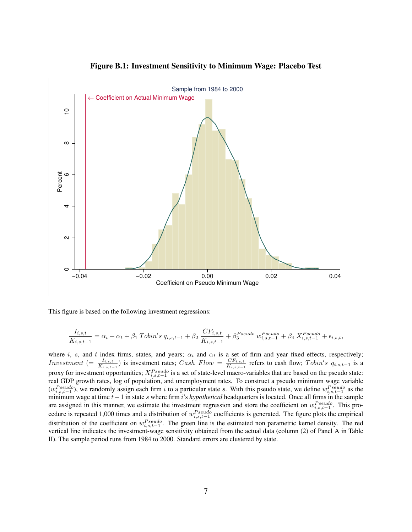<span id="page-58-0"></span>

Figure B.1: Investment Sensitivity to Minimum Wage: Placebo Test

This figure is based on the following investment regressions:

$$
\frac{I_{i,s,t}}{K_{i,s,t-1}} = \alpha_i + \alpha_t + \beta_1 \; Tobin's \; q_{i,s,t-1} + \beta_2 \; \frac{CF_{i,s,t}}{K_{i,s,t-1}} + \beta_3^{Pseudo} \; w_{i,s,t-1}^{Pseudo} + \beta_4 \; X_{i,s,t-1}^{Pseudo} + \epsilon_{i,s,t},
$$

where i, s, and t index firms, states, and years;  $\alpha_i$  and  $\alpha_t$  is a set of firm and year fixed effects, respectively; *Investment* (=  $\frac{I_{i,s,t}}{K_{i,s,t-1}}$ ) is investment rates; Cash Flow =  $\frac{CF_{i,s,t}}{K_{i,s,t-1}}$  $\frac{CF_{i,s,t}}{K_{i,s,t-1}}$  refers to cash flow;  $Tobin's$   $q_{i,s,t-1}$  is a proxy for investment opportunities;  $X_{i,s,t-1}^{Pseudo}$  is a set of state-level macro-variables that are based on the pseudo state: real GDP growth rates, log of population, and unemployment rates. To construct a pseudo minimum wage variable  $(w_{i,s,t-1}^{Pseudo})$ , we randomly assign each firm i to a particular state s. With this pseudo state, we define  $w_{i,s,t-1}^{Pseudo}$  as the minimum wage at time t−1 in state s where firm i's *hypothetical* headquarters is located. Once all firms in the sample are assigned in this manner, we estimate the investment regression and store the coefficient on  $w^{Pseudo}_{i,s,t-1}$ . This procedure is repeated 1,000 times and a distribution of  $w^{Pseudo}_{i,s,t-1}$  coefficients is generated. The figure plots the empirical distribution of the coefficient on  $w_{i,s,t-1}^{Pseudo}$ . The green line is the estimated non parametric kernel density. The red vertical line indicates the investment-wage sensitivity obtained from the actual data (column (2) of Panel A in Table [II\)](#page-39-0). The sample period runs from 1984 to 2000. Standard errors are clustered by state.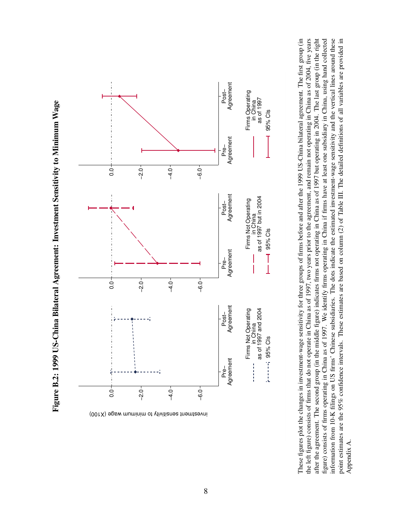<span id="page-59-0"></span>



These figures plot the changes in investment-wage sensitivity for three groups of firms before and after the 1999 US-China bilateral agreement. The first group (in the left figure) consists of firms that do not operate in China as of 1997, two years prior to the agreement, and remain not operating in China as of 2004, five years after the agreement. The second group (in the middle figure) indicates firms not operating in China as of 1997 but operating in 2004. The last group (in the right figure) consists of firms operating in China as of 1997. We identify firms operating in China if firms have at least one subsidiary in China, using hand collected information from 10-K filings on US firms' Chinese subsidiaries. The dots indicate the estimated investment-wage sensitivity and the vertical lines around these point estimates are the 95% confidence intervals. These estimates are based on column (2) of Table III. The detailed definitions of all variables are provided in These figures plot the changes in investment-wage sensitivity for three groups of firms before and after the 1999 US-China bilateral agreement. The first group (in the left figure) consists of firms that do not operate in China as of 1997, two years prior to the agreement, and remain not operating in China as of 2004, five years after the agreement. The second group (in the middle figure) indicates firms not operating in China as of 1997 but operating in 2004. The last group (in the right figure) consists of firms operating in China as of 1997. We identify firms operating in China if firms have at least one subsidiary in China, using hand collected information from 10-K filings on US firms' Chinese subsidiaries. The dots indicate the estimated investment-wage sensitivity and the vertical lines around these point estimates are the 95% confidence intervals. These estimates are based on column (2) of Table [III.](#page-42-0) The detailed definitions of all variables are provided in Appendix A. [Appendix](#page-52-0) A.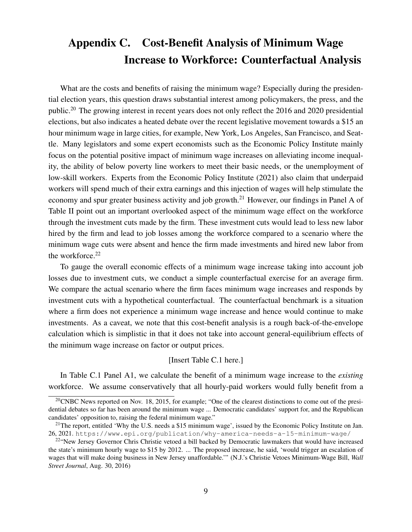# <span id="page-60-0"></span>Appendix C. Cost-Benefit Analysis of Minimum Wage Increase to Workforce: Counterfactual Analysis

What are the costs and benefits of raising the minimum wage? Especially during the presidential election years, this question draws substantial interest among policymakers, the press, and the public.[20](#page-60-1) The growing interest in recent years does not only reflect the 2016 and 2020 presidential elections, but also indicates a heated debate over the recent legislative movement towards a \$15 an hour minimum wage in large cities, for example, New York, Los Angeles, San Francisco, and Seattle. Many legislators and some expert economists such as the Economic Policy Institute mainly focus on the potential positive impact of minimum wage increases on alleviating income inequality, the ability of below poverty line workers to meet their basic needs, or the unemployment of low-skill workers. Experts from the Economic Policy Institute (2021) also claim that underpaid workers will spend much of their extra earnings and this injection of wages will help stimulate the economy and spur greater business activity and job growth.<sup>[21](#page-60-2)</sup> However, our findings in Panel A of Table [II](#page-39-0) point out an important overlooked aspect of the minimum wage effect on the workforce through the investment cuts made by the firm. These investment cuts would lead to less new labor hired by the firm and lead to job losses among the workforce compared to a scenario where the minimum wage cuts were absent and hence the firm made investments and hired new labor from the workforce.<sup>[22](#page-60-3)</sup>

To gauge the overall economic effects of a minimum wage increase taking into account job losses due to investment cuts, we conduct a simple counterfactual exercise for an average firm. We compare the actual scenario where the firm faces minimum wage increases and responds by investment cuts with a hypothetical counterfactual. The counterfactual benchmark is a situation where a firm does not experience a minimum wage increase and hence would continue to make investments. As a caveat, we note that this cost-benefit analysis is a rough back-of-the-envelope calculation which is simplistic in that it does not take into account general-equilibrium effects of the minimum wage increase on factor or output prices.

# [Insert Table [C.1](#page-63-0) here.]

In Table [C.1](#page-63-0) Panel A1, we calculate the benefit of a minimum wage increase to the *existing* workforce. We assume conservatively that all hourly-paid workers would fully benefit from a

<span id="page-60-1"></span><sup>&</sup>lt;sup>20</sup>CNBC News reported on Nov. 18, 2015, for example; "One of the clearest distinctions to come out of the presidential debates so far has been around the minimum wage ... Democratic candidates' support for, and the Republican candidates' opposition to, raising the federal minimum wage."

<span id="page-60-2"></span><sup>&</sup>lt;sup>21</sup>The report, entitled 'Why the U.S. needs a \$15 minimum wage', issued by the Economic Policy Institute on Jan. 26, 2021. <https://www.epi.org/publication/why-america-needs-a-15-minimum-wage/>

<span id="page-60-3"></span> $22$ "New Jersey Governor Chris Christie vetoed a bill backed by Democratic lawmakers that would have increased the state's minimum hourly wage to \$15 by 2012. ... The proposed increase, he said, 'would trigger an escalation of wages that will make doing business in New Jersey unaffordable.'" (N.J.'s Christie Vetoes Minimum-Wage Bill, *Wall Street Journal*, Aug. 30, 2016)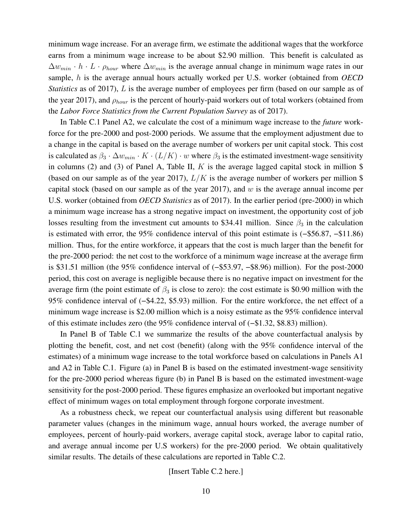minimum wage increase. For an average firm, we estimate the additional wages that the workforce earns from a minimum wage increase to be about \$2.90 million. This benefit is calculated as  $\Delta w_{min} \cdot h \cdot L \cdot \rho_{hour}$  where  $\Delta w_{min}$  is the average annual change in minimum wage rates in our sample, h is the average annual hours actually worked per U.S. worker (obtained from *OECD Statistics* as of 2017), L is the average number of employees per firm (based on our sample as of the year 2017), and  $\rho_{hour}$  is the percent of hourly-paid workers out of total workers (obtained from the *Labor Force Statistics from the Current Population Survey* as of 2017).

In Table [C.1](#page-63-0) Panel A2, we calculate the cost of a minimum wage increase to the *future* workforce for the pre-2000 and post-2000 periods. We assume that the employment adjustment due to a change in the capital is based on the average number of workers per unit capital stock. This cost is calculated as  $\beta_3 \cdot \Delta w_{min} \cdot K \cdot (L/K) \cdot w$  where  $\beta_3$  is the estimated investment-wage sensitivity in columns (2) and (3) of Panel A, Table [II,](#page-39-0) K is the average lagged capital stock in million  $\$ (based on our sample as of the year 2017),  $L/K$  is the average number of workers per million \$ capital stock (based on our sample as of the year 2017), and  $w$  is the average annual income per U.S. worker (obtained from *OECD Statistics* as of 2017). In the earlier period (pre-2000) in which a minimum wage increase has a strong negative impact on investment, the opportunity cost of job losses resulting from the investment cut amounts to \$34.41 million. Since  $\beta_3$  in the calculation is estimated with error, the 95% confidence interval of this point estimate is (−\$56.87, −\$11.86) million. Thus, for the entire workforce, it appears that the cost is much larger than the benefit for the pre-2000 period: the net cost to the workforce of a minimum wage increase at the average firm is \$31.51 million (the 95% confidence interval of (−\$53.97, −\$8.96) million). For the post-2000 period, this cost on average is negligible because there is no negative impact on investment for the average firm (the point estimate of  $\beta_3$  is close to zero): the cost estimate is \$0.90 million with the 95% confidence interval of (−\$4.22, \$5.93) million. For the entire workforce, the net effect of a minimum wage increase is \$2.00 million which is a noisy estimate as the 95% confidence interval of this estimate includes zero (the 95% confidence interval of (−\$1.32, \$8.83) million).

In Panel B of Table [C.1](#page-64-0) we summarize the results of the above counterfactual analysis by plotting the benefit, cost, and net cost (benefit) (along with the 95% confidence interval of the estimates) of a minimum wage increase to the total workforce based on calculations in Panels A1 and A2 in Table [C.1.](#page-63-0) Figure (a) in Panel B is based on the estimated investment-wage sensitivity for the pre-2000 period whereas figure (b) in Panel B is based on the estimated investment-wage sensitivity for the post-2000 period. These figures emphasize an overlooked but important negative effect of minimum wages on total employment through forgone corporate investment.

As a robustness check, we repeat our counterfactual analysis using different but reasonable parameter values (changes in the minimum wage, annual hours worked, the average number of employees, percent of hourly-paid workers, average capital stock, average labor to capital ratio, and average annual income per U.S workers) for the pre-2000 period. We obtain qualitatively similar results. The details of these calculations are reported in Table [C.2.](#page-65-0)

[Insert Table [C.2](#page-65-0) here.]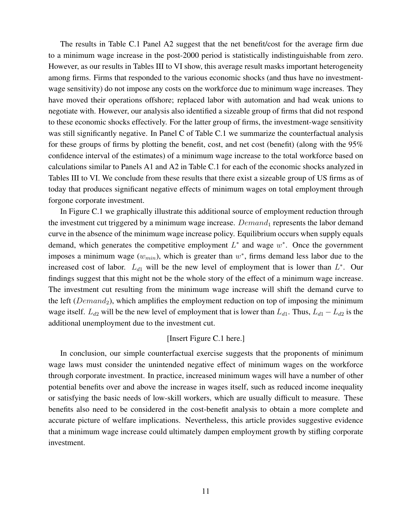The results in Table [C.1](#page-63-0) Panel A2 suggest that the net benefit/cost for the average firm due to a minimum wage increase in the post-2000 period is statistically indistinguishable from zero. However, as our results in Tables [III](#page-42-0) to [VI](#page-47-0) show, this average result masks important heterogeneity among firms. Firms that responded to the various economic shocks (and thus have no investmentwage sensitivity) do not impose any costs on the workforce due to minimum wage increases. They have moved their operations offshore; replaced labor with automation and had weak unions to negotiate with. However, our analysis also identified a sizeable group of firms that did not respond to these economic shocks effectively. For the latter group of firms, the investment-wage sensitivity was still significantly negative. In Panel C of Table [C.1](#page-64-0) we summarize the counterfactual analysis for these groups of firms by plotting the benefit, cost, and net cost (benefit) (along with the 95% confidence interval of the estimates) of a minimum wage increase to the total workforce based on calculations similar to Panels A1 and A2 in Table [C.1](#page-63-0) for each of the economic shocks analyzed in Tables [III](#page-42-0) to [VI.](#page-47-0) We conclude from these results that there exist a sizeable group of US firms as of today that produces significant negative effects of minimum wages on total employment through forgone corporate investment.

In Figure [C.1](#page-67-0) we graphically illustrate this additional source of employment reduction through the investment cut triggered by a minimum wage increase.  $Demand_1$  represents the labor demand curve in the absence of the minimum wage increase policy. Equilibrium occurs when supply equals demand, which generates the competitive employment  $L^*$  and wage  $w^*$ . Once the government imposes a minimum wage  $(w_{min})$ , which is greater than  $w^*$ , firms demand less labor due to the increased cost of labor.  $L_{d1}$  will be the new level of employment that is lower than  $L^*$ . Our findings suggest that this might not be the whole story of the effect of a minimum wage increase. The investment cut resulting from the minimum wage increase will shift the demand curve to the left ( $Demand<sub>2</sub>$ ), which amplifies the employment reduction on top of imposing the minimum wage itself.  $L_{d2}$  will be the new level of employment that is lower than  $L_{d1}$ . Thus,  $L_{d1} - L_{d2}$  is the additional unemployment due to the investment cut.

# [Insert Figure [C.1](#page-67-0) here.]

In conclusion, our simple counterfactual exercise suggests that the proponents of minimum wage laws must consider the unintended negative effect of minimum wages on the workforce through corporate investment. In practice, increased minimum wages will have a number of other potential benefits over and above the increase in wages itself, such as reduced income inequality or satisfying the basic needs of low-skill workers, which are usually difficult to measure. These benefits also need to be considered in the cost-benefit analysis to obtain a more complete and accurate picture of welfare implications. Nevertheless, this article provides suggestive evidence that a minimum wage increase could ultimately dampen employment growth by stifling corporate investment.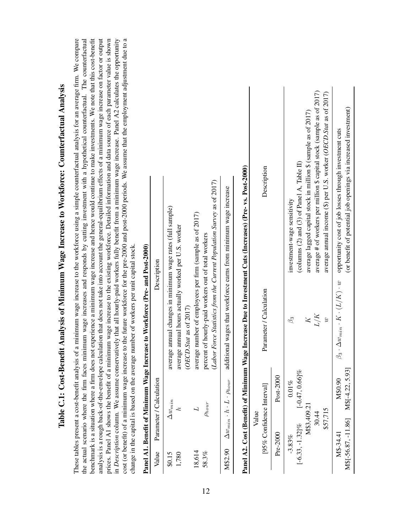|                                                                                         |                                            | Description             |                                                                                                                                              | (Labor Force Statistics from the Current Population Survey as of 2017)                                          |                                                                  | I Wage Increase Due to Investment Cuts (Increases) (Pre- vs. Post-2000) | Description                        |           | average lagged capital stock in million \$ (sample as of 2017)<br>(columns $(2)$ and $(3)$ of Panel A, Table II)<br>investment-wage sensitivity | average annual income (\$) per U.S. worker (OECD.Stat as of 2017)<br>average # of workers per million \$ capital stock (sample as of $2017$ ) | (or benefit of potential job openings via increased investment)<br>opportunity cost of job losses through investment cuts |
|-----------------------------------------------------------------------------------------|--------------------------------------------|-------------------------|----------------------------------------------------------------------------------------------------------------------------------------------|-----------------------------------------------------------------------------------------------------------------|------------------------------------------------------------------|-------------------------------------------------------------------------|------------------------------------|-----------|-------------------------------------------------------------------------------------------------------------------------------------------------|-----------------------------------------------------------------------------------------------------------------------------------------------|---------------------------------------------------------------------------------------------------------------------------|
| change in the capital is based on the average number of workers per unit capital stock. | Increase to Workforce (Pre- and Post-2000) |                         | average annual changes in minimum wage rates (full sample)<br>average annual hours actually worked per U.S. worker<br>(OECD.Stat as of 2017) | average number of employees per firm (sample as of 2017)<br>percent of hourly-paid workers out of total workers | additional wages that workforce earns from minimum wage increase |                                                                         | Parameter / Calculation            |           | $\beta_3$<br>K                                                                                                                                  | L/K<br>$\ddot{v}$                                                                                                                             | $\beta_3 \cdot \Delta w_{min} \cdot K \cdot (L/K) \cdot w$                                                                |
|                                                                                         | Panel A1. Benefit of Minimum Wage          | Parameter / Calculation | $\Delta w_{min}$<br>$\mathcal{L}_{\mathcal{L}}$                                                                                              | $\rho_{hour}$                                                                                                   | $\Delta w_{min} \cdot h \cdot L \cdot \rho_{hour}$               | Panel A2. Cost (Benefit) of Minimum                                     |                                    | Post-2000 | $[-0.47, 0.66]$ %<br>0.01%                                                                                                                      |                                                                                                                                               | M\$[-4.22, 5.93]<br>M\$0.90                                                                                               |
|                                                                                         |                                            |                         |                                                                                                                                              |                                                                                                                 |                                                                  |                                                                         | [95% Confidence Interval]<br>Value | Pre-2000  | M\$3,409.21<br>$[-6.33, -1.32]\%$<br>$-3.83%$                                                                                                   | \$57,715<br>30.44                                                                                                                             | M\$[-56.87, -11.86]<br>M\$-34.41                                                                                          |
|                                                                                         |                                            | Value                   | 1,780<br>\$0.15                                                                                                                              | 18,614<br>58.3%                                                                                                 | M\$2.90                                                          |                                                                         |                                    |           |                                                                                                                                                 |                                                                                                                                               |                                                                                                                           |

<span id="page-63-0"></span>Table C.1: Cost-Benefit Analysis of Minimum Wage Increase to Workforce: Counterfactual Analysis

Table C.1: Cost-Benefit Analysis of Minimum Wage Increase to Workforce: Counterfactual Analysis

These tables present a cost-benefit analysis of a minimum wage increase to the workforce using a simple counterfactual analysis for an average firm. We compare the actual scenario where the firm faces minimum wage increases and responds by cutting investment with a hypothetical counterfactual. The counterfactual benchmark is a situation where a firm does not experience a minimum wage increase and hence would continue to make investments. We note that this cost-benefit analysis is a rough back-of-the-envelope calculation that does not take into account the general-equilibrium effects of a minimum wage increase on factor or output prices. Panel A1 shows the benefit of a minimum wage increase to the existing workforce. Detailed information and data source of each parameter value is shown in *Description* column. We assume conservatively that all hourly-paid workers fully benefit from a minimum wage increase. Panel A2 calculates the opportunity cost (or benefit) of a minimum wage increase to the future workforce for the pre-2000 and post-2000 periods. We assume that the employment adjustment due to a

These tables present a cost-benefit analysis of a minimum wage increase to the workforce using a simple counterfactual analysis for an average firm. We compare

the actual scenario where the firm faces minimum wage increases and responds by cutting investment with a hypothetical counterfactual. The counterfactual benchmark is a situation where a firm does not experience a minimum wage increase and hence would continue to make investments. We note that this cost-benefit analysis is a rough back-of-the-envelope calculation that does not take into account the general-equilibrium effects of a minimum wage increase on factor or output

prices. Panel A1 shows the benefit of a minimum wage increase to the existing workforce. Detailed information and data source of each parameter value is shown

in Description column. We assume conservatively that all hourly-paid workers fully benefit from a minimum wage increase. Panel A2 calculates the opportunity cost (or benefit) of a minimum wage increase to the future workforce for the pre-2000 and post-2000 periods. We assume that the employment adjustment due to a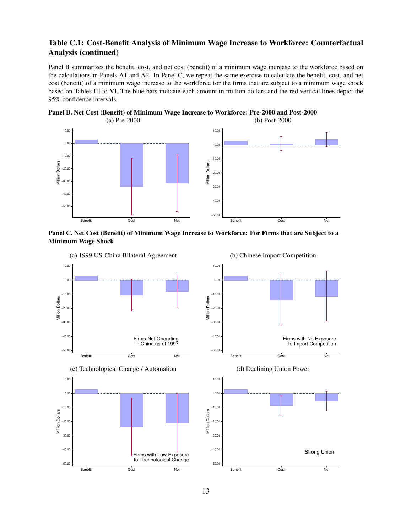# <span id="page-64-0"></span>Table C.1: Cost-Benefit Analysis of Minimum Wage Increase to Workforce: Counterfactual Analysis (continued)

Panel B summarizes the benefit, cost, and net cost (benefit) of a minimum wage increase to the workforce based on the calculations in Panels A1 and A2. In Panel C, we repeat the same exercise to calculate the benefit, cost, and net cost (benefit) of a minimum wage increase to the workforce for the firms that are subject to a minimum wage shock based on Tables [III](#page-42-0) to [VI.](#page-47-0) The blue bars indicate each amount in million dollars and the red vertical lines depict the 95% confidence intervals.





Panel C. Net Cost (Benefit) of Minimum Wage Increase to Workforce: For Firms that are Subject to a Minimum Wage Shock

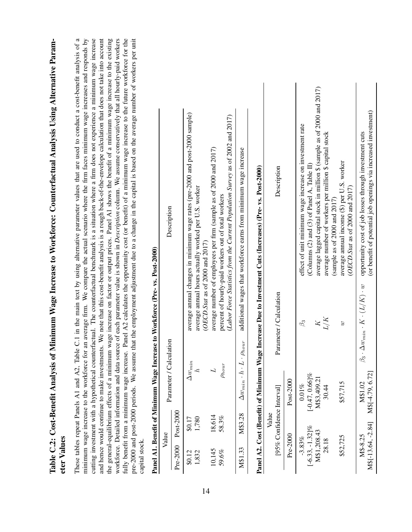| capital stock.                 | and hence would continue to make investments. W<br>pre-2000 and post-2000 periods. We assume that |                                                            | fully benefit from a minimum wage increase. Panel A2 calculates the opportunity cost (or benefit) of a minimum wage increase to the future workforce for the<br>workforce. Detailed information and data source of each parameter value is shown in <i>Description</i> column. We assume conservatively that all hourly-paid workers<br>e note that this cost-benefit analysis is a rough back-of-the-envelope calculation that does not take into account<br>the general-equilibrium effects of a minimum wage increase on factor or output prices. Panel A1 shows the benefit of a minimum wage increase to the existing<br>the employment adjustment due to a change in the capital is based on the average number of workers per unit |
|--------------------------------|---------------------------------------------------------------------------------------------------|------------------------------------------------------------|-------------------------------------------------------------------------------------------------------------------------------------------------------------------------------------------------------------------------------------------------------------------------------------------------------------------------------------------------------------------------------------------------------------------------------------------------------------------------------------------------------------------------------------------------------------------------------------------------------------------------------------------------------------------------------------------------------------------------------------------|
|                                | Panel A1. Benefit of Minimum Wage Increase to Workforce (Pre- vs. Post-2000)                      |                                                            |                                                                                                                                                                                                                                                                                                                                                                                                                                                                                                                                                                                                                                                                                                                                           |
| Value                          | Parameter / Calculation                                                                           |                                                            | Description                                                                                                                                                                                                                                                                                                                                                                                                                                                                                                                                                                                                                                                                                                                               |
| Post-2000<br>Pre-2000          |                                                                                                   |                                                            |                                                                                                                                                                                                                                                                                                                                                                                                                                                                                                                                                                                                                                                                                                                                           |
| \$0.17<br>\$0.12               | $\Delta w_{min}$                                                                                  |                                                            | average annual changes in minimum wage rates (pre-2000 and post-2000 sample)                                                                                                                                                                                                                                                                                                                                                                                                                                                                                                                                                                                                                                                              |
| 1,780<br>1,832                 | $\ddot{c}$                                                                                        | $(OECD.5tat$ as of 2000 and 2017)                          | average annual hours actually worked per U.S. worker                                                                                                                                                                                                                                                                                                                                                                                                                                                                                                                                                                                                                                                                                      |
| 18,614<br>10,145               |                                                                                                   |                                                            | average number of employees per firm (sample as of 2000 and 2017)                                                                                                                                                                                                                                                                                                                                                                                                                                                                                                                                                                                                                                                                         |
| 58.3%<br>59.6%                 | $\rho_{hour}$                                                                                     |                                                            | percent of hourly-paid workers out of total workers                                                                                                                                                                                                                                                                                                                                                                                                                                                                                                                                                                                                                                                                                       |
|                                |                                                                                                   |                                                            | (Labor Force Statistics from the Current Population Survey as of 2002 and 2017)                                                                                                                                                                                                                                                                                                                                                                                                                                                                                                                                                                                                                                                           |
| M\$3.28<br>M\$1.33             | $\Delta w_{min} \cdot h \cdot L \cdot \rho_{hour}$                                                |                                                            | additional wages that workforce earns from minimum wage increase                                                                                                                                                                                                                                                                                                                                                                                                                                                                                                                                                                                                                                                                          |
|                                |                                                                                                   |                                                            | Panel A2. Cost (Benefit) of Minimum Wage Increase Due to Investment Cuts (Increases) (Pre- vs. Post-2000)                                                                                                                                                                                                                                                                                                                                                                                                                                                                                                                                                                                                                                 |
|                                | Value                                                                                             |                                                            |                                                                                                                                                                                                                                                                                                                                                                                                                                                                                                                                                                                                                                                                                                                                           |
|                                | [95% Confidence Interval]                                                                         | Parameter / Calculation                                    | Description                                                                                                                                                                                                                                                                                                                                                                                                                                                                                                                                                                                                                                                                                                                               |
| Pre-2000                       | Post-2000                                                                                         |                                                            |                                                                                                                                                                                                                                                                                                                                                                                                                                                                                                                                                                                                                                                                                                                                           |
|                                | $0.01\%$                                                                                          | $\beta_3$                                                  | effect of unit minimum wage increase on investment rate                                                                                                                                                                                                                                                                                                                                                                                                                                                                                                                                                                                                                                                                                   |
| $-3.83\%$<br>[-6.33, -1.32]%   | $[-0.47, 0.66]$ %                                                                                 |                                                            | (Columns $(2)$ and $(3)$ of Panel A, Table II)                                                                                                                                                                                                                                                                                                                                                                                                                                                                                                                                                                                                                                                                                            |
| M\$1,208.43                    | M\$3,409.21                                                                                       | z                                                          | average lagged capital stock in million \$ (sample as of 2000 and 2017)                                                                                                                                                                                                                                                                                                                                                                                                                                                                                                                                                                                                                                                                   |
| 28.18                          | 30.44                                                                                             |                                                            | average number of workers per million \$ capital stock<br>(sample as of $2000$ and $2017$ )                                                                                                                                                                                                                                                                                                                                                                                                                                                                                                                                                                                                                                               |
| \$52,725                       | \$57,715                                                                                          |                                                            | average annual income (\$) per U.S. worker                                                                                                                                                                                                                                                                                                                                                                                                                                                                                                                                                                                                                                                                                                |
|                                |                                                                                                   | $\boldsymbol{v}$                                           | ( $OECD.$ Stat as of 2000 and 2017)                                                                                                                                                                                                                                                                                                                                                                                                                                                                                                                                                                                                                                                                                                       |
| M\$[-13.64, -2.84]<br>M\$-8.25 | M\$[-4.79, 6.72]<br>M\$1.02                                                                       | $\beta_3 \cdot \Delta w_{min} \cdot K \cdot (L/K) \cdot w$ | (or benefit of potential job openings via increased investment)<br>opportunity cost of job losses through investment cuts                                                                                                                                                                                                                                                                                                                                                                                                                                                                                                                                                                                                                 |
|                                |                                                                                                   |                                                            |                                                                                                                                                                                                                                                                                                                                                                                                                                                                                                                                                                                                                                                                                                                                           |
|                                |                                                                                                   |                                                            |                                                                                                                                                                                                                                                                                                                                                                                                                                                                                                                                                                                                                                                                                                                                           |

Table C.2: Cost-Benefit Analysis of Minimum Wage Increase to Workforce: Counterfactual Analysis Using Alternative Param-

Table C.2: Cost-Benefit Analysis of Minimum Wage Increase to Workforce: Counterfactual Analysis Using Alternative Param-

<span id="page-65-0"></span>These tables repeat Panels A1 and A2, Table [C.1](#page-63-0) in the main text by using alternative parameter values that are used to conduct a cost-benefit analysis of a minimum wage increase to the workforce for an average firm. We compare the actual scenario where the firm faces minimum wage increases and responds by cutting investment with a hypothetical counterfactual. The counterfactual benchmark is a situation where a firm does not experience a minimum wage increase

cutting investment with a hypothetical counterfactual. The counterfactual benchmark is a situation where a firm does not experience a minimum wage increase

These tables repeat Panels A1 and A2, Table C.1 in the main text by using alternative parameter values that are used to conduct a cost-benefit analysis of a minimum wage increase to the workforce for an average firm. We compare the actual scenario where the firm faces minimum wage increases and responds by

eter Values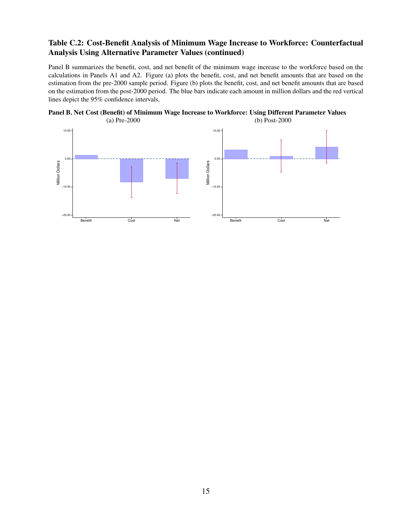# Table C.2: Cost-Benefit Analysis of Minimum Wage Increase to Workforce: Counterfactual Analysis Using Alternative Parameter Values (continued)

Panel B summarizes the benefit, cost, and net benefit of the minimum wage increase to the workforce based on the calculations in Panels A1 and A2. Figure (a) plots the benefit, cost, and net benefit amounts that are based on the estimation from the pre-2000 sample period. Figure (b) plots the benefit, cost, and net benefit amounts that are based on the estimation from the post-2000 period. The blue bars indicate each amount in million dollars and the red vertical lines depict the 95% confidence intervals.